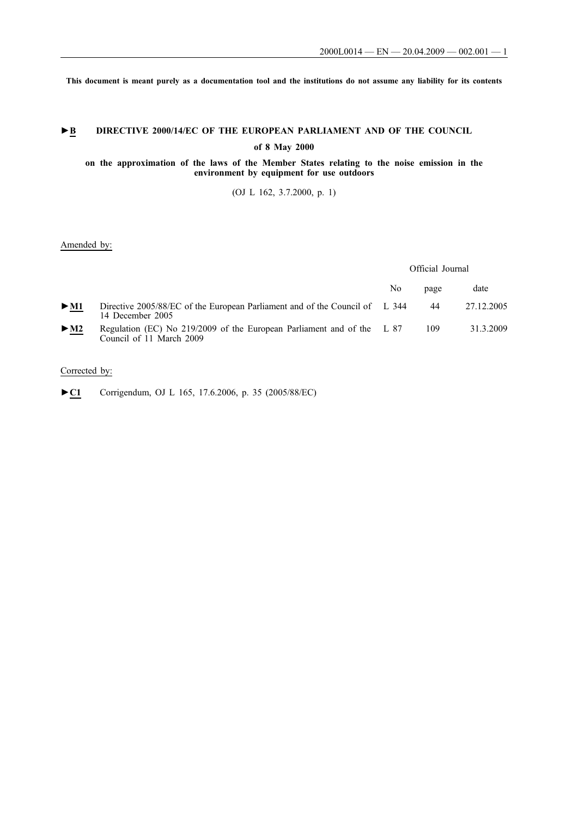**This document is meant purely as a documentation tool and the institutions do not assume any liability for its contents**

# ►**B** DIRECTIVE 2000/14/EC OF THE EUROPEAN PARLIAMENT AND OF THE COUNCIL

**of 8 May 2000**

# **on the approximation of the laws of the Member States relating to the noise emission in the environment by equipment for use outdoors**

(OJ L 162, 3.7.2000, p. 1)

# Amended by:

Official Journal

|        |                                                                                                    | No | page | date       |
|--------|----------------------------------------------------------------------------------------------------|----|------|------------|
| $>$ M1 | Directive 2005/88/EC of the European Parliament and of the Council of L 344<br>14 December 2005    |    | 44   | 27.12.2005 |
| $>$ M2 | Regulation (EC) No 219/2009 of the European Parliament and of the L 87<br>Council of 11 March 2009 |    | 109  | 31.3.2009  |

# Corrected by:

►**C1** Corrigendum, OJ L 165, 17.6.2006, p. 35 (2005/88/EC)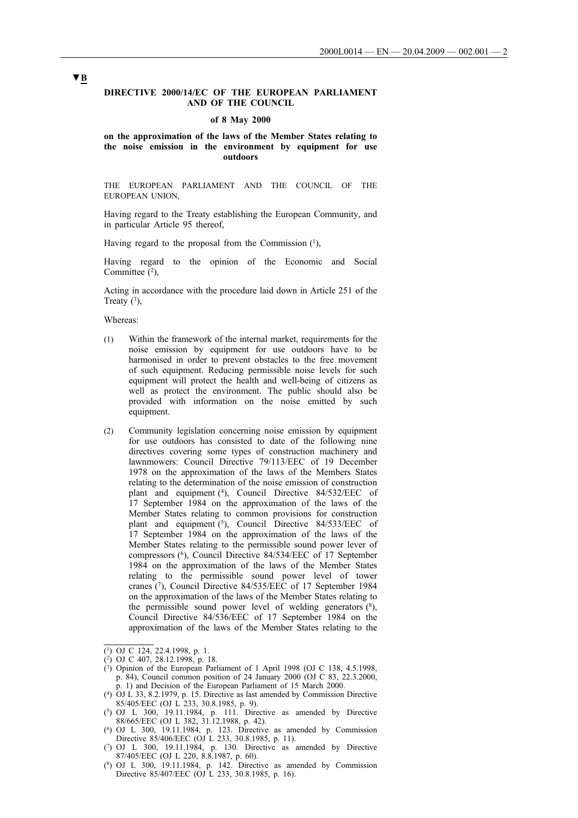## **DIRECTIVE 2000/14/EC OF THE EUROPEAN PARLIAMENT AND OF THE COUNCIL**

#### **of 8 May 2000**

## **on the approximation of the laws of the Member States relating to the noise emission in the environment by equipment for use outdoors**

THE EUROPEAN PARLIAMENT AND THE COUNCIL OF THE EUROPEAN UNION,

Having regard to the Treaty establishing the European Community, and in particular Article 95 thereof,

Having regard to the proposal from the Commission  $(1)$ ,

Having regard to the opinion of the Economic and Social Committee  $(2)$ ,

Acting in accordance with the procedure laid down in Article 251 of the Treaty  $(3)$ ,

Whereas:

- (1) Within the framework of the internal market, requirements for the noise emission by equipment for use outdoors have to be harmonised in order to prevent obstacles to the free movement of such equipment. Reducing permissible noise levels for such equipment will protect the health and well-being of citizens as well as protect the environment. The public should also be provided with information on the noise emitted by such equipment.
- (2) Community legislation concerning noise emission by equipment for use outdoors has consisted to date of the following nine directives covering some types of construction machinery and lawnmowers: Council Directive 79/113/EEC of 19 December 1978 on the approximation of the laws of the Members States relating to the determination of the noise emission of construction plant and equipment (4), Council Directive 84/532/EEC of 17 September 1984 on the approximation of the laws of the Member States relating to common provisions for construction plant and equipment (5), Council Directive 84/533/EEC of 17 September 1984 on the approximation of the laws of the Member States relating to the permissible sound power lever of compressors (6), Council Directive 84/534/EEC of 17 September 1984 on the approximation of the laws of the Member States relating to the permissible sound power level of tower cranes (7), Council Directive 84/535/EEC of 17 September 1984 on the approximation of the laws of the Member States relating to the permissible sound power level of welding generators (8), Council Directive 84/536/EEC of 17 September 1984 on the approximation of the laws of the Member States relating to the

<sup>(1)</sup> OJ C 124, 22.4.1998, p. 1.

<sup>(2)</sup> OJ C 407, 28.12.1998, p. 18.

 $(3)$  Opinion of the European Parliament of 1 April 1998 (OJ C 138, 4.5.1998, p. 84), Council common position of 24 January 2000 (OJ C 83, 22.3.2000, p. 1) and Decision of the European Parliament of 15 March 2000.

<sup>(4)</sup> OJ L 33, 8.2.1979, p. 15. Directive as last amended by Commission Directive 85/405/EEC (OJ L 233, 30.8.1985, p. 9).

 $(5)$  OJ L 300, 19.11.1984, p. 111. Directive as amended by Directive 88/665/EEC (OJ L 382, 31.12.1988, p. 42).

<sup>(6)</sup> OJ L 300, 19.11.1984, p. 123. Directive as amended by Commission Directive 85/406/EEC (OJ L 233, 30.8.1985, p. 11).

<sup>(7)</sup> OJ L 300, 19.11.1984, p. 130. Directive as amended by Directive 87/405/EEC (OJ L 220, 8.8.1987, p. 60).

 $(8)$  OJ L 300, 19.11.1984, p. 142. Directive as amended by Commission Directive 85/407/EEC (OJ L 233, 30.8.1985, p. 16).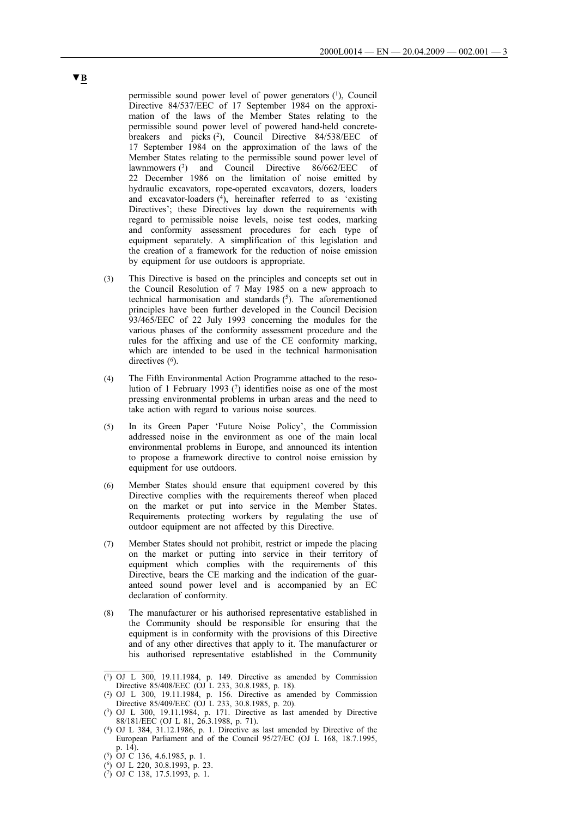permissible sound power level of power generators (1), Council Directive 84/537/EEC of 17 September 1984 on the approximation of the laws of the Member States relating to the permissible sound power level of powered hand-held concretebreakers and picks (2), Council Directive 84/538/EEC of 17 September 1984 on the approximation of the laws of the Member States relating to the permissible sound power level of lawnmowers (3) and Council Directive 86/662/EEC of 22 December 1986 on the limitation of noise emitted by hydraulic excavators, rope-operated excavators, dozers, loaders and excavator-loaders  $(4)$ , hereinafter referred to as 'existing Directives'; these Directives lay down the requirements with regard to permissible noise levels, noise test codes, marking and conformity assessment procedures for each type of equipment separately. A simplification of this legislation and the creation of a framework for the reduction of noise emission by equipment for use outdoors is appropriate.

- (3) This Directive is based on the principles and concepts set out in the Council Resolution of 7 May 1985 on a new approach to technical harmonisation and standards  $(5)$ . The aforementioned principles have been further developed in the Council Decision 93/465/EEC of 22 July 1993 concerning the modules for the various phases of the conformity assessment procedure and the rules for the affixing and use of the CE conformity marking, which are intended to be used in the technical harmonisation directives  $(6)$ .
- (4) The Fifth Environmental Action Programme attached to the resolution of 1 February 1993 (7) identifies noise as one of the most pressing environmental problems in urban areas and the need to take action with regard to various noise sources.
- (5) In its Green Paper 'Future Noise Policy', the Commission addressed noise in the environment as one of the main local environmental problems in Europe, and announced its intention to propose a framework directive to control noise emission by equipment for use outdoors.
- (6) Member States should ensure that equipment covered by this Directive complies with the requirements thereof when placed on the market or put into service in the Member States. Requirements protecting workers by regulating the use of outdoor equipment are not affected by this Directive.
- (7) Member States should not prohibit, restrict or impede the placing on the market or putting into service in their territory of equipment which complies with the requirements of this Directive, bears the CE marking and the indication of the guaranteed sound power level and is accompanied by an EC declaration of conformity.
- (8) The manufacturer or his authorised representative established in the Community should be responsible for ensuring that the equipment is in conformity with the provisions of this Directive and of any other directives that apply to it. The manufacturer or his authorised representative established in the Community

<sup>(1)</sup> OJ L 300, 19.11.1984, p. 149. Directive as amended by Commission Directive 85/408/EEC (OJ L 233, 30.8.1985, p. 18).

<sup>(2)</sup> OJ L 300, 19.11.1984, p. 156. Directive as amended by Commission Directive 85/409/EEC (OJ L 233, 30.8.1985, p. 20).

 $(3)$  OJ L 300, 19.11.1984, p. 171. Directive as last amended by Directive 88/181/EEC (OJ L 81, 26.3.1988, p. 71).

<sup>(4)</sup> OJ L 384, 31.12.1986, p. 1. Directive as last amended by Directive of the European Parliament and of the Council 95/27/EC (OJ L 168, 18.7.1995, p. 14).

<sup>(5)</sup> OJ C 136, 4.6.1985, p. 1.

<sup>(6)</sup> OJ L 220, 30.8.1993, p. 23.

<sup>(7)</sup> OJ C 138, 17.5.1993, p. 1.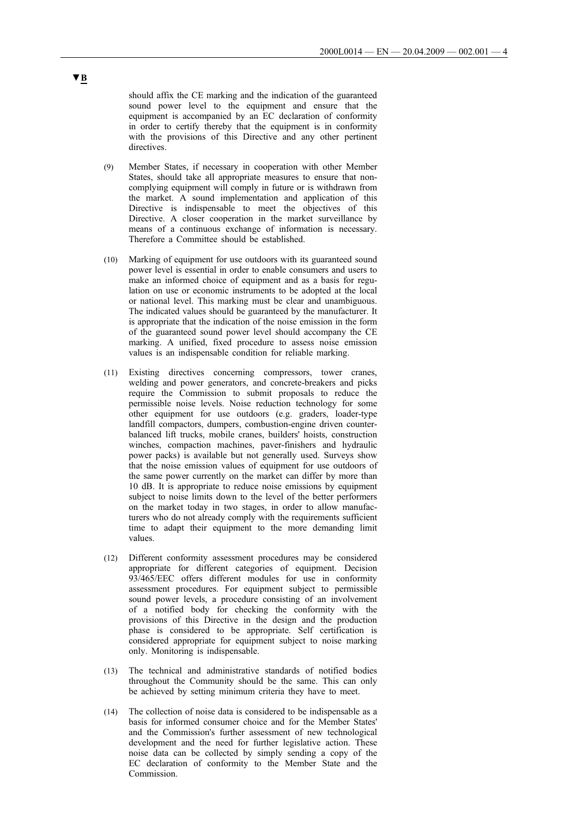should affix the CE marking and the indication of the guaranteed sound power level to the equipment and ensure that the equipment is accompanied by an EC declaration of conformity in order to certify thereby that the equipment is in conformity with the provisions of this Directive and any other pertinent directives.

- (9) Member States, if necessary in cooperation with other Member States, should take all appropriate measures to ensure that noncomplying equipment will comply in future or is withdrawn from the market. A sound implementation and application of this Directive is indispensable to meet the objectives of this Directive. A closer cooperation in the market surveillance by means of a continuous exchange of information is necessary. Therefore a Committee should be established.
- (10) Marking of equipment for use outdoors with its guaranteed sound power level is essential in order to enable consumers and users to make an informed choice of equipment and as a basis for regulation on use or economic instruments to be adopted at the local or national level. This marking must be clear and unambiguous. The indicated values should be guaranteed by the manufacturer. It is appropriate that the indication of the noise emission in the form of the guaranteed sound power level should accompany the CE marking. A unified, fixed procedure to assess noise emission values is an indispensable condition for reliable marking.
- (11) Existing directives concerning compressors, tower cranes, welding and power generators, and concrete-breakers and picks require the Commission to submit proposals to reduce the permissible noise levels. Noise reduction technology for some other equipment for use outdoors (e.g. graders, loader-type landfill compactors, dumpers, combustion-engine driven counterbalanced lift trucks, mobile cranes, builders' hoists, construction winches, compaction machines, paver-finishers and hydraulic power packs) is available but not generally used. Surveys show that the noise emission values of equipment for use outdoors of the same power currently on the market can differ by more than 10 dB. It is appropriate to reduce noise emissions by equipment subject to noise limits down to the level of the better performers on the market today in two stages, in order to allow manufacturers who do not already comply with the requirements sufficient time to adapt their equipment to the more demanding limit values.
- (12) Different conformity assessment procedures may be considered appropriate for different categories of equipment. Decision 93/465/EEC offers different modules for use in conformity assessment procedures. For equipment subject to permissible sound power levels, a procedure consisting of an involvement of a notified body for checking the conformity with the provisions of this Directive in the design and the production phase is considered to be appropriate. Self certification is considered appropriate for equipment subject to noise marking only. Monitoring is indispensable.
- (13) The technical and administrative standards of notified bodies throughout the Community should be the same. This can only be achieved by setting minimum criteria they have to meet.
- (14) The collection of noise data is considered to be indispensable as a basis for informed consumer choice and for the Member States' and the Commission's further assessment of new technological development and the need for further legislative action. These noise data can be collected by simply sending a copy of the EC declaration of conformity to the Member State and the Commission.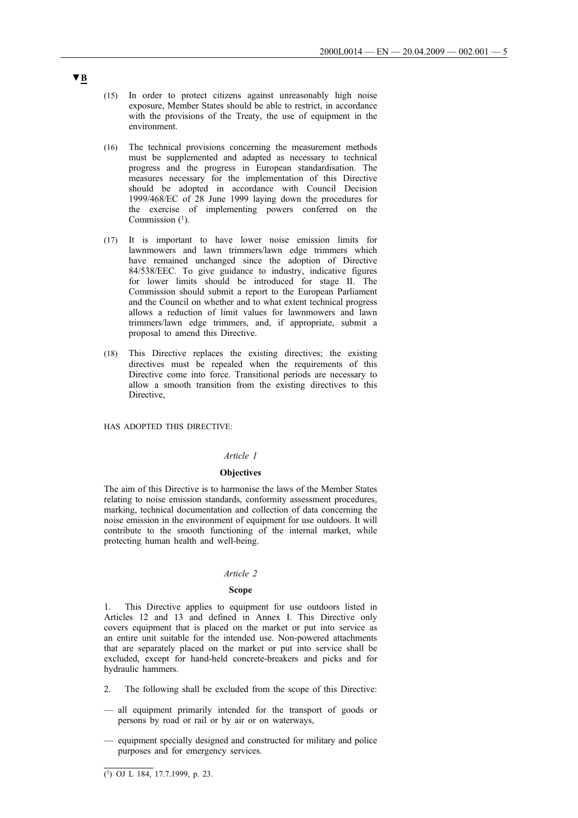- (15) In order to protect citizens against unreasonably high noise exposure, Member States should be able to restrict, in accordance with the provisions of the Treaty, the use of equipment in the environment.
- (16) The technical provisions concerning the measurement methods must be supplemented and adapted as necessary to technical progress and the progress in European standardisation. The measures necessary for the implementation of this Directive should be adopted in accordance with Council Decision 1999/468/EC of 28 June 1999 laying down the procedures for the exercise of implementing powers conferred on the Commission  $(1)$ .
- (17) It is important to have lower noise emission limits for lawnmowers and lawn trimmers/lawn edge trimmers which have remained unchanged since the adoption of Directive 84/538/EEC. To give guidance to industry, indicative figures for lower limits should be introduced for stage II. The Commission should submit a report to the European Parliament and the Council on whether and to what extent technical progress allows a reduction of limit values for lawnmowers and lawn trimmers/lawn edge trimmers, and, if appropriate, submit a proposal to amend this Directive.
- (18) This Directive replaces the existing directives; the existing directives must be repealed when the requirements of this Directive come into force. Transitional periods are necessary to allow a smooth transition from the existing directives to this Directive,

HAS ADOPTED THIS DIRECTIVE:

## *Article 1*

# **Objectives**

The aim of this Directive is to harmonise the laws of the Member States relating to noise emission standards, conformity assessment procedures, marking, technical documentation and collection of data concerning the noise emission in the environment of equipment for use outdoors. It will contribute to the smooth functioning of the internal market, while protecting human health and well-being.

## *Article 2*

#### **Scope**

1. This Directive applies to equipment for use outdoors listed in Articles 12 and 13 and defined in Annex I. This Directive only covers equipment that is placed on the market or put into service as an entire unit suitable for the intended use. Non-powered attachments that are separately placed on the market or put into service shall be excluded, except for hand-held concrete-breakers and picks and for hydraulic hammers.

- 2. The following shall be excluded from the scope of this Directive:
- all equipment primarily intended for the transport of goods or persons by road or rail or by air or on waterways,
- equipment specially designed and constructed for military and police purposes and for emergency services.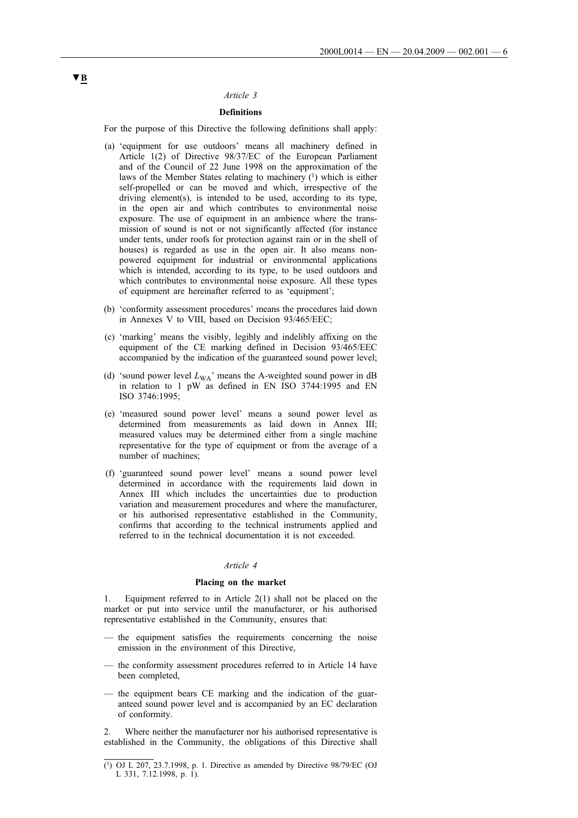# *Article 3*

# **Definitions**

For the purpose of this Directive the following definitions shall apply:

- (a) 'equipment for use outdoors' means all machinery defined in Article 1(2) of Directive 98/37/EC of the European Parliament and of the Council of 22 June 1998 on the approximation of the laws of the Member States relating to machinery (1) which is either self-propelled or can be moved and which, irrespective of the driving element(s), is intended to be used, according to its type, in the open air and which contributes to environmental noise exposure. The use of equipment in an ambience where the transmission of sound is not or not significantly affected (for instance under tents, under roofs for protection against rain or in the shell of houses) is regarded as use in the open air. It also means nonpowered equipment for industrial or environmental applications which is intended, according to its type, to be used outdoors and which contributes to environmental noise exposure. All these types of equipment are hereinafter referred to as 'equipment';
- (b) 'conformity assessment procedures' means the procedures laid down in Annexes V to VIII, based on Decision 93/465/EEC;
- (c) 'marking' means the visibly, legibly and indelibly affixing on the equipment of the CE marking defined in Decision 93/465/EEC accompanied by the indication of the guaranteed sound power level;
- (d) 'sound power level *L*WA' means the A-weighted sound power in dB in relation to 1 pW as defined in EN ISO 3744:1995 and EN ISO 3746:1995;
- (e) 'measured sound power level' means a sound power level as determined from measurements as laid down in Annex III; measured values may be determined either from a single machine representative for the type of equipment or from the average of a number of machines;
- (f) 'guaranteed sound power level' means a sound power level determined in accordance with the requirements laid down in Annex III which includes the uncertainties due to production variation and measurement procedures and where the manufacturer, or his authorised representative established in the Community, confirms that according to the technical instruments applied and referred to in the technical documentation it is not exceeded.

## *Article 4*

## **Placing on the market**

1. Equipment referred to in Article 2(1) shall not be placed on the market or put into service until the manufacturer, or his authorised representative established in the Community, ensures that:

- the equipment satisfies the requirements concerning the noise emission in the environment of this Directive,
- the conformity assessment procedures referred to in Article 14 have been completed,
- the equipment bears CE marking and the indication of the guaranteed sound power level and is accompanied by an EC declaration of conformity.

2. Where neither the manufacturer nor his authorised representative is established in the Community, the obligations of this Directive shall

<sup>(1)</sup> OJ L 207, 23.7.1998, p. 1. Directive as amended by Directive 98/79/EC (OJ L 331, 7.12.1998, p. 1).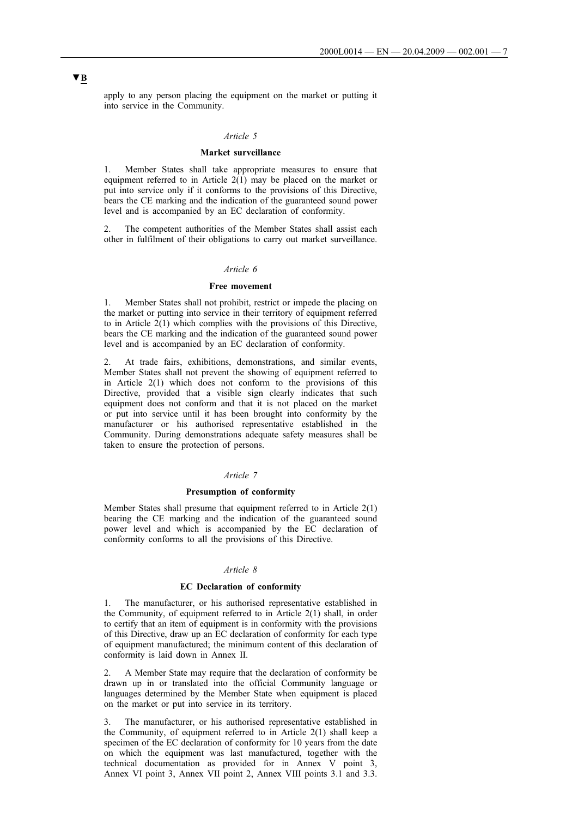apply to any person placing the equipment on the market or putting it into service in the Community.

## *Article 5*

## **Market surveillance**

1. Member States shall take appropriate measures to ensure that equipment referred to in Article 2(1) may be placed on the market or put into service only if it conforms to the provisions of this Directive, bears the CE marking and the indication of the guaranteed sound power level and is accompanied by an EC declaration of conformity.

The competent authorities of the Member States shall assist each other in fulfilment of their obligations to carry out market surveillance.

## *Article 6*

## **Free movement**

1. Member States shall not prohibit, restrict or impede the placing on the market or putting into service in their territory of equipment referred to in Article  $2(1)$  which complies with the provisions of this Directive, bears the CE marking and the indication of the guaranteed sound power level and is accompanied by an EC declaration of conformity.

2. At trade fairs, exhibitions, demonstrations, and similar events, Member States shall not prevent the showing of equipment referred to in Article 2(1) which does not conform to the provisions of this Directive, provided that a visible sign clearly indicates that such equipment does not conform and that it is not placed on the market or put into service until it has been brought into conformity by the manufacturer or his authorised representative established in the Community. During demonstrations adequate safety measures shall be taken to ensure the protection of persons.

## *Article 7*

## **Presumption of conformity**

Member States shall presume that equipment referred to in Article 2(1) bearing the CE marking and the indication of the guaranteed sound power level and which is accompanied by the EC declaration of conformity conforms to all the provisions of this Directive.

# *Article 8*

## **EC Declaration of conformity**

The manufacturer, or his authorised representative established in the Community, of equipment referred to in Article 2(1) shall, in order to certify that an item of equipment is in conformity with the provisions of this Directive, draw up an EC declaration of conformity for each type of equipment manufactured; the minimum content of this declaration of conformity is laid down in Annex II.

2. A Member State may require that the declaration of conformity be drawn up in or translated into the official Community language or languages determined by the Member State when equipment is placed on the market or put into service in its territory.

3. The manufacturer, or his authorised representative established in the Community, of equipment referred to in Article 2(1) shall keep a specimen of the EC declaration of conformity for 10 years from the date on which the equipment was last manufactured, together with the technical documentation as provided for in Annex V point 3, Annex VI point 3, Annex VII point 2, Annex VIII points 3.1 and 3.3.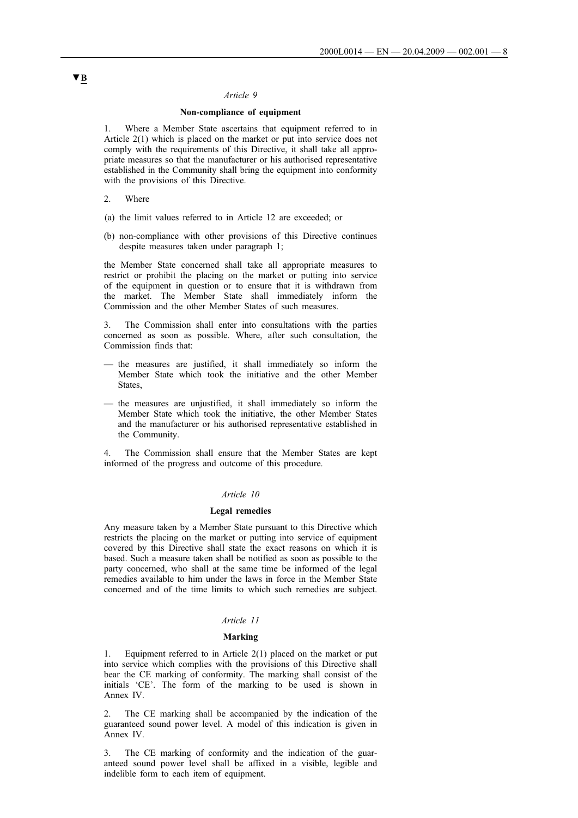## *Article 9*

# **Non-compliance of equipment**

1. Where a Member State ascertains that equipment referred to in Article 2(1) which is placed on the market or put into service does not comply with the requirements of this Directive, it shall take all appropriate measures so that the manufacturer or his authorised representative established in the Community shall bring the equipment into conformity with the provisions of this Directive.

- 2. Where
- (a) the limit values referred to in Article 12 are exceeded; or
- (b) non-compliance with other provisions of this Directive continues despite measures taken under paragraph 1;

the Member State concerned shall take all appropriate measures to restrict or prohibit the placing on the market or putting into service of the equipment in question or to ensure that it is withdrawn from the market. The Member State shall immediately inform the Commission and the other Member States of such measures.

3. The Commission shall enter into consultations with the parties concerned as soon as possible. Where, after such consultation, the Commission finds that:

- the measures are justified, it shall immediately so inform the Member State which took the initiative and the other Member States,
- the measures are unjustified, it shall immediately so inform the Member State which took the initiative, the other Member States and the manufacturer or his authorised representative established in the Community.

4. The Commission shall ensure that the Member States are kept informed of the progress and outcome of this procedure.

## *Article 10*

#### **Legal remedies**

Any measure taken by a Member State pursuant to this Directive which restricts the placing on the market or putting into service of equipment covered by this Directive shall state the exact reasons on which it is based. Such a measure taken shall be notified as soon as possible to the party concerned, who shall at the same time be informed of the legal remedies available to him under the laws in force in the Member State concerned and of the time limits to which such remedies are subject.

## *Article 11*

#### **Marking**

1. Equipment referred to in Article 2(1) placed on the market or put into service which complies with the provisions of this Directive shall bear the CE marking of conformity. The marking shall consist of the initials 'CE'. The form of the marking to be used is shown in Annex IV.

The CE marking shall be accompanied by the indication of the guaranteed sound power level. A model of this indication is given in Annex IV.

3. The CE marking of conformity and the indication of the guaranteed sound power level shall be affixed in a visible, legible and indelible form to each item of equipment.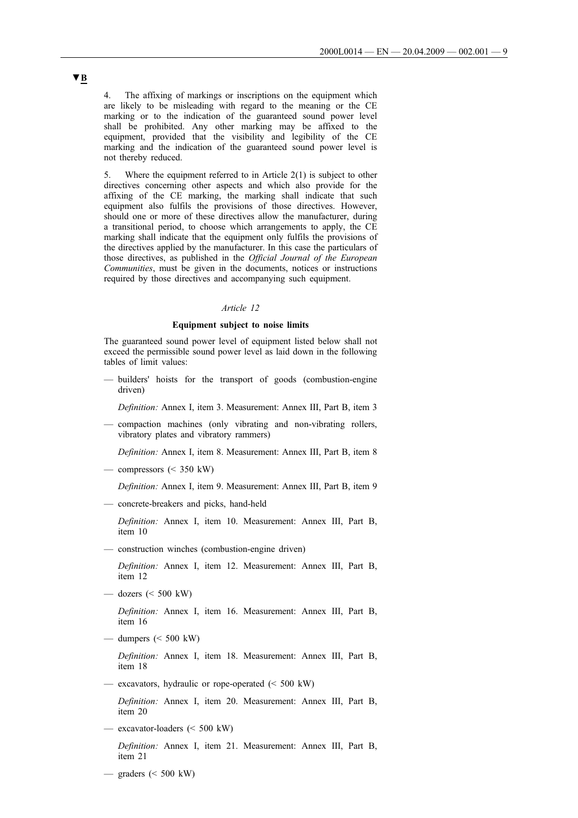4. The affixing of markings or inscriptions on the equipment which are likely to be misleading with regard to the meaning or the CE marking or to the indication of the guaranteed sound power level shall be prohibited. Any other marking may be affixed to the equipment, provided that the visibility and legibility of the CE marking and the indication of the guaranteed sound power level is not thereby reduced.

5. Where the equipment referred to in Article 2(1) is subject to other directives concerning other aspects and which also provide for the affixing of the CE marking, the marking shall indicate that such equipment also fulfils the provisions of those directives. However, should one or more of these directives allow the manufacturer, during a transitional period, to choose which arrangements to apply, the CE marking shall indicate that the equipment only fulfils the provisions of the directives applied by the manufacturer. In this case the particulars of those directives, as published in the *Official Journal of the European Communities*, must be given in the documents, notices or instructions required by those directives and accompanying such equipment.

### *Article 12*

# **Equipment subject to noise limits**

The guaranteed sound power level of equipment listed below shall not exceed the permissible sound power level as laid down in the following tables of limit values:

- builders' hoists for the transport of goods (combustion-engine driven)
	- *Definition:* Annex I, item 3. Measurement: Annex III, Part B, item 3
- compaction machines (only vibrating and non-vibrating rollers, vibratory plates and vibratory rammers)

*Definition:* Annex I, item 8. Measurement: Annex III, Part B, item 8

 $-$  compressors  $(< 350$  kW)

*Definition:* Annex I, item 9. Measurement: Annex III, Part B, item 9

— concrete-breakers and picks, hand-held

*Definition:* Annex I, item 10. Measurement: Annex III, Part B, item 10

— construction winches (combustion-engine driven)

*Definition:* Annex I, item 12. Measurement: Annex III, Part B, item 12

— dozers  $(< 500$  kW)

*Definition:* Annex I, item 16. Measurement: Annex III, Part B, item 16

— dumpers  $(< 500$  kW)

*Definition:* Annex I, item 18. Measurement: Annex III, Part B, item 18

— excavators, hydraulic or rope-operated (< 500 kW)

*Definition:* Annex I, item 20. Measurement: Annex III, Part B, item 20

- excavator-loaders (< 500 kW) *Definition:* Annex I, item 21. Measurement: Annex III, Part B, item 21
- graders (< 500 kW)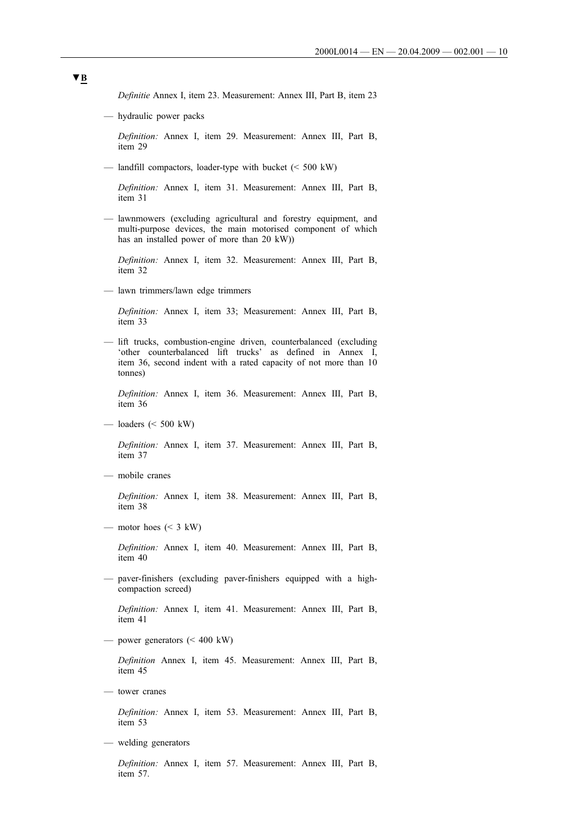*Definitie* Annex I, item 23. Measurement: Annex III, Part B, item 23

— hydraulic power packs

*Definition:* Annex I, item 29. Measurement: Annex III, Part B, item 29

— landfill compactors, loader-type with bucket (< 500 kW)

*Definition:* Annex I, item 31. Measurement: Annex III, Part B, item 31

— lawnmowers (excluding agricultural and forestry equipment, and multi-purpose devices, the main motorised component of which has an installed power of more than 20 kW))

*Definition:* Annex I, item 32. Measurement: Annex III, Part B, item 32

— lawn trimmers/lawn edge trimmers

*Definition:* Annex I, item 33; Measurement: Annex III, Part B, item 33

— lift trucks, combustion-engine driven, counterbalanced (excluding 'other counterbalanced lift trucks' as defined in Annex I, item 36, second indent with a rated capacity of not more than 10 tonnes)

*Definition:* Annex I, item 36. Measurement: Annex III, Part B, item 36

— loaders (< 500 kW)

*Definition:* Annex I, item 37. Measurement: Annex III, Part B, item 37

— mobile cranes

*Definition:* Annex I, item 38. Measurement: Annex III, Part B, item 38

— motor hoes  $(< 3$  kW)

*Definition:* Annex I, item 40. Measurement: Annex III, Part B, item 40

— paver-finishers (excluding paver-finishers equipped with a highcompaction screed)

*Definition:* Annex I, item 41. Measurement: Annex III, Part B, item 41

— power generators  $(< 400 \text{ kW})$ 

*Definition* Annex I, item 45. Measurement: Annex III, Part B, item 45

— tower cranes

*Definition:* Annex I, item 53. Measurement: Annex III, Part B, item 53

— welding generators

*Definition:* Annex I, item 57. Measurement: Annex III, Part B, item 57.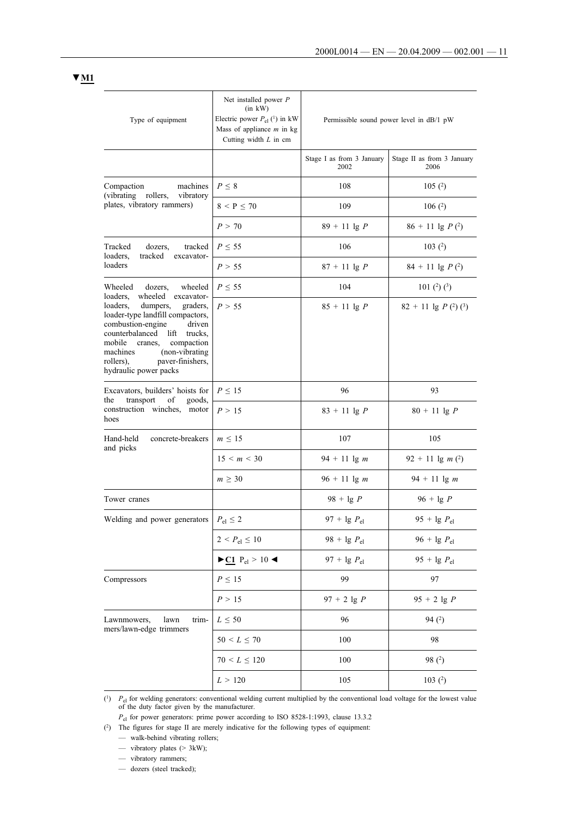| Type of equipment                                                                                                                                                                                                                                                                                       | Net installed power $P$<br>$(in \t kW)$<br>Electric power $P_{el}$ ( <sup>1</sup> ) in kW<br>Mass of appliance $m$ in kg<br>Cutting width $L$ in cm | Permissible sound power level in dB/1 pW |                                    |  |
|---------------------------------------------------------------------------------------------------------------------------------------------------------------------------------------------------------------------------------------------------------------------------------------------------------|-----------------------------------------------------------------------------------------------------------------------------------------------------|------------------------------------------|------------------------------------|--|
|                                                                                                                                                                                                                                                                                                         |                                                                                                                                                     | Stage I as from 3 January<br>2002        | Stage II as from 3 January<br>2006 |  |
| machines<br>Compaction<br>(vibrating)<br>rollers,                                                                                                                                                                                                                                                       | $P \leq 8$                                                                                                                                          | 108                                      | 105(2)                             |  |
| vibratory<br>plates, vibratory rammers)                                                                                                                                                                                                                                                                 | $8 < P \le 70$                                                                                                                                      | 109                                      | 106(2)                             |  |
|                                                                                                                                                                                                                                                                                                         | P > 70                                                                                                                                              | $89 + 11$ lg P                           | $86 + 11$ lg $P(2)$                |  |
| Tracked<br>dozers,<br>tracked<br>loaders,<br>tracked<br>excavator-                                                                                                                                                                                                                                      | $P \leq 55$                                                                                                                                         | 106                                      | 103 $(2)$                          |  |
| loaders                                                                                                                                                                                                                                                                                                 | P > 55                                                                                                                                              | $87 + 11$ lg P                           | $84 + 11$ lg $P(2)$                |  |
| Wheeled<br>dozers,<br>wheeled                                                                                                                                                                                                                                                                           | $P \leq 55$                                                                                                                                         | 104                                      | 101 $(2)$ $(3)$                    |  |
| wheeled excavator-<br>loaders,<br>loaders,<br>dumpers,<br>graders,<br>loader-type landfill compactors,<br>combustion-engine<br>driven<br>counterbalanced<br>lift<br>trucks,<br>mobile<br>compaction<br>cranes,<br>machines<br>(non-vibrating)<br>paver-finishers,<br>rollers),<br>hydraulic power packs | P > 55                                                                                                                                              | $85 + 11$ lg P                           | $82 + 11$ lg $P(2)(3)$             |  |
| Excavators, builders' hoists for                                                                                                                                                                                                                                                                        | $P \leq 15$                                                                                                                                         | 96                                       | 93                                 |  |
| transport<br>of<br>goods,<br>the<br>construction winches,<br>motor<br>hoes                                                                                                                                                                                                                              | P > 15                                                                                                                                              | $83 + 11$ lg P                           | $80 + 11$ lg P                     |  |
| Hand-held<br>concrete-breakers<br>and picks                                                                                                                                                                                                                                                             | $m \leq 15$                                                                                                                                         | 107                                      | 105                                |  |
|                                                                                                                                                                                                                                                                                                         | 15 < m < 30                                                                                                                                         | $94 + 11$ lg m                           | $92 + 11$ lg m (2)                 |  |
|                                                                                                                                                                                                                                                                                                         | $m\geq 30$                                                                                                                                          | $96 + 11 \lg m$                          | $94 + 11$ lg m                     |  |
| Tower cranes                                                                                                                                                                                                                                                                                            |                                                                                                                                                     | $98 + \lg P$                             | $96 + \lg P$                       |  |
| Welding and power generators                                                                                                                                                                                                                                                                            | $P_{\rm el} \leq 2$                                                                                                                                 | 97 + $\lg P_{\text{el}}$                 | 95 + $\lg P_{\text{el}}$           |  |
|                                                                                                                                                                                                                                                                                                         | $2 < P_{el} \leq 10$                                                                                                                                | $98 + \lg P_{\text{el}}$                 | 96 + 1g $P_{el}$                   |  |
|                                                                                                                                                                                                                                                                                                         | $\blacktriangleright$ <u>C1</u> P <sub>el</sub> > 10 <                                                                                              | 97 + 1g $P_{el}$                         | 95 + $lg P_{el}$                   |  |
| Compressors                                                                                                                                                                                                                                                                                             | $P \leq 15$                                                                                                                                         | 99                                       | 97                                 |  |
|                                                                                                                                                                                                                                                                                                         | P > 15                                                                                                                                              | $97 + 2$ lg P                            | $95 + 2$ lg P                      |  |
| Lawnmowers,<br>lawn<br>trim-                                                                                                                                                                                                                                                                            | $L \leq 50$                                                                                                                                         | 96                                       | 94(2)                              |  |
| mers/lawn-edge trimmers                                                                                                                                                                                                                                                                                 | $50 \le L \le 70$                                                                                                                                   | 100                                      | 98                                 |  |
|                                                                                                                                                                                                                                                                                                         | $70 \le L \le 120$                                                                                                                                  | 100                                      | 98 $(2)$                           |  |
|                                                                                                                                                                                                                                                                                                         | L > 120                                                                                                                                             | 105                                      | 103 $(2)$                          |  |
|                                                                                                                                                                                                                                                                                                         |                                                                                                                                                     |                                          |                                    |  |

 $(1)$  *P*<sub>el</sub> for welding generators: conventional welding current multiplied by the conventional load voltage for the lowest value of the duty factor given by the manufacturer.

*P*<sub>el</sub> for power generators: prime power according to ISO 8528-1:1993, clause 13.3.2

(2) The figures for stage II are merely indicative for the following types of equipment:

— walk-behind vibrating rollers;

— vibratory plates (> 3kW);

— vibratory rammers;

— dozers (steel tracked);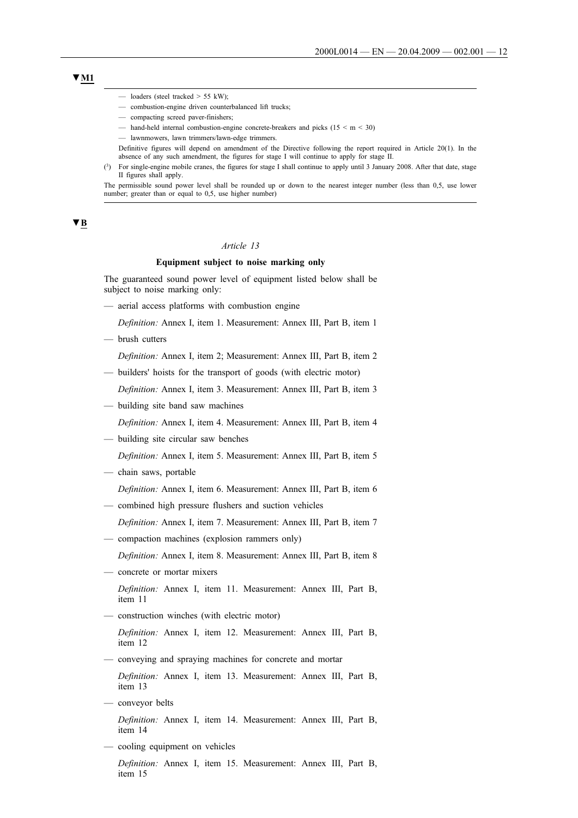- loaders (steel tracked  $> 55$  kW):
- combustion-engine driven counterbalanced lift trucks;
- compacting screed paver-finishers;
- hand-held internal combustion-engine concrete-breakers and picks ( $15 \le m \le 30$ )
- lawnmowers, lawn trimmers/lawn-edge trimmers.
- Definitive figures will depend on amendment of the Directive following the report required in Article 20(1). In the absence of any such amendment, the figures for stage I will continue to apply for stage II.
- (3) For single-engine mobile cranes, the figures for stage I shall continue to apply until 3 January 2008. After that date, stage II figures shall apply.

The permissible sound power level shall be rounded up or down to the nearest integer number (less than 0,5, use lower number; greater than or equal to 0,5, use higher number)

# **▼B**

# *Article 13*

# **Equipment subject to noise marking only**

The guaranteed sound power level of equipment listed below shall be subject to noise marking only:

— aerial access platforms with combustion engine

*Definition:* Annex I, item 1. Measurement: Annex III, Part B, item 1

— brush cutters

*Definition:* Annex I, item 2; Measurement: Annex III, Part B, item 2

- builders' hoists for the transport of goods (with electric motor)
- *Definition:* Annex I, item 3. Measurement: Annex III, Part B, item 3
- building site band saw machines
	- *Definition:* Annex I, item 4. Measurement: Annex III, Part B, item 4
- building site circular saw benches

*Definition:* Annex I, item 5. Measurement: Annex III, Part B, item 5

- chain saws, portable
	- *Definition:* Annex I, item 6. Measurement: Annex III, Part B, item 6
- combined high pressure flushers and suction vehicles
	- *Definition:* Annex I, item 7. Measurement: Annex III, Part B, item 7
- compaction machines (explosion rammers only)
	- *Definition:* Annex I, item 8. Measurement: Annex III, Part B, item 8
- concrete or mortar mixers

*Definition:* Annex I, item 11. Measurement: Annex III, Part B, item 11

— construction winches (with electric motor)

*Definition:* Annex I, item 12. Measurement: Annex III, Part B, item 12

— conveying and spraying machines for concrete and mortar

*Definition:* Annex I, item 13. Measurement: Annex III, Part B, item 13

— conveyor belts

*Definition:* Annex I, item 14. Measurement: Annex III, Part B, item 14

— cooling equipment on vehicles

*Definition:* Annex I, item 15. Measurement: Annex III, Part B, item 15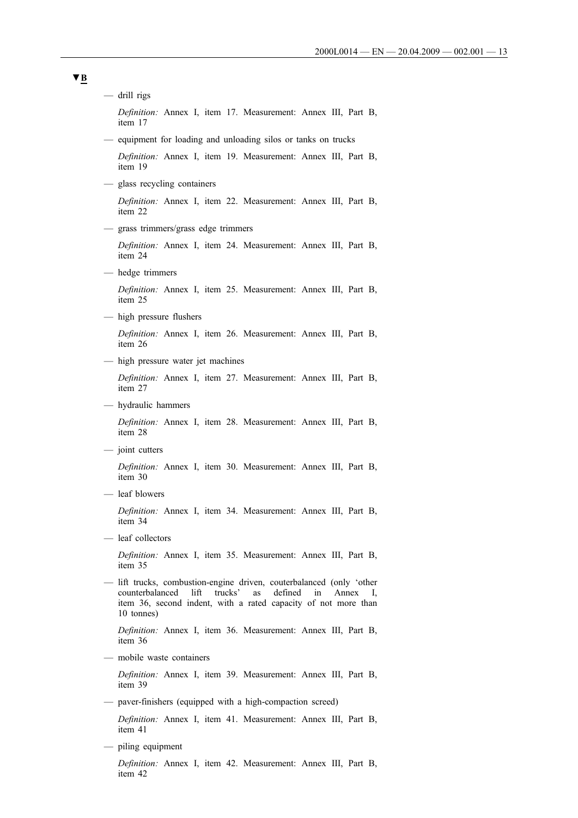— drill rigs *Definition:* Annex I, item 17. Measurement: Annex III, Part B, item 17 — equipment for loading and unloading silos or tanks on trucks *Definition:* Annex I, item 19. Measurement: Annex III, Part B, item 19 — glass recycling containers *Definition:* Annex I, item 22. Measurement: Annex III, Part B, item 22 — grass trimmers/grass edge trimmers *Definition:* Annex I, item 24. Measurement: Annex III, Part B, item 24 — hedge trimmers *Definition:* Annex I, item 25. Measurement: Annex III, Part B, item 25 — high pressure flushers *Definition:* Annex I, item 26. Measurement: Annex III, Part B, item 26 — high pressure water jet machines *Definition:* Annex I, item 27. Measurement: Annex III, Part B, item 27 — hydraulic hammers *Definition:* Annex I, item 28. Measurement: Annex III, Part B, item 28 — joint cutters *Definition:* Annex I, item 30. Measurement: Annex III, Part B, item 30 — leaf blowers *Definition:* Annex I, item 34. Measurement: Annex III, Part B, item 34 — leaf collectors *Definition:* Annex I, item 35. Measurement: Annex III, Part B, item 35 — lift trucks, combustion-engine driven, couterbalanced (only 'other counterbalanced lift trucks' as defined in Annex I, item 36, second indent, with a rated capacity of not more than 10 tonnes) *Definition:* Annex I, item 36. Measurement: Annex III, Part B, item 36 — mobile waste containers *Definition:* Annex I, item 39. Measurement: Annex III, Part B, item 39 — paver-finishers (equipped with a high-compaction screed) *Definition:* Annex I, item 41. Measurement: Annex III, Part B, item 41 — piling equipment *Definition:* Annex I, item 42. Measurement: Annex III, Part B,

item 42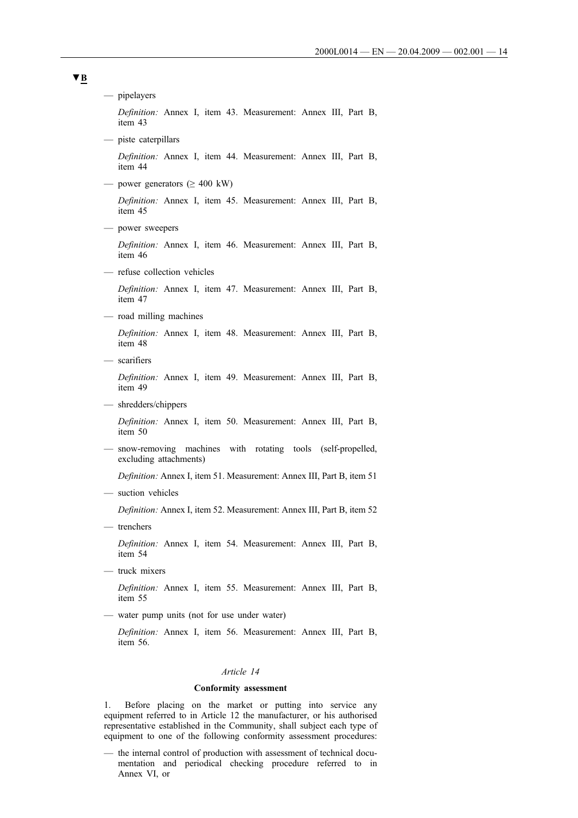— pipelayers *Definition:* Annex I, item 43. Measurement: Annex III, Part B, item 43 — piste caterpillars *Definition:* Annex I, item 44. Measurement: Annex III, Part B, item 44 — power generators  $(≥ 400$  kW) *Definition:* Annex I, item 45. Measurement: Annex III, Part B, item 45 — power sweepers *Definition:* Annex I, item 46. Measurement: Annex III, Part B, item 46 — refuse collection vehicles *Definition:* Annex I, item 47. Measurement: Annex III, Part B, item 47 — road milling machines *Definition:* Annex I, item 48. Measurement: Annex III, Part B, item 48 — scarifiers *Definition:* Annex I, item 49. Measurement: Annex III, Part B, item 49 — shredders/chippers *Definition:* Annex I, item 50. Measurement: Annex III, Part B, item 50 — snow-removing machines with rotating tools (self-propelled, excluding attachments) *Definition:* Annex I, item 51. Measurement: Annex III, Part B, item 51 — suction vehicles *Definition:* Annex I, item 52. Measurement: Annex III, Part B, item 52 — trenchers *Definition:* Annex I, item 54. Measurement: Annex III, Part B, item 54 — truck mixers *Definition:* Annex I, item 55. Measurement: Annex III, Part B, item 55 — water pump units (not for use under water) *Definition:* Annex I, item 56. Measurement: Annex III, Part B, item 56. *Article 14*

# **Conformity assessment**

1. Before placing on the market or putting into service any equipment referred to in Article 12 the manufacturer, or his authorised representative established in the Community, shall subject each type of equipment to one of the following conformity assessment procedures:

— the internal control of production with assessment of technical documentation and periodical checking procedure referred to in Annex VI, or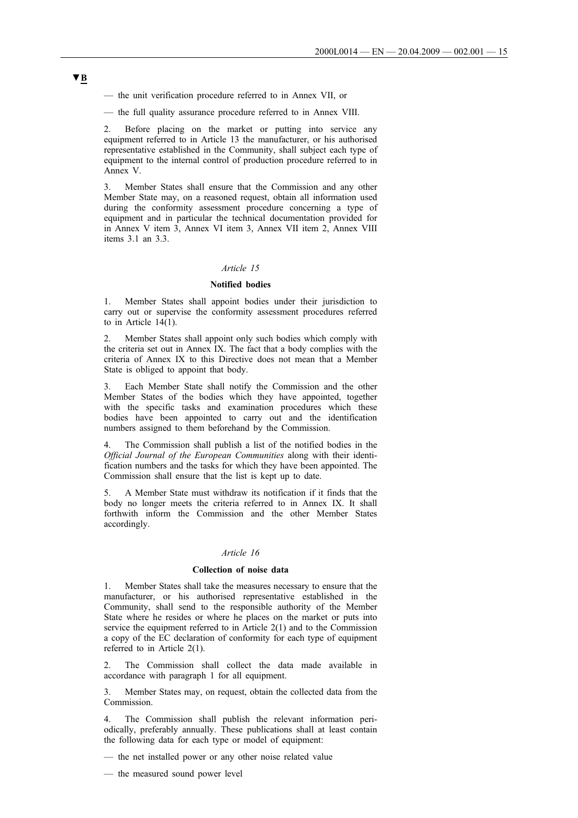— the unit verification procedure referred to in Annex VII, or

— the full quality assurance procedure referred to in Annex VIII.

2. Before placing on the market or putting into service any equipment referred to in Article 13 the manufacturer, or his authorised representative established in the Community, shall subject each type of equipment to the internal control of production procedure referred to in Annex V.

3. Member States shall ensure that the Commission and any other Member State may, on a reasoned request, obtain all information used during the conformity assessment procedure concerning a type of equipment and in particular the technical documentation provided for in Annex V item 3, Annex VI item 3, Annex VII item 2, Annex VIII items 3.1 an 3.3.

# *Article 15*

# **Notified bodies**

1. Member States shall appoint bodies under their jurisdiction to carry out or supervise the conformity assessment procedures referred to in Article 14(1).

2. Member States shall appoint only such bodies which comply with the criteria set out in Annex IX. The fact that a body complies with the criteria of Annex IX to this Directive does not mean that a Member State is obliged to appoint that body.

Each Member State shall notify the Commission and the other Member States of the bodies which they have appointed, together with the specific tasks and examination procedures which these bodies have been appointed to carry out and the identification numbers assigned to them beforehand by the Commission.

The Commission shall publish a list of the notified bodies in the *Official Journal of the European Communities* along with their identification numbers and the tasks for which they have been appointed. The Commission shall ensure that the list is kept up to date.

5. A Member State must withdraw its notification if it finds that the body no longer meets the criteria referred to in Annex IX. It shall forthwith inform the Commission and the other Member States accordingly.

# *Article 16*

## **Collection of noise data**

1. Member States shall take the measures necessary to ensure that the manufacturer, or his authorised representative established in the Community, shall send to the responsible authority of the Member State where he resides or where he places on the market or puts into service the equipment referred to in Article 2(1) and to the Commission a copy of the EC declaration of conformity for each type of equipment referred to in Article 2(1).

The Commission shall collect the data made available in accordance with paragraph 1 for all equipment.

3. Member States may, on request, obtain the collected data from the Commission.

The Commission shall publish the relevant information periodically, preferably annually. These publications shall at least contain the following data for each type or model of equipment:

— the net installed power or any other noise related value

— the measured sound power level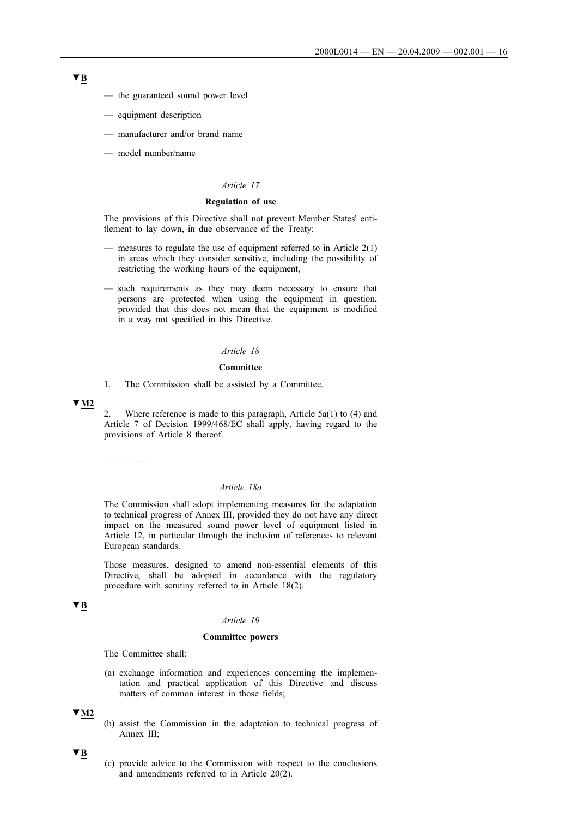- the guaranteed sound power level
- equipment description
- manufacturer and/or brand name
- model number/name

## *Article 17*

## **Regulation of use**

The provisions of this Directive shall not prevent Member States' entitlement to lay down, in due observance of the Treaty:

- measures to regulate the use of equipment referred to in Article 2(1) in areas which they consider sensitive, including the possibility of restricting the working hours of the equipment,
- such requirements as they may deem necessary to ensure that persons are protected when using the equipment in question, provided that this does not mean that the equipment is modified in a way not specified in this Directive.

## *Article 18*

## **Committee**

1. The Commission shall be assisted by a Committee.

## **▼M2**

2. Where reference is made to this paragraph, Article  $5a(1)$  to (4) and Article 7 of Decision 1999/468/EC shall apply, having regard to the provisions of Article 8 thereof.

 $\overline{\phantom{a}}$ 

# *Article 18a*

The Commission shall adopt implementing measures for the adaptation to technical progress of Annex III, provided they do not have any direct impact on the measured sound power level of equipment listed in Article 12, in particular through the inclusion of references to relevant European standards.

Those measures, designed to amend non-essential elements of this Directive, shall be adopted in accordance with the regulatory procedure with scrutiny referred to in Article 18(2).

# **▼B**

# *Article 19*

#### **Committee powers**

The Committee shall:

(a) exchange information and experiences concerning the implementation and practical application of this Directive and discuss matters of common interest in those fields;

# **▼M2**

(b) assist the Commission in the adaptation to technical progress of Annex III;

# **▼B**

(c) provide advice to the Commission with respect to the conclusions and amendments referred to in Article 20(2).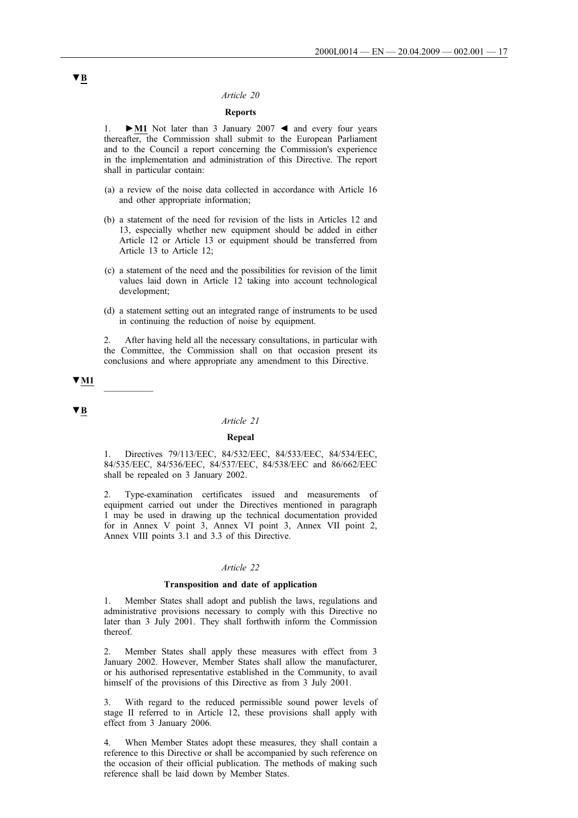## *Article 20*

# **Reports**

1. **►M1** Not later than 3 January 2007 ◄ and every four years thereafter, the Commission shall submit to the European Parliament and to the Council a report concerning the Commission's experience in the implementation and administration of this Directive. The report shall in particular contain:

- (a) a review of the noise data collected in accordance with Article 16 and other appropriate information;
- (b) a statement of the need for revision of the lists in Articles 12 and 13, especially whether new equipment should be added in either Article 12 or Article 13 or equipment should be transferred from Article 13 to Article 12;
- (c) a statement of the need and the possibilities for revision of the limit values laid down in Article 12 taking into account technological development;
- (d) a statement setting out an integrated range of instruments to be used in continuing the reduction of noise by equipment.

2. After having held all the necessary consultations, in particular with the Committee, the Commission shall on that occasion present its conclusions and where appropriate any amendment to this Directive.

# **▼M1** \_\_\_\_\_\_\_\_\_\_

# **▼B**

# *Article 21*

## **Repeal**

1. Directives 79/113/EEC, 84/532/EEC, 84/533/EEC, 84/534/EEC, 84/535/EEC, 84/536/EEC, 84/537/EEC, 84/538/EEC and 86/662/EEC shall be repealed on 3 January 2002.

2. Type-examination certificates issued and measurements of equipment carried out under the Directives mentioned in paragraph 1 may be used in drawing up the technical documentation provided for in Annex V point 3, Annex VI point 3, Annex VII point 2, Annex VIII points 3.1 and 3.3 of this Directive.

## *Article 22*

#### **Transposition and date of application**

1. Member States shall adopt and publish the laws, regulations and administrative provisions necessary to comply with this Directive no later than 3 July 2001. They shall forthwith inform the Commission thereof.

2. Member States shall apply these measures with effect from 3 January 2002. However, Member States shall allow the manufacturer, or his authorised representative established in the Community, to avail himself of the provisions of this Directive as from 3 July 2001.

3. With regard to the reduced permissible sound power levels of stage II referred to in Article 12, these provisions shall apply with effect from 3 January 2006.

4. When Member States adopt these measures, they shall contain a reference to this Directive or shall be accompanied by such reference on the occasion of their official publication. The methods of making such reference shall be laid down by Member States.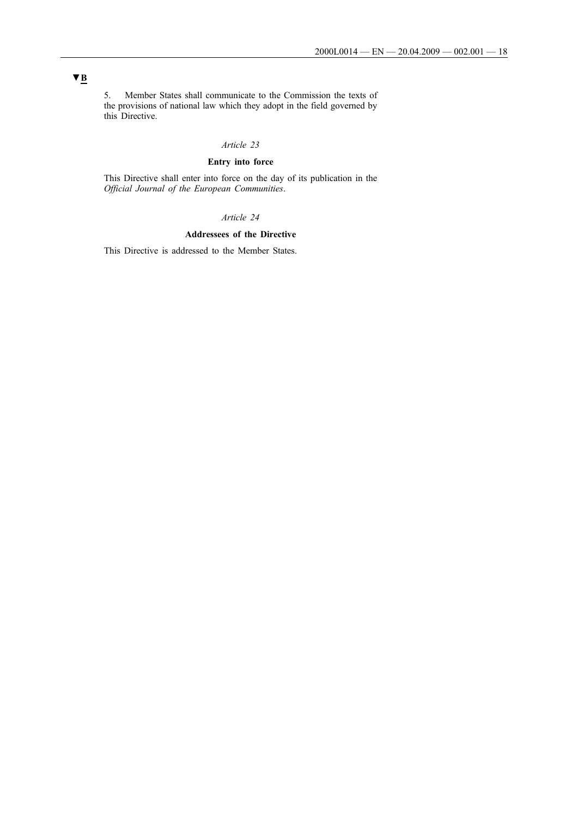5. Member States shall communicate to the Commission the texts of the provisions of national law which they adopt in the field governed by this Directive.

# *Article 23*

# **Entry into force**

This Directive shall enter into force on the day of its publication in the *Official Journal of the European Communities*.

# *Article 24*

# **Addressees of the Directive**

This Directive is addressed to the Member States.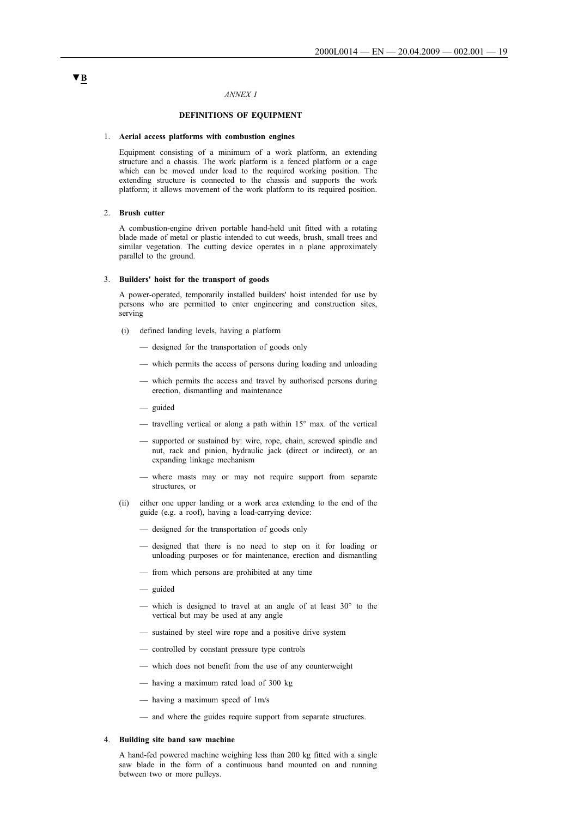# *ANNEX I*

# **DEFINITIONS OF EQUIPMENT**

# 1. **Aerial access platforms with combustion engines**

Equipment consisting of a minimum of a work platform, an extending structure and a chassis. The work platform is a fenced platform or a cage which can be moved under load to the required working position. The extending structure is connected to the chassis and supports the work platform; it allows movement of the work platform to its required position.

#### 2. **Brush cutter**

A combustion-engine driven portable hand-held unit fitted with a rotating blade made of metal or plastic intended to cut weeds, brush, small trees and similar vegetation. The cutting device operates in a plane approximately parallel to the ground.

#### 3. **Builders' hoist for the transport of goods**

A power-operated, temporarily installed builders' hoist intended for use by persons who are permitted to enter engineering and construction sites, serving

- i(i) defined landing levels, having a platform
	- designed for the transportation of goods only
	- which permits the access of persons during loading and unloading
	- which permits the access and travel by authorised persons during erection, dismantling and maintenance
	- guided
	- travelling vertical or along a path within  $15^{\circ}$  max. of the vertical
	- supported or sustained by: wire, rope, chain, screwed spindle and nut, rack and pinion, hydraulic jack (direct or indirect), or an expanding linkage mechanism
	- where masts may or may not require support from separate structures, or
- (ii) either one upper landing or a work area extending to the end of the guide (e.g. a roof), having a load-carrying device:
	- designed for the transportation of goods only
	- designed that there is no need to step on it for loading or unloading purposes or for maintenance, erection and dismantling
	- from which persons are prohibited at any time
	- guided
	- which is designed to travel at an angle of at least  $30^{\circ}$  to the vertical but may be used at any angle
	- sustained by steel wire rope and a positive drive system
	- controlled by constant pressure type controls
	- which does not benefit from the use of any counterweight
	- having a maximum rated load of 300 kg
	- having a maximum speed of 1m/s
	- and where the guides require support from separate structures.

# 4. **Building site band saw machine**

A hand-fed powered machine weighing less than 200 kg fitted with a single saw blade in the form of a continuous band mounted on and running between two or more pulleys.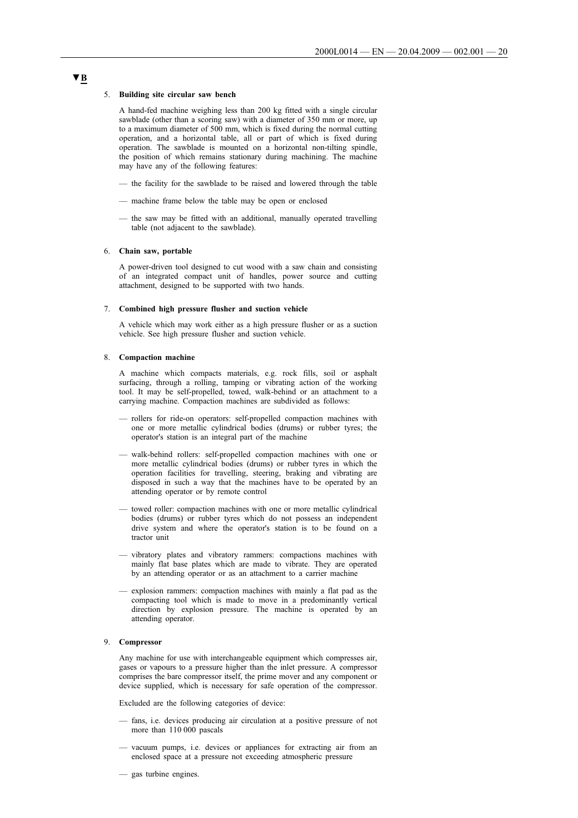#### 5. **Building site circular saw bench**

A hand-fed machine weighing less than 200 kg fitted with a single circular sawblade (other than a scoring saw) with a diameter of 350 mm or more, up to a maximum diameter of 500 mm, which is fixed during the normal cutting operation, and a horizontal table, all or part of which is fixed during operation. The sawblade is mounted on a horizontal non-tilting spindle, the position of which remains stationary during machining. The machine may have any of the following features:

- the facility for the sawblade to be raised and lowered through the table
- machine frame below the table may be open or enclosed
- the saw may be fitted with an additional, manually operated travelling table (not adjacent to the sawblade).

## 6. **Chain saw, portable**

A power-driven tool designed to cut wood with a saw chain and consisting of an integrated compact unit of handles, power source and cutting attachment, designed to be supported with two hands.

#### 7. **Combined high pressure flusher and suction vehicle**

A vehicle which may work either as a high pressure flusher or as a suction vehicle. See high pressure flusher and suction vehicle.

# 8. **Compaction machine**

A machine which compacts materials, e.g. rock fills, soil or asphalt surfacing, through a rolling, tamping or vibrating action of the working tool. It may be self-propelled, towed, walk-behind or an attachment to a carrying machine. Compaction machines are subdivided as follows:

- rollers for ride-on operators: self-propelled compaction machines with one or more metallic cylindrical bodies (drums) or rubber tyres; the operator's station is an integral part of the machine
- walk-behind rollers: self-propelled compaction machines with one or more metallic cylindrical bodies (drums) or rubber tyres in which the operation facilities for travelling, steering, braking and vibrating are disposed in such a way that the machines have to be operated by an attending operator or by remote control
- towed roller: compaction machines with one or more metallic cylindrical bodies (drums) or rubber tyres which do not possess an independent drive system and where the operator's station is to be found on a tractor unit
- vibratory plates and vibratory rammers: compactions machines with mainly flat base plates which are made to vibrate. They are operated by an attending operator or as an attachment to a carrier machine
- explosion rammers: compaction machines with mainly a flat pad as the compacting tool which is made to move in a predominantly vertical direction by explosion pressure. The machine is operated by an attending operator.

# 9. **Compressor**

Any machine for use with interchangeable equipment which compresses air, gases or vapours to a pressure higher than the inlet pressure. A compressor comprises the bare compressor itself, the prime mover and any component or device supplied, which is necessary for safe operation of the compressor.

Excluded are the following categories of device:

- fans, i.e. devices producing air circulation at a positive pressure of not more than 110 000 pascals
- vacuum pumps, i.e. devices or appliances for extracting air from an enclosed space at a pressure not exceeding atmospheric pressure
- gas turbine engines.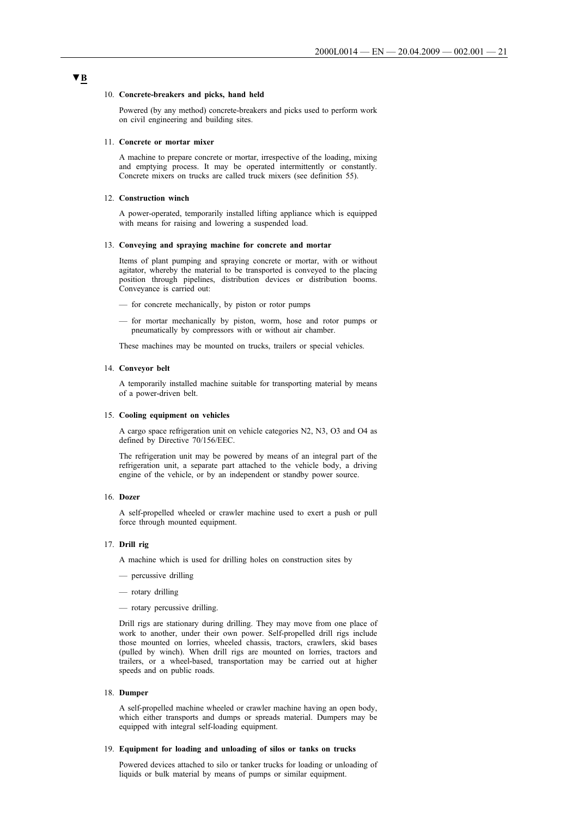#### 10. **Concrete-breakers and picks, hand held**

Powered (by any method) concrete-breakers and picks used to perform work on civil engineering and building sites.

#### 11. **Concrete or mortar mixer**

A machine to prepare concrete or mortar, irrespective of the loading, mixing and emptying process. It may be operated intermittently or constantly. Concrete mixers on trucks are called truck mixers (see definition 55).

#### 12. **Construction winch**

A power-operated, temporarily installed lifting appliance which is equipped with means for raising and lowering a suspended load.

#### 13. **Conveying and spraying machine for concrete and mortar**

Items of plant pumping and spraying concrete or mortar, with or without agitator, whereby the material to be transported is conveyed to the placing position through pipelines, distribution devices or distribution booms. Conveyance is carried out:

- for concrete mechanically, by piston or rotor pumps
- for mortar mechanically by piston, worm, hose and rotor pumps or pneumatically by compressors with or without air chamber.

These machines may be mounted on trucks, trailers or special vehicles.

## 14. **Conveyor belt**

A temporarily installed machine suitable for transporting material by means of a power-driven belt.

#### 15. **Cooling equipment on vehicles**

A cargo space refrigeration unit on vehicle categories N2, N3, O3 and O4 as defined by Directive 70/156/EEC.

The refrigeration unit may be powered by means of an integral part of the refrigeration unit, a separate part attached to the vehicle body, a driving engine of the vehicle, or by an independent or standby power source.

#### 16. **Dozer**

A self-propelled wheeled or crawler machine used to exert a push or pull force through mounted equipment.

#### 17. **Drill rig**

A machine which is used for drilling holes on construction sites by

- percussive drilling
- rotary drilling
- rotary percussive drilling.

Drill rigs are stationary during drilling. They may move from one place of work to another, under their own power. Self-propelled drill rigs include those mounted on lorries, wheeled chassis, tractors, crawlers, skid bases (pulled by winch). When drill rigs are mounted on lorries, tractors and trailers, or a wheel-based, transportation may be carried out at higher speeds and on public roads.

#### 18. **Dumper**

A self-propelled machine wheeled or crawler machine having an open body, which either transports and dumps or spreads material. Dumpers may be equipped with integral self-loading equipment.

#### 19. **Equipment for loading and unloading of silos or tanks on trucks**

Powered devices attached to silo or tanker trucks for loading or unloading of liquids or bulk material by means of pumps or similar equipment.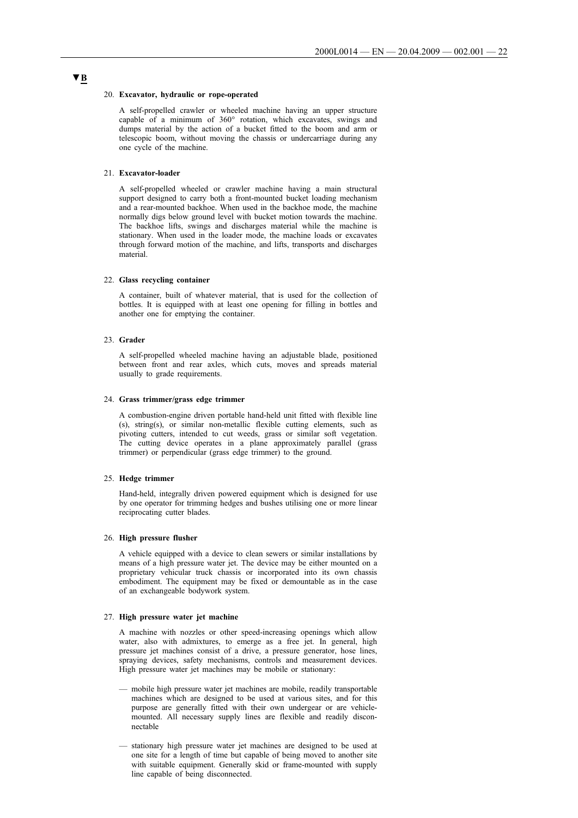#### 20. **Excavator, hydraulic or rope-operated**

A self-propelled crawler or wheeled machine having an upper structure capable of a minimum of 360° rotation, which excavates, swings and dumps material by the action of a bucket fitted to the boom and arm or telescopic boom, without moving the chassis or undercarriage during any one cycle of the machine.

#### 21. **Excavator-loader**

A self-propelled wheeled or crawler machine having a main structural support designed to carry both a front-mounted bucket loading mechanism and a rear-mounted backhoe. When used in the backhoe mode, the machine normally digs below ground level with bucket motion towards the machine. The backhoe lifts, swings and discharges material while the machine is stationary. When used in the loader mode, the machine loads or excavates through forward motion of the machine, and lifts, transports and discharges material.

#### 22. **Glass recycling container**

A container, built of whatever material, that is used for the collection of bottles. It is equipped with at least one opening for filling in bottles and another one for emptying the container.

#### 23. **Grader**

A self-propelled wheeled machine having an adjustable blade, positioned between front and rear axles, which cuts, moves and spreads material usually to grade requirements.

#### 24. **Grass trimmer/grass edge trimmer**

A combustion-engine driven portable hand-held unit fitted with flexible line (s), string(s), or similar non-metallic flexible cutting elements, such as pivoting cutters, intended to cut weeds, grass or similar soft vegetation. The cutting device operates in a plane approximately parallel (grass trimmer) or perpendicular (grass edge trimmer) to the ground.

#### 25. **Hedge trimmer**

Hand-held, integrally driven powered equipment which is designed for use by one operator for trimming hedges and bushes utilising one or more linear reciprocating cutter blades.

#### 26. **High pressure flusher**

A vehicle equipped with a device to clean sewers or similar installations by means of a high pressure water jet. The device may be either mounted on a proprietary vehicular truck chassis or incorporated into its own chassis embodiment. The equipment may be fixed or demountable as in the case of an exchangeable bodywork system.

#### 27. **High pressure water jet machine**

A machine with nozzles or other speed-increasing openings which allow water, also with admixtures, to emerge as a free jet. In general, high pressure jet machines consist of a drive, a pressure generator, hose lines, spraying devices, safety mechanisms, controls and measurement devices. High pressure water jet machines may be mobile or stationary:

- mobile high pressure water jet machines are mobile, readily transportable machines which are designed to be used at various sites, and for this purpose are generally fitted with their own undergear or are vehiclemounted. All necessary supply lines are flexible and readily disconnectable
- stationary high pressure water jet machines are designed to be used at one site for a length of time but capable of being moved to another site with suitable equipment. Generally skid or frame-mounted with supply line capable of being disconnected.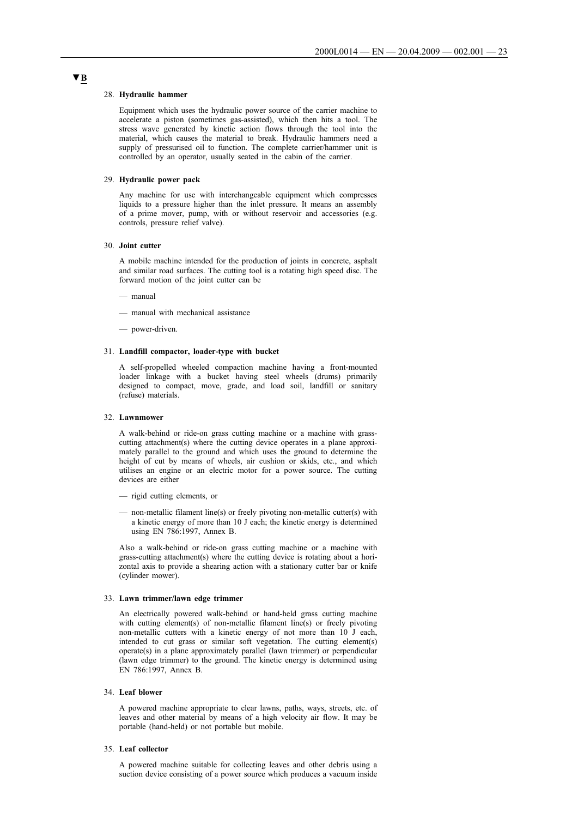#### 28. **Hydraulic hammer**

Equipment which uses the hydraulic power source of the carrier machine to accelerate a piston (sometimes gas-assisted), which then hits a tool. The stress wave generated by kinetic action flows through the tool into the material, which causes the material to break. Hydraulic hammers need a supply of pressurised oil to function. The complete carrier/hammer unit is controlled by an operator, usually seated in the cabin of the carrier.

#### 29. **Hydraulic power pack**

Any machine for use with interchangeable equipment which compresses liquids to a pressure higher than the inlet pressure. It means an assembly of a prime mover, pump, with or without reservoir and accessories (e.g. controls, pressure relief valve).

#### 30. **Joint cutter**

A mobile machine intended for the production of joints in concrete, asphalt and similar road surfaces. The cutting tool is a rotating high speed disc. The forward motion of the joint cutter can be

— manual

- manual with mechanical assistance
- power-driven.

#### 31. **Landfill compactor, loader-type with bucket**

A self-propelled wheeled compaction machine having a front-mounted loader linkage with a bucket having steel wheels (drums) primarily designed to compact, move, grade, and load soil, landfill or sanitary (refuse) materials.

#### 32. **Lawnmower**

A walk-behind or ride-on grass cutting machine or a machine with grasscutting attachment(s) where the cutting device operates in a plane approximately parallel to the ground and which uses the ground to determine the height of cut by means of wheels, air cushion or skids, etc., and which utilises an engine or an electric motor for a power source. The cutting devices are either

- rigid cutting elements, or
- non-metallic filament line(s) or freely pivoting non-metallic cutter(s) with a kinetic energy of more than 10 J each; the kinetic energy is determined using EN 786:1997, Annex B.

Also a walk-behind or ride-on grass cutting machine or a machine with grass-cutting attachment(s) where the cutting device is rotating about a horizontal axis to provide a shearing action with a stationary cutter bar or knife (cylinder mower).

#### 33. **Lawn trimmer/lawn edge trimmer**

An electrically powered walk-behind or hand-held grass cutting machine with cutting element(s) of non-metallic filament line(s) or freely pivoting non-metallic cutters with a kinetic energy of not more than 10 J each, intended to cut grass or similar soft vegetation. The cutting element(s) operate(s) in a plane approximately parallel (lawn trimmer) or perpendicular (lawn edge trimmer) to the ground. The kinetic energy is determined using EN 786:1997, Annex B.

#### 34. **Leaf blower**

A powered machine appropriate to clear lawns, paths, ways, streets, etc. of leaves and other material by means of a high velocity air flow. It may be portable (hand-held) or not portable but mobile.

## 35. **Leaf collector**

A powered machine suitable for collecting leaves and other debris using a suction device consisting of a power source which produces a vacuum inside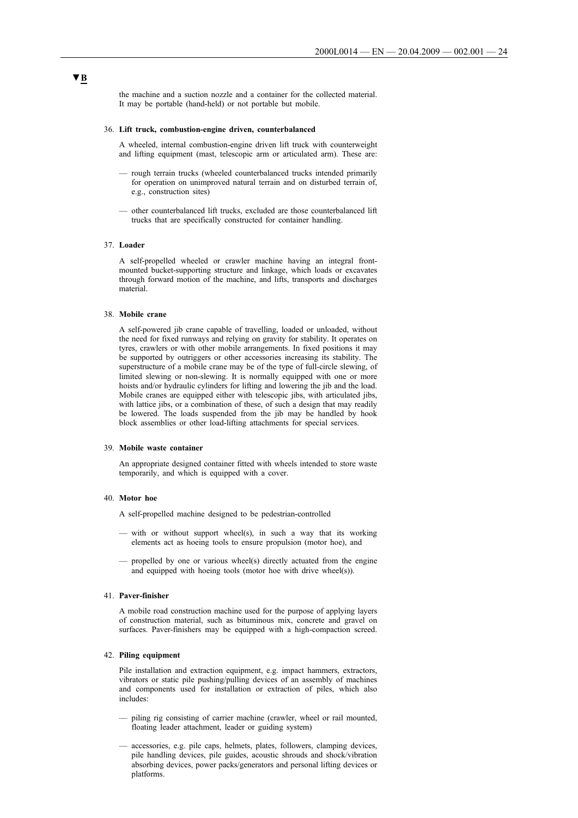the machine and a suction nozzle and a container for the collected material. It may be portable (hand-held) or not portable but mobile.

#### 36. **Lift truck, combustion-engine driven, counterbalanced**

A wheeled, internal combustion-engine driven lift truck with counterweight and lifting equipment (mast, telescopic arm or articulated arm). These are:

- rough terrain trucks (wheeled counterbalanced trucks intended primarily for operation on unimproved natural terrain and on disturbed terrain of, e.g., construction sites)
- other counterbalanced lift trucks, excluded are those counterbalanced lift trucks that are specifically constructed for container handling.

#### 37. **Loader**

A self-propelled wheeled or crawler machine having an integral frontmounted bucket-supporting structure and linkage, which loads or excavates through forward motion of the machine, and lifts, transports and discharges material.

## 38. **Mobile crane**

A self-powered jib crane capable of travelling, loaded or unloaded, without the need for fixed runways and relying on gravity for stability. It operates on tyres, crawlers or with other mobile arrangements. In fixed positions it may be supported by outriggers or other accessories increasing its stability. The superstructure of a mobile crane may be of the type of full-circle slewing, of limited slewing or non-slewing. It is normally equipped with one or more hoists and/or hydraulic cylinders for lifting and lowering the jib and the load. Mobile cranes are equipped either with telescopic jibs, with articulated jibs, with lattice jibs, or a combination of these, of such a design that may readily be lowered. The loads suspended from the jib may be handled by hook block assemblies or other load-lifting attachments for special services.

## 39. **Mobile waste container**

An appropriate designed container fitted with wheels intended to store waste temporarily, and which is equipped with a cover.

#### 40. **Motor hoe**

A self-propelled machine designed to be pedestrian-controlled

- with or without support wheel(s), in such a way that its working elements act as hoeing tools to ensure propulsion (motor hoe), and
- propelled by one or various wheel(s) directly actuated from the engine and equipped with hoeing tools (motor hoe with drive wheel(s)).

#### 41. **Paver-finisher**

A mobile road construction machine used for the purpose of applying layers of construction material, such as bituminous mix, concrete and gravel on surfaces. Paver-finishers may be equipped with a high-compaction screed.

## 42. **Piling equipment**

Pile installation and extraction equipment, e.g. impact hammers, extractors, vibrators or static pile pushing/pulling devices of an assembly of machines and components used for installation or extraction of piles, which also includes:

- piling rig consisting of carrier machine (crawler, wheel or rail mounted, floating leader attachment, leader or guiding system)
- accessories, e.g. pile caps, helmets, plates, followers, clamping devices, pile handling devices, pile guides, acoustic shrouds and shock/vibration absorbing devices, power packs/generators and personal lifting devices or platforms.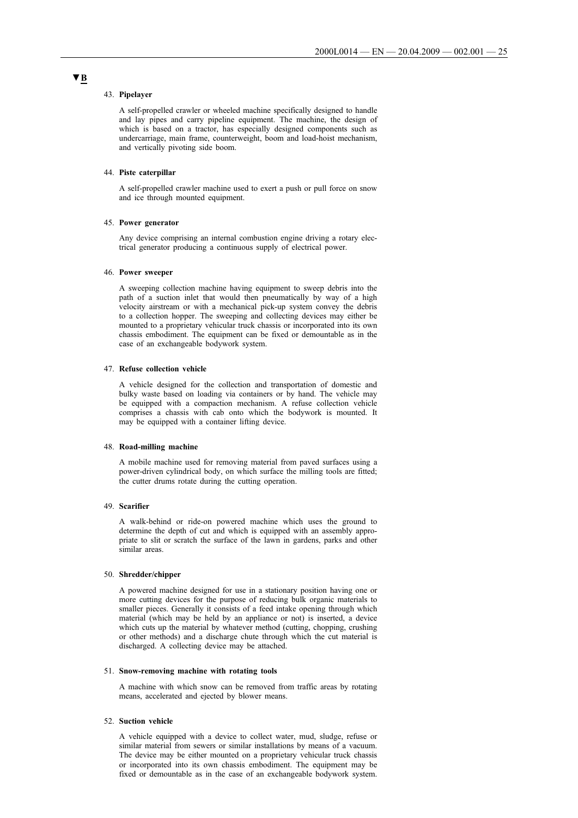#### 43. **Pipelayer**

A self-propelled crawler or wheeled machine specifically designed to handle and lay pipes and carry pipeline equipment. The machine, the design of which is based on a tractor, has especially designed components such as undercarriage, main frame, counterweight, boom and load-hoist mechanism, and vertically pivoting side boom.

#### 44. **Piste caterpillar**

A self-propelled crawler machine used to exert a push or pull force on snow and ice through mounted equipment.

#### 45. **Power generator**

Any device comprising an internal combustion engine driving a rotary electrical generator producing a continuous supply of electrical power.

## 46. **Power sweeper**

A sweeping collection machine having equipment to sweep debris into the path of a suction inlet that would then pneumatically by way of a high velocity airstream or with a mechanical pick-up system convey the debris to a collection hopper. The sweeping and collecting devices may either be mounted to a proprietary vehicular truck chassis or incorporated into its own chassis embodiment. The equipment can be fixed or demountable as in the case of an exchangeable bodywork system.

## 47. **Refuse collection vehicle**

A vehicle designed for the collection and transportation of domestic and bulky waste based on loading via containers or by hand. The vehicle may be equipped with a compaction mechanism. A refuse collection vehicle comprises a chassis with cab onto which the bodywork is mounted. It may be equipped with a container lifting device.

#### 48. **Road-milling machine**

A mobile machine used for removing material from paved surfaces using a power-driven cylindrical body, on which surface the milling tools are fitted; the cutter drums rotate during the cutting operation.

#### 49. **Scarifier**

A walk-behind or ride-on powered machine which uses the ground to determine the depth of cut and which is equipped with an assembly appropriate to slit or scratch the surface of the lawn in gardens, parks and other similar areas.

#### 50. **Shredder/chipper**

A powered machine designed for use in a stationary position having one or more cutting devices for the purpose of reducing bulk organic materials to smaller pieces. Generally it consists of a feed intake opening through which material (which may be held by an appliance or not) is inserted, a device which cuts up the material by whatever method (cutting, chopping, crushing or other methods) and a discharge chute through which the cut material is discharged. A collecting device may be attached.

#### 51. **Snow-removing machine with rotating tools**

A machine with which snow can be removed from traffic areas by rotating means, accelerated and ejected by blower means.

#### 52. **Suction vehicle**

A vehicle equipped with a device to collect water, mud, sludge, refuse or similar material from sewers or similar installations by means of a vacuum. The device may be either mounted on a proprietary vehicular truck chassis or incorporated into its own chassis embodiment. The equipment may be fixed or demountable as in the case of an exchangeable bodywork system.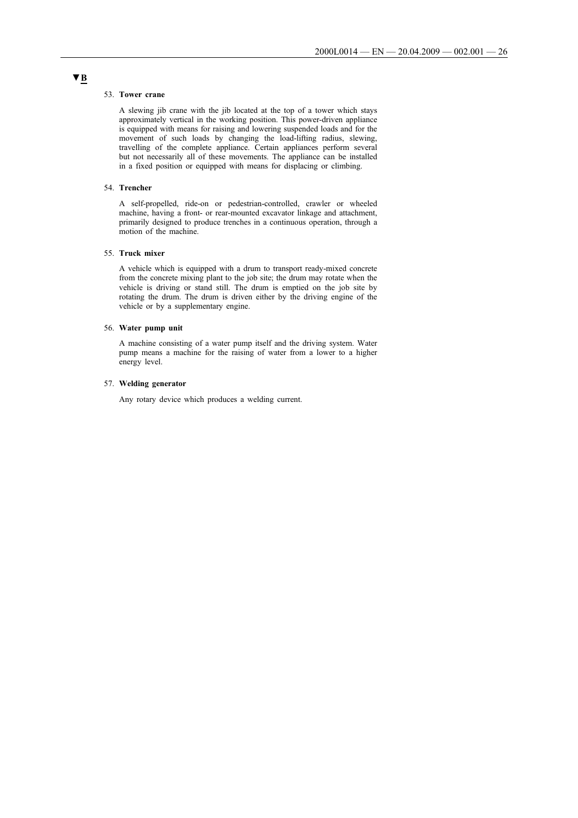#### 53. **Tower crane**

A slewing jib crane with the jib located at the top of a tower which stays approximately vertical in the working position. This power-driven appliance is equipped with means for raising and lowering suspended loads and for the movement of such loads by changing the load-lifting radius, slewing, travelling of the complete appliance. Certain appliances perform several but not necessarily all of these movements. The appliance can be installed in a fixed position or equipped with means for displacing or climbing.

## 54. **Trencher**

A self-propelled, ride-on or pedestrian-controlled, crawler or wheeled machine, having a front- or rear-mounted excavator linkage and attachment, primarily designed to produce trenches in a continuous operation, through a motion of the machine.

#### 55. **Truck mixer**

A vehicle which is equipped with a drum to transport ready-mixed concrete from the concrete mixing plant to the job site; the drum may rotate when the vehicle is driving or stand still. The drum is emptied on the job site by rotating the drum. The drum is driven either by the driving engine of the vehicle or by a supplementary engine.

#### 56. **Water pump unit**

A machine consisting of a water pump itself and the driving system. Water pump means a machine for the raising of water from a lower to a higher energy level.

#### 57. **Welding generator**

Any rotary device which produces a welding current.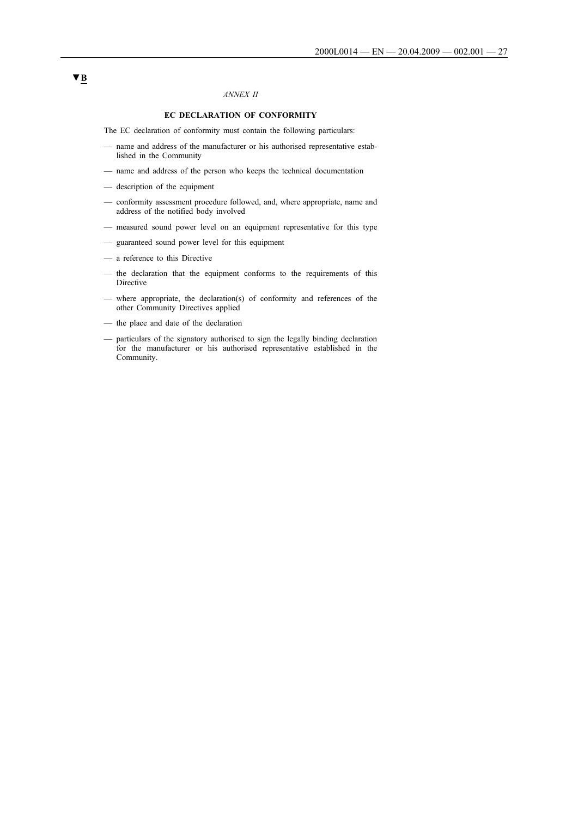# *ANNEX II*

# **EC DECLARATION OF CONFORMITY**

The EC declaration of conformity must contain the following particulars:

- name and address of the manufacturer or his authorised representative established in the Community
- name and address of the person who keeps the technical documentation
- description of the equipment
- conformity assessment procedure followed, and, where appropriate, name and address of the notified body involved
- measured sound power level on an equipment representative for this type
- guaranteed sound power level for this equipment
- a reference to this Directive
- the declaration that the equipment conforms to the requirements of this Directive
- where appropriate, the declaration(s) of conformity and references of the other Community Directives applied
- the place and date of the declaration
- particulars of the signatory authorised to sign the legally binding declaration for the manufacturer or his authorised representative established in the Community.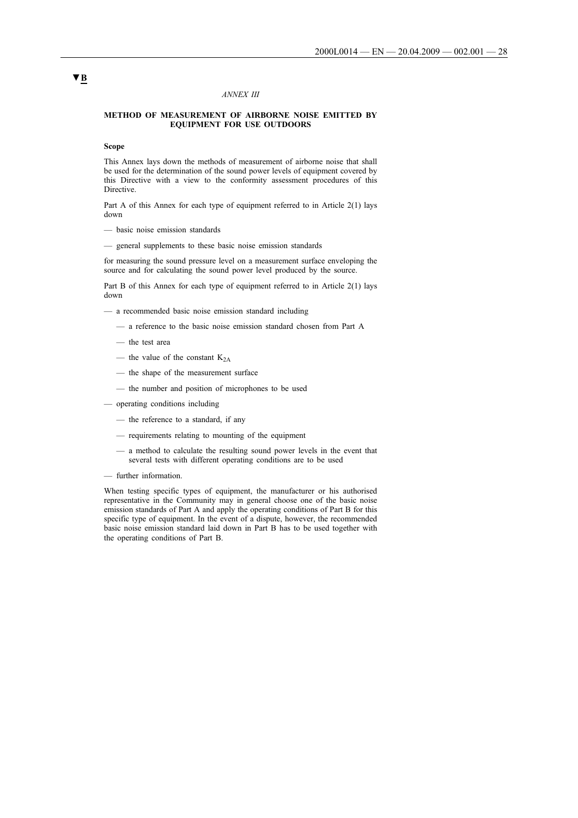## *ANNEX III*

## **METHOD OF MEASUREMENT OF AIRBORNE NOISE EMITTED BY EQUIPMENT FOR USE OUTDOORS**

## **Scope**

This Annex lays down the methods of measurement of airborne noise that shall be used for the determination of the sound power levels of equipment covered by this Directive with a view to the conformity assessment procedures of this Directive.

Part A of this Annex for each type of equipment referred to in Article 2(1) lays down

- basic noise emission standards
- general supplements to these basic noise emission standards

for measuring the sound pressure level on a measurement surface enveloping the source and for calculating the sound power level produced by the source.

Part B of this Annex for each type of equipment referred to in Article 2(1) lays down

- a recommended basic noise emission standard including
	- a reference to the basic noise emission standard chosen from Part A
	- the test area
	- the value of the constant  $K_{2A}$
	- the shape of the measurement surface
	- the number and position of microphones to be used
- operating conditions including
	- the reference to a standard, if any
	- requirements relating to mounting of the equipment
	- a method to calculate the resulting sound power levels in the event that several tests with different operating conditions are to be used
- further information.

When testing specific types of equipment, the manufacturer or his authorised representative in the Community may in general choose one of the basic noise emission standards of Part A and apply the operating conditions of Part B for this specific type of equipment. In the event of a dispute, however, the recommended basic noise emission standard laid down in Part B has to be used together with the operating conditions of Part B.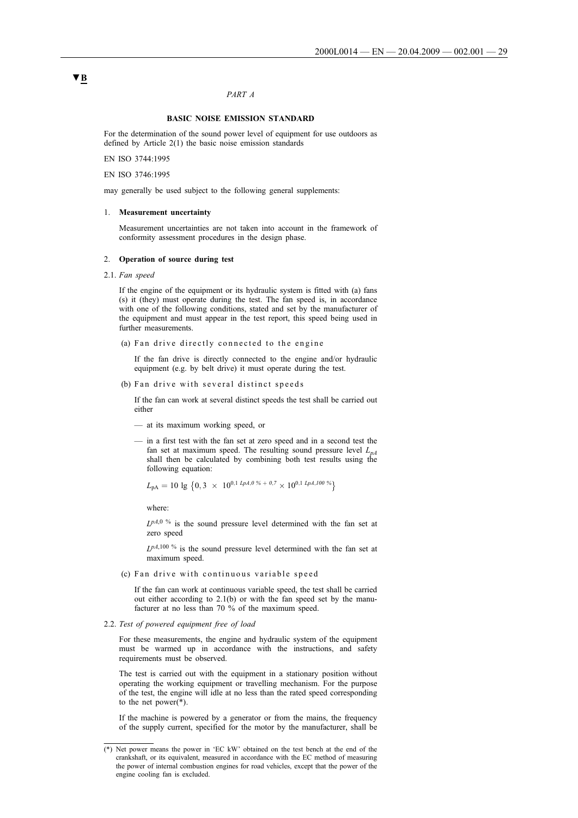# *PART A*

## **BASIC NOISE EMISSION STANDARD**

For the determination of the sound power level of equipment for use outdoors as defined by Article 2(1) the basic noise emission standards

EN ISO 3744:1995

EN ISO 3746:1995

may generally be used subject to the following general supplements:

#### 1. **Measurement uncertainty**

Measurement uncertainties are not taken into account in the framework of conformity assessment procedures in the design phase.

## 2. **Operation of source during test**

2.1. *Fan speed*

If the engine of the equipment or its hydraulic system is fitted with (a) fans (s) it (they) must operate during the test. The fan speed is, in accordance with one of the following conditions, stated and set by the manufacturer of the equipment and must appear in the test report, this speed being used in further measurements.

(a) Fan drive directly connected to the engine

If the fan drive is directly connected to the engine and/or hydraulic equipment (e.g. by belt drive) it must operate during the test.

(b) Fan drive with several distinct speeds

If the fan can work at several distinct speeds the test shall be carried out either

- at its maximum working speed, or
- in a first test with the fan set at zero speed and in a second test the fan set at maximum speed. The resulting sound pressure level  $L_{pA}$ shall then be calculated by combining both test results using the following equation:

$$
L_{\rm pA} = 10 \lg \left\{ 0, 3 \times 10^{0,1} \ln 4, 0\% + 0.7 \times 10^{0,1} \ln 4, 100\% \right\}
$$

where:

*LpA*,0 % is the sound pressure level determined with the fan set at zero speed

*LpA*,100 % is the sound pressure level determined with the fan set at maximum speed.

#### (c) Fan drive with continuous variable speed

If the fan can work at continuous variable speed, the test shall be carried out either according to 2.1(b) or with the fan speed set by the manufacturer at no less than 70 % of the maximum speed.

2.2. *Test of powered equipment free of load*

For these measurements, the engine and hydraulic system of the equipment must be warmed up in accordance with the instructions, and safety requirements must be observed.

The test is carried out with the equipment in a stationary position without operating the working equipment or travelling mechanism. For the purpose of the test, the engine will idle at no less than the rated speed corresponding to the net power(\*).

If the machine is powered by a generator or from the mains, the frequency of the supply current, specified for the motor by the manufacturer, shall be

<sup>(\*)</sup> Net power means the power in 'EC kW' obtained on the test bench at the end of the crankshaft, or its equivalent, measured in accordance with the EC method of measuring the power of internal combustion engines for road vehicles, except that the power of the engine cooling fan is excluded.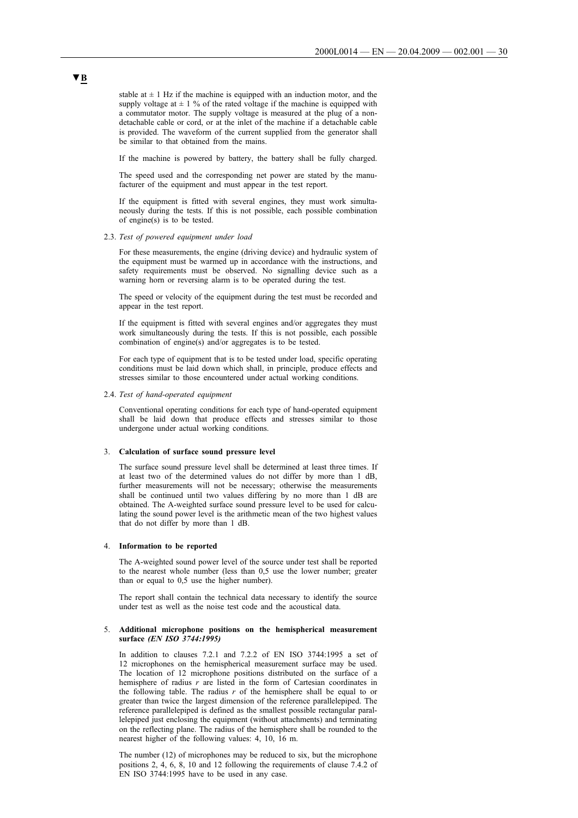stable at  $\pm$  1 Hz if the machine is equipped with an induction motor, and the supply voltage at  $\pm$  1 % of the rated voltage if the machine is equipped with a commutator motor. The supply voltage is measured at the plug of a nondetachable cable or cord, or at the inlet of the machine if a detachable cable is provided. The waveform of the current supplied from the generator shall be similar to that obtained from the mains.

If the machine is powered by battery, the battery shall be fully charged.

The speed used and the corresponding net power are stated by the manufacturer of the equipment and must appear in the test report.

If the equipment is fitted with several engines, they must work simultaneously during the tests. If this is not possible, each possible combination of engine(s) is to be tested.

2.3. *Test of powered equipment under load*

For these measurements, the engine (driving device) and hydraulic system of the equipment must be warmed up in accordance with the instructions, and safety requirements must be observed. No signalling device such as a warning horn or reversing alarm is to be operated during the test.

The speed or velocity of the equipment during the test must be recorded and appear in the test report.

If the equipment is fitted with several engines and/or aggregates they must work simultaneously during the tests. If this is not possible, each possible combination of engine(s) and/or aggregates is to be tested.

For each type of equipment that is to be tested under load, specific operating conditions must be laid down which shall, in principle, produce effects and stresses similar to those encountered under actual working conditions.

#### 2.4. *Test of hand-operated equipment*

Conventional operating conditions for each type of hand-operated equipment shall be laid down that produce effects and stresses similar to those undergone under actual working conditions.

#### 3. **Calculation of surface sound pressure level**

The surface sound pressure level shall be determined at least three times. If at least two of the determined values do not differ by more than 1 dB, further measurements will not be necessary; otherwise the measurements shall be continued until two values differing by no more than 1 dB are obtained. The A-weighted surface sound pressure level to be used for calculating the sound power level is the arithmetic mean of the two highest values that do not differ by more than 1 dB.

#### 4. **Information to be reported**

The A-weighted sound power level of the source under test shall be reported to the nearest whole number (less than 0,5 use the lower number; greater than or equal to 0,5 use the higher number).

The report shall contain the technical data necessary to identify the source under test as well as the noise test code and the acoustical data.

### 5. **Additional microphone positions on the hemispherical measurement surface** *(EN ISO 3744:1995)*

In addition to clauses 7.2.1 and 7.2.2 of EN ISO 3744:1995 a set of 12 microphones on the hemispherical measurement surface may be used. The location of 12 microphone positions distributed on the surface of a hemisphere of radius *r* are listed in the form of Cartesian coordinates in the following table. The radius *r* of the hemisphere shall be equal to or greater than twice the largest dimension of the reference parallelepiped. The reference parallelepiped is defined as the smallest possible rectangular parallelepiped just enclosing the equipment (without attachments) and terminating on the reflecting plane. The radius of the hemisphere shall be rounded to the nearest higher of the following values: 4, 10, 16 m.

The number (12) of microphones may be reduced to six, but the microphone positions 2, 4, 6, 8, 10 and 12 following the requirements of clause 7.4.2 of EN ISO 3744:1995 have to be used in any case.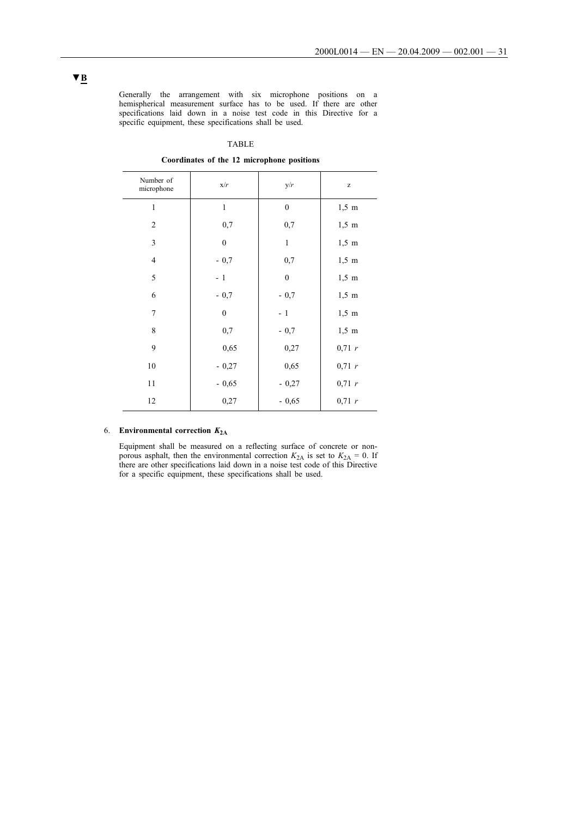Generally the arrangement with six microphone positions on a hemispherical measurement surface has to be used. If there are other specifications laid down in a noise test code in this Directive for a specific equipment, these specifications shall be used.

## TABLE

**Coordinates of the 12 microphone positions**

| Number of<br>microphone | x/r              | y/r              | $\mathbf{Z}% ^{T}=\mathbf{Z}^{T}\times\mathbf{Z}^{T}$ |
|-------------------------|------------------|------------------|-------------------------------------------------------|
| $\mathbf{1}$            | $\mathbf{1}$     | $\boldsymbol{0}$ | $1,5 \text{ m}$                                       |
| $\overline{c}$          | 0,7              | 0,7              | $1,5 \text{ m}$                                       |
| 3                       | $\boldsymbol{0}$ | $\mathbf{1}$     | $1,5 \text{ m}$                                       |
| $\overline{4}$          | $-0,7$           | 0,7              | $1,5 \text{ m}$                                       |
| 5                       | $-1$             | $\boldsymbol{0}$ | $1,5 \text{ m}$                                       |
| 6                       | $-0,7$           | $-0,7$           | $1,5 \text{ m}$                                       |
| 7                       | $\mathbf{0}$     | $-1$             | $1,5 \text{ m}$                                       |
| 8                       | 0,7              | $-0,7$           | $1,5 \text{ m}$                                       |
| 9                       | 0,65             | 0,27             | 0,71 r                                                |
| 10                      | $-0,27$          | 0,65             | 0,71 r                                                |
| 11                      | $-0,65$          | $-0,27$          | 0,71 r                                                |
| 12                      | 0,27             | $-0,65$          | 0,71 r                                                |

# 6. **Environmental correction** *K***2A**

Equipment shall be measured on a reflecting surface of concrete or nonporous asphalt, then the environmental correction  $K_{2A}$  is set to  $K_{2A} = 0$ . If there are other specifications laid down in a noise test code of this Directive for a specific equipment, these specifications shall be used.

l,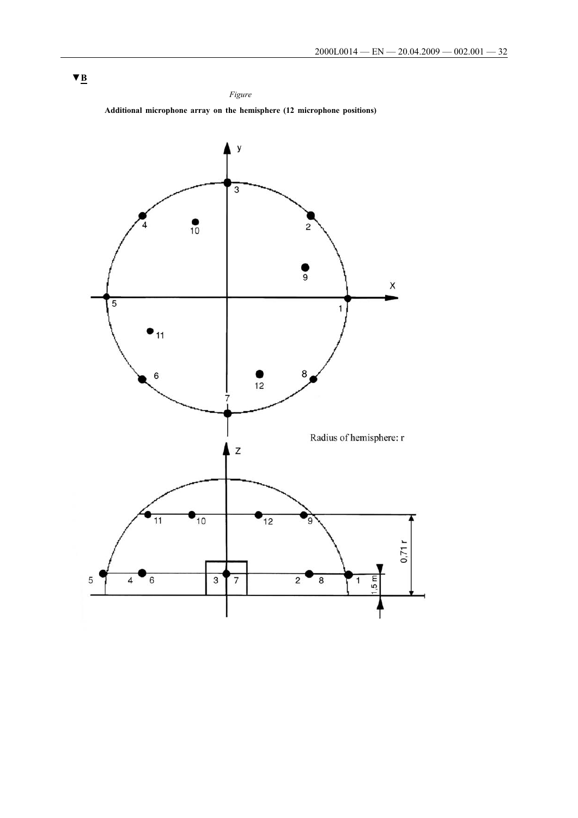# *Figure* **Additional microphone array on the hemisphere (12 microphone positions)**

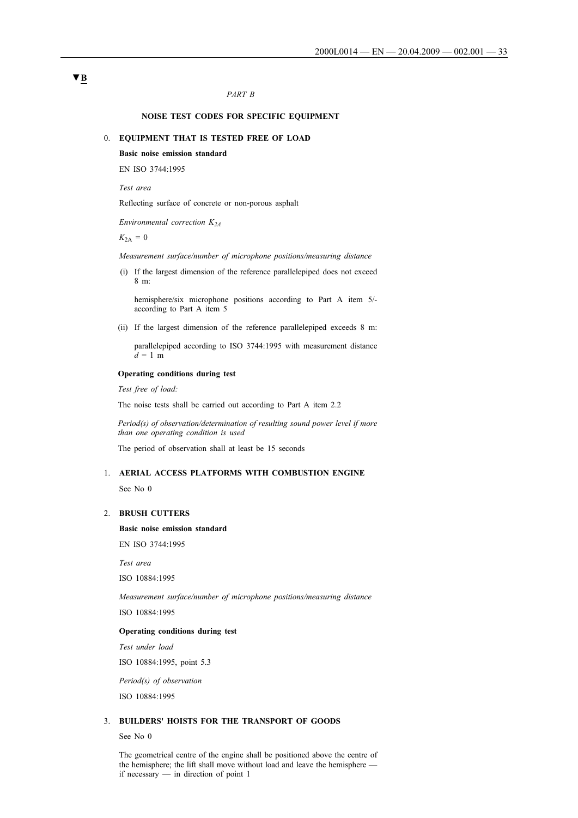# *PART B*

## **NOISE TEST CODES FOR SPECIFIC EQUIPMENT**

## 0. **EQUIPMENT THAT IS TESTED FREE OF LOAD**

# **Basic noise emission standard**

EN ISO 3744:1995

*Test area*

Reflecting surface of concrete or non-porous asphalt

*Environmental correction K2A*

 $K_{2A} = 0$ 

*Measurement surface/number of microphone positions/measuring distance*

i(i) If the largest dimension of the reference parallelepiped does not exceed 8 m:

hemisphere/six microphone positions according to Part A item 5/ according to Part A item 5

(ii) If the largest dimension of the reference parallelepiped exceeds 8 m:

parallelepiped according to ISO 3744:1995 with measurement distance  $d = 1$  m

# **Operating conditions during test**

*Test free of load:*

The noise tests shall be carried out according to Part A item 2.2

*Period(s) of observation/determination of resulting sound power level if more than one operating condition is used*

The period of observation shall at least be 15 seconds

# 1. **AERIAL ACCESS PLATFORMS WITH COMBUSTION ENGINE**

See No 0

# 2. **BRUSH CUTTERS**

**Basic noise emission standard**

EN ISO 3744:1995

*Test area*

ISO 10884:1995

*Measurement surface/number of microphone positions/measuring distance* ISO 10884:1995

# **Operating conditions during test**

*Test under load*

ISO 10884:1995, point 5.3

*Period(s) of observation*

ISO 10884:1995

# 3. **BUILDERS' HOISTS FOR THE TRANSPORT OF GOODS**

See No 0

The geometrical centre of the engine shall be positioned above the centre of the hemisphere; the lift shall move without load and leave the hemisphere if necessary — in direction of point 1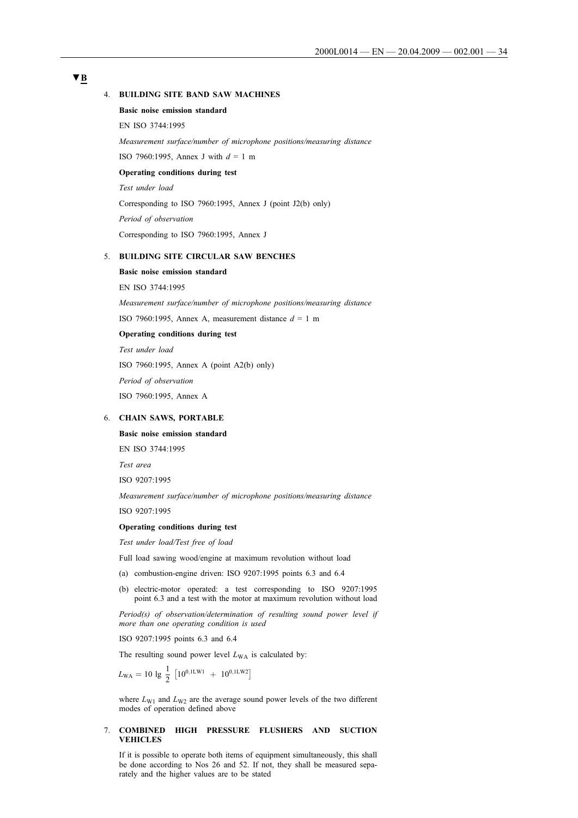# **▼B**

#### 4. **BUILDING SITE BAND SAW MACHINES**

## **Basic noise emission standard**

EN ISO 3744:1995

*Measurement surface/number of microphone positions/measuring distance*

ISO 7960:1995, Annex J with  $d = 1$  m

## **Operating conditions during test**

*Test under load*

Corresponding to ISO 7960:1995, Annex J (point J2(b) only)

*Period of observation*

Corresponding to ISO 7960:1995, Annex J

# 5. **BUILDING SITE CIRCULAR SAW BENCHES**

#### **Basic noise emission standard**

EN ISO 3744:1995

*Measurement surface/number of microphone positions/measuring distance*

ISO 7960:1995, Annex A, measurement distance  $d = 1$  m

# **Operating conditions during test**

*Test under load* ISO 7960:1995, Annex A (point A2(b) only) *Period of observation* ISO 7960:1995, Annex A

## 6. **CHAIN SAWS, PORTABLE**

# **Basic noise emission standard**

EN ISO 3744:1995

*Test area*

ISO 9207:1995

*Measurement surface/number of microphone positions/measuring distance* ISO 9207:1995

## **Operating conditions during test**

*Test under load/Test free of load*

Full load sawing wood/engine at maximum revolution without load

- (a) combustion-engine driven: ISO 9207:1995 points 6.3 and 6.4
- (b) electric-motor operated: a test corresponding to ISO 9207:1995 point 6.3 and a test with the motor at maximum revolution without load

*Period(s) of observation/determination of resulting sound power level if more than one operating condition is used*

ISO 9207:1995 points 6.3 and 6.4

The resulting sound power level  $L_{WA}$  is calculated by:

 $L_{\text{WA}} = 10 \lg \frac{1}{2} [10^{0,1 \text{LW1}} + 10^{0,1 \text{LW2}}]$ 

where  $L_{\text{W1}}$  and  $L_{\text{W2}}$  are the average sound power levels of the two different modes of operation defined above

## 7. **COMBINED HIGH PRESSURE FLUSHERS AND SUCTION VEHICLES**

If it is possible to operate both items of equipment simultaneously, this shall be done according to Nos 26 and 52. If not, they shall be measured separately and the higher values are to be stated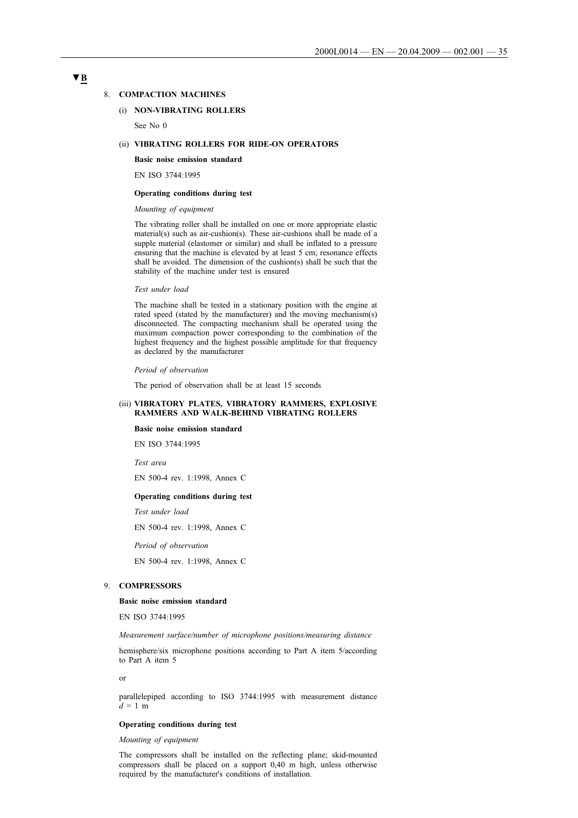#### 8. **COMPACTION MACHINES**

### (i) **NON-VIBRATING ROLLERS**

See No 0

### (ii) **VIBRATING ROLLERS FOR RIDE-ON OPERATORS**

**Basic noise emission standard**

EN ISO 3744:1995

#### **Operating conditions during test**

### *Mounting of equipment*

The vibrating roller shall be installed on one or more appropriate elastic material(s) such as air-cushion(s). These air-cushions shall be made of a supple material (elastomer or similar) and shall be inflated to a pressure ensuring that the machine is elevated by at least 5 cm; resonance effects shall be avoided. The dimension of the cushion(s) shall be such that the stability of the machine under test is ensured

#### *Test under load*

The machine shall be tested in a stationary position with the engine at rated speed (stated by the manufacturer) and the moving mechanism(s) disconnected. The compacting mechanism shall be operated using the maximum compaction power corresponding to the combination of the highest frequency and the highest possible amplitude for that frequency as declared by the manufacturer

#### *Period of observation*

The period of observation shall be at least 15 seconds

# (iii) **VIBRATORY PLATES, VIBRATORY RAMMERS, EXPLOSIVE RAMMERS AND WALK-BEHIND VIBRATING ROLLERS**

### **Basic noise emission standard**

EN ISO 3744:1995

*Test area*

EN 500-4 rev. 1:1998, Annex C

## **Operating conditions during test**

*Test under load*

EN 500-4 rev. 1:1998, Annex C

*Period of observation*

EN 500-4 rev. 1:1998, Annex C

# 9. **COMPRESSORS**

#### **Basic noise emission standard**

EN ISO 3744:1995

*Measurement surface/number of microphone positions/measuring distance*

hemisphere/six microphone positions according to Part A item 5/according to Part A item 5

or

parallelepiped according to ISO 3744:1995 with measurement distance  $d = 1$  m

#### **Operating conditions during test**

*Mounting of equipment*

The compressors shall be installed on the reflecting plane; skid-mounted compressors shall be placed on a support 0,40 m high, unless otherwise required by the manufacturer's conditions of installation.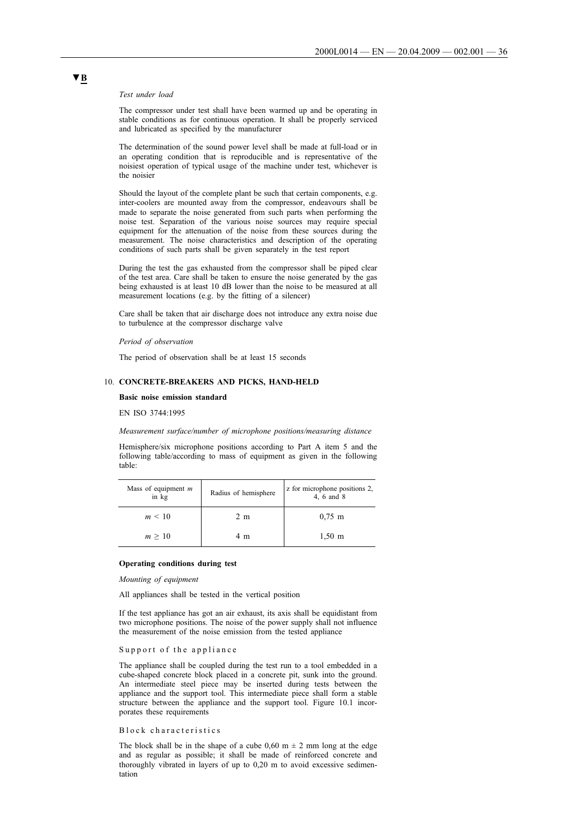#### *Test under load*

The compressor under test shall have been warmed up and be operating in stable conditions as for continuous operation. It shall be properly serviced and lubricated as specified by the manufacturer

The determination of the sound power level shall be made at full-load or in an operating condition that is reproducible and is representative of the noisiest operation of typical usage of the machine under test, whichever is the noisier

Should the layout of the complete plant be such that certain components, e.g. inter-coolers are mounted away from the compressor, endeavours shall be made to separate the noise generated from such parts when performing the noise test. Separation of the various noise sources may require special equipment for the attenuation of the noise from these sources during the measurement. The noise characteristics and description of the operating conditions of such parts shall be given separately in the test report

During the test the gas exhausted from the compressor shall be piped clear of the test area. Care shall be taken to ensure the noise generated by the gas being exhausted is at least 10 dB lower than the noise to be measured at all measurement locations (e.g. by the fitting of a silencer)

Care shall be taken that air discharge does not introduce any extra noise due to turbulence at the compressor discharge valve

#### *Period of observation*

The period of observation shall be at least 15 seconds

## 10. **CONCRETE-BREAKERS AND PICKS, HAND-HELD**

### **Basic noise emission standard**

EN ISO 3744:1995

#### *Measurement surface/number of microphone positions/measuring distance*

Hemisphere/six microphone positions according to Part A item 5 and the following table/according to mass of equipment as given in the following table:

| Mass of equipment $m$<br>in kg | Radius of hemisphere | z for microphone positions 2,<br>4, 6 and 8 |
|--------------------------------|----------------------|---------------------------------------------|
| $m \leq 10$                    | 2 m                  | $0.75 \; \mathrm{m}$                        |
| $m \geq 10$                    | 4 m                  | $1,50 \; \text{m}$                          |

#### **Operating conditions during test**

*Mounting of equipment*

All appliances shall be tested in the vertical position

If the test appliance has got an air exhaust, its axis shall be equidistant from two microphone positions. The noise of the power supply shall not influence the measurement of the noise emission from the tested appliance

#### Support of the appliance

The appliance shall be coupled during the test run to a tool embedded in a cube-shaped concrete block placed in a concrete pit, sunk into the ground. An intermediate steel piece may be inserted during tests between the appliance and the support tool. This intermediate piece shall form a stable structure between the appliance and the support tool. Figure 10.1 incorporates these requirements

#### Block characteristics

The block shall be in the shape of a cube  $0.60 \text{ m } \pm 2 \text{ mm}$  long at the edge and as regular as possible; it shall be made of reinforced concrete and thoroughly vibrated in layers of up to 0,20 m to avoid excessive sedimentation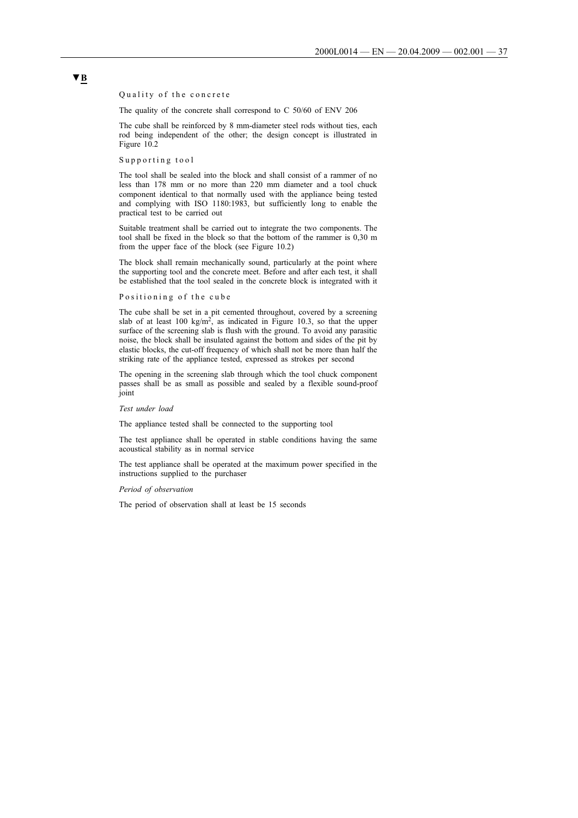Quality of the concrete

The quality of the concrete shall correspond to C 50/60 of ENV 206

The cube shall be reinforced by 8 mm-diameter steel rods without ties, each rod being independent of the other; the design concept is illustrated in Figure 10.2

Supporting tool

The tool shall be sealed into the block and shall consist of a rammer of no less than 178 mm or no more than 220 mm diameter and a tool chuck component identical to that normally used with the appliance being tested and complying with ISO 1180:1983, but sufficiently long to enable the practical test to be carried out

Suitable treatment shall be carried out to integrate the two components. The tool shall be fixed in the block so that the bottom of the rammer is 0,30 m from the upper face of the block (see Figure 10.2)

The block shall remain mechanically sound, particularly at the point where the supporting tool and the concrete meet. Before and after each test, it shall be established that the tool sealed in the concrete block is integrated with it

Positioning of the cube

The cube shall be set in a pit cemented throughout, covered by a screening slab of at least 100 kg/m<sup>2</sup>, as indicated in Figure 10.3, so that the upper surface of the screening slab is flush with the ground. To avoid any parasitic noise, the block shall be insulated against the bottom and sides of the pit by elastic blocks, the cut-off frequency of which shall not be more than half the striking rate of the appliance tested, expressed as strokes per second

The opening in the screening slab through which the tool chuck component passes shall be as small as possible and sealed by a flexible sound-proof joint

*Test under load*

The appliance tested shall be connected to the supporting tool

The test appliance shall be operated in stable conditions having the same acoustical stability as in normal service

The test appliance shall be operated at the maximum power specified in the instructions supplied to the purchaser

#### *Period of observation*

The period of observation shall at least be 15 seconds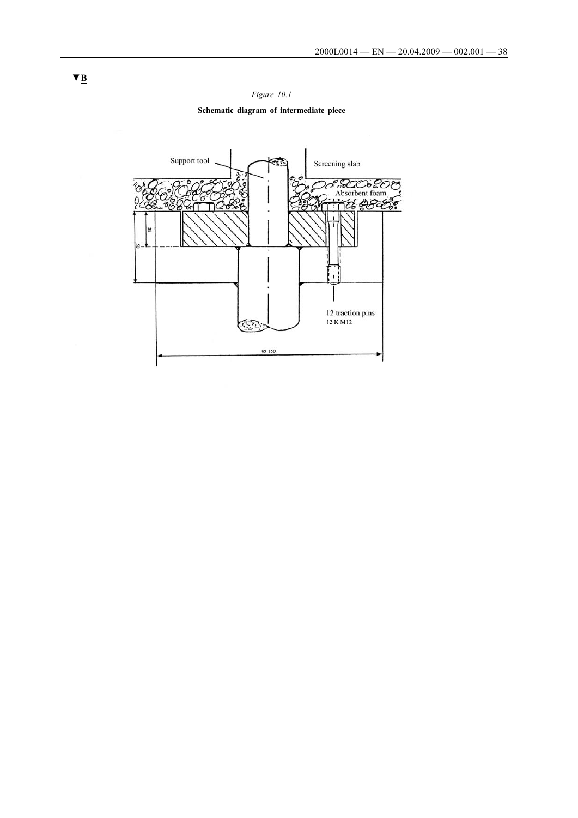

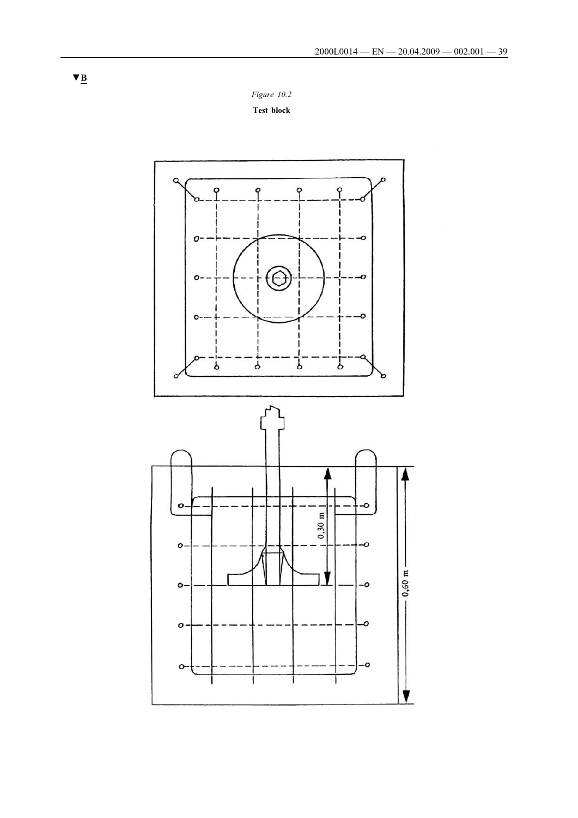*Figure 10.2*

**Test block**

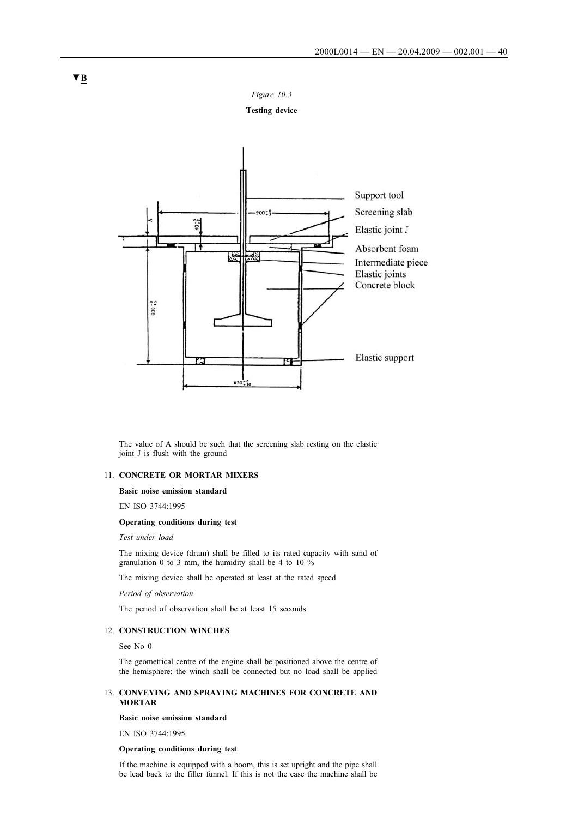*Figure 10.3*

**Testing device**



The value of A should be such that the screening slab resting on the elastic joint J is flush with the ground

# 11. **CONCRETE OR MORTAR MIXERS**

### **Basic noise emission standard**

EN ISO 3744:1995

# **Operating conditions during test**

*Test under load*

The mixing device (drum) shall be filled to its rated capacity with sand of granulation 0 to 3 mm, the humidity shall be 4 to 10 %

The mixing device shall be operated at least at the rated speed

*Period of observation*

The period of observation shall be at least 15 seconds

# 12. **CONSTRUCTION WINCHES**

See No 0

The geometrical centre of the engine shall be positioned above the centre of the hemisphere; the winch shall be connected but no load shall be applied

#### 13. **CONVEYING AND SPRAYING MACHINES FOR CONCRETE AND MORTAR**

#### **Basic noise emission standard**

EN ISO 3744:1995

# **Operating conditions during test**

If the machine is equipped with a boom, this is set upright and the pipe shall be lead back to the filler funnel. If this is not the case the machine shall be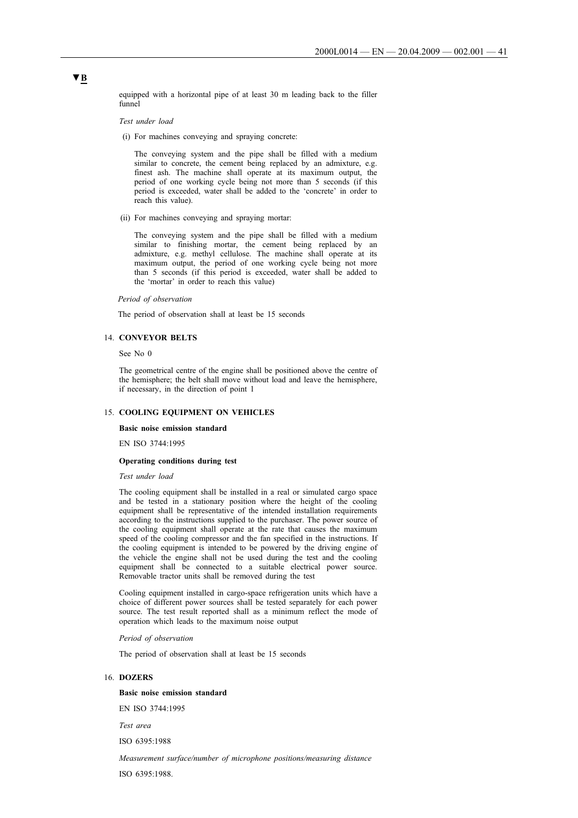equipped with a horizontal pipe of at least 30 m leading back to the filler funnel

*Test under load*

(i) For machines conveying and spraying concrete:

The conveying system and the pipe shall be filled with a medium similar to concrete, the cement being replaced by an admixture, e.g. finest ash. The machine shall operate at its maximum output, the period of one working cycle being not more than 5 seconds (if this period is exceeded, water shall be added to the 'concrete' in order to reach this value).

(ii) For machines conveying and spraying mortar:

The conveying system and the pipe shall be filled with a medium similar to finishing mortar, the cement being replaced by an admixture, e.g. methyl cellulose. The machine shall operate at its maximum output, the period of one working cycle being not more than 5 seconds (if this period is exceeded, water shall be added to the 'mortar' in order to reach this value)

#### *Period of observation*

The period of observation shall at least be 15 seconds

#### 14. **CONVEYOR BELTS**

See No 0

The geometrical centre of the engine shall be positioned above the centre of the hemisphere; the belt shall move without load and leave the hemisphere, if necessary, in the direction of point 1

#### 15. **COOLING EQUIPMENT ON VEHICLES**

#### **Basic noise emission standard**

EN ISO 3744:1995

# **Operating conditions during test**

*Test under load*

The cooling equipment shall be installed in a real or simulated cargo space and be tested in a stationary position where the height of the cooling equipment shall be representative of the intended installation requirements according to the instructions supplied to the purchaser. The power source of the cooling equipment shall operate at the rate that causes the maximum speed of the cooling compressor and the fan specified in the instructions. If the cooling equipment is intended to be powered by the driving engine of the vehicle the engine shall not be used during the test and the cooling equipment shall be connected to a suitable electrical power source. Removable tractor units shall be removed during the test

Cooling equipment installed in cargo-space refrigeration units which have a choice of different power sources shall be tested separately for each power source. The test result reported shall as a minimum reflect the mode of operation which leads to the maximum noise output

*Period of observation*

The period of observation shall at least be 15 seconds

#### 16. **DOZERS**

#### **Basic noise emission standard**

EN ISO 3744:1995

*Test area*

ISO 6395:1988

*Measurement surface/number of microphone positions/measuring distance*

ISO 6395:1988.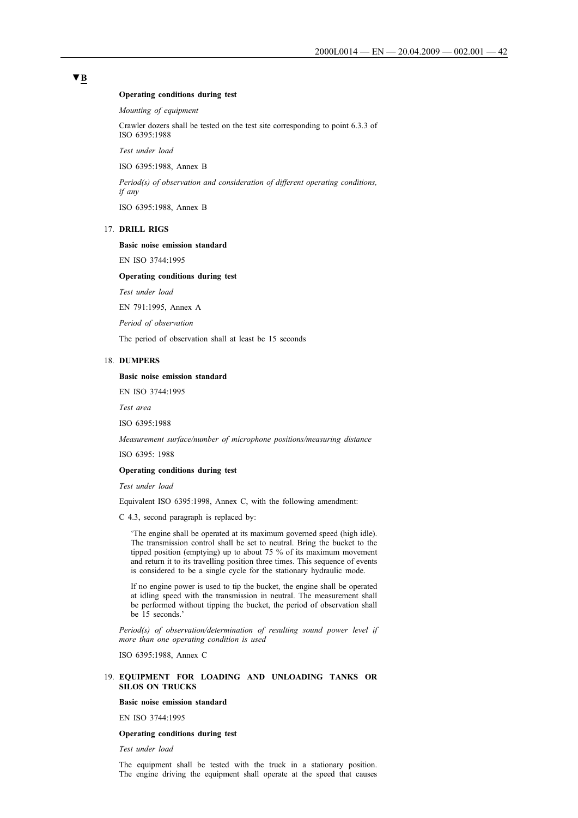#### **Operating conditions during test**

*Mounting of equipment*

Crawler dozers shall be tested on the test site corresponding to point 6.3.3 of ISO 6395:1988

*Test under load*

ISO 6395:1988, Annex B

*Period(s) of observation and consideration of different operating conditions, if any*

ISO 6395:1988, Annex B

# 17. **DRILL RIGS**

**Basic noise emission standard**

EN ISO 3744:1995

#### **Operating conditions during test**

*Test under load*

EN 791:1995, Annex A

*Period of observation*

The period of observation shall at least be 15 seconds

#### 18. **DUMPERS**

#### **Basic noise emission standard**

EN ISO 3744:1995

*Test area*

ISO 6395:1988

*Measurement surface/number of microphone positions/measuring distance*

ISO 6395: 1988

#### **Operating conditions during test**

*Test under load*

Equivalent ISO 6395:1998, Annex C, with the following amendment:

C 4.3, second paragraph is replaced by:

'The engine shall be operated at its maximum governed speed (high idle). The transmission control shall be set to neutral. Bring the bucket to the tipped position (emptying) up to about 75 % of its maximum movement and return it to its travelling position three times. This sequence of events is considered to be a single cycle for the stationary hydraulic mode.

If no engine power is used to tip the bucket, the engine shall be operated at idling speed with the transmission in neutral. The measurement shall be performed without tipping the bucket, the period of observation shall be 15 seconds.'

*Period(s) of observation/determination of resulting sound power level if more than one operating condition is used*

ISO 6395:1988, Annex C

#### 19. **EQUIPMENT FOR LOADING AND UNLOADING TANKS OR SILOS ON TRUCKS**

#### **Basic noise emission standard**

EN ISO 3744:1995

#### **Operating conditions during test**

*Test under load*

The equipment shall be tested with the truck in a stationary position. The engine driving the equipment shall operate at the speed that causes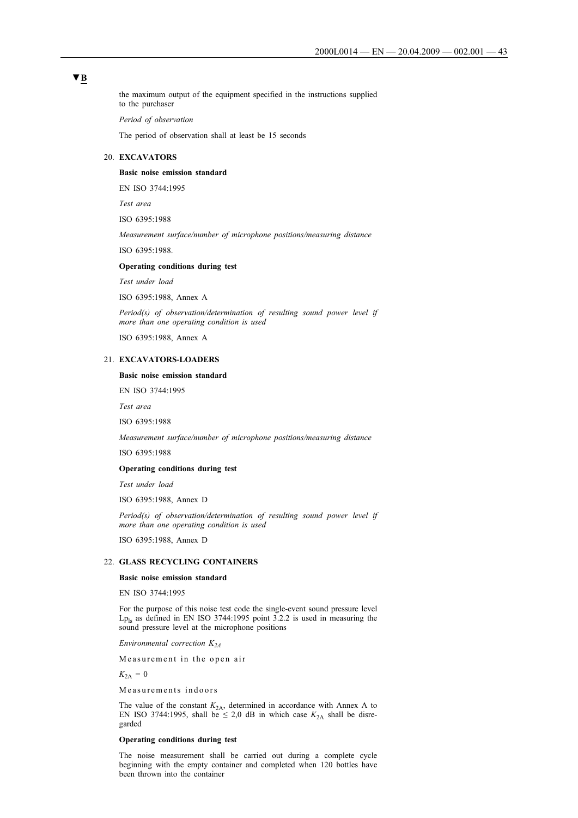# **▼B**

the maximum output of the equipment specified in the instructions supplied to the purchaser

*Period of observation*

The period of observation shall at least be 15 seconds

# 20. **EXCAVATORS**

#### **Basic noise emission standard**

EN ISO 3744:1995

*Test area*

ISO 6395:1988

*Measurement surface/number of microphone positions/measuring distance*

ISO 6395:1988.

#### **Operating conditions during test**

*Test under load*

ISO 6395:1988, Annex A

*Period(s) of observation/determination of resulting sound power level if more than one operating condition is used*

ISO 6395:1988, Annex A

### 21. **EXCAVATORS-LOADERS**

# **Basic noise emission standard**

EN ISO 3744:1995

*Test area*

ISO 6395:1988

*Measurement surface/number of microphone positions/measuring distance*

ISO 6395:1988

#### **Operating conditions during test**

*Test under load*

ISO 6395:1988, Annex D

*Period(s) of observation/determination of resulting sound power level if more than one operating condition is used*

ISO 6395:1988, Annex D

# 22. **GLASS RECYCLING CONTAINERS**

# **Basic noise emission standard**

EN ISO 3744:1995

For the purpose of this noise test code the single-event sound pressure level  $Lp_{ls}$  as defined in EN ISO 3744:1995 point 3.2.2 is used in measuring the sound pressure level at the microphone positions

*Environmental correction K2A*

Measurement in the open air

 $K_{2A} = 0$ 

Measurements indoors

The value of the constant  $K_{2A}$ , determined in accordance with Annex A to EN ISO 3744:1995, shall be  $\leq 2.0$  dB in which case  $K_{2A}$  shall be disregarded

# **Operating conditions during test**

The noise measurement shall be carried out during a complete cycle beginning with the empty container and completed when 120 bottles have been thrown into the container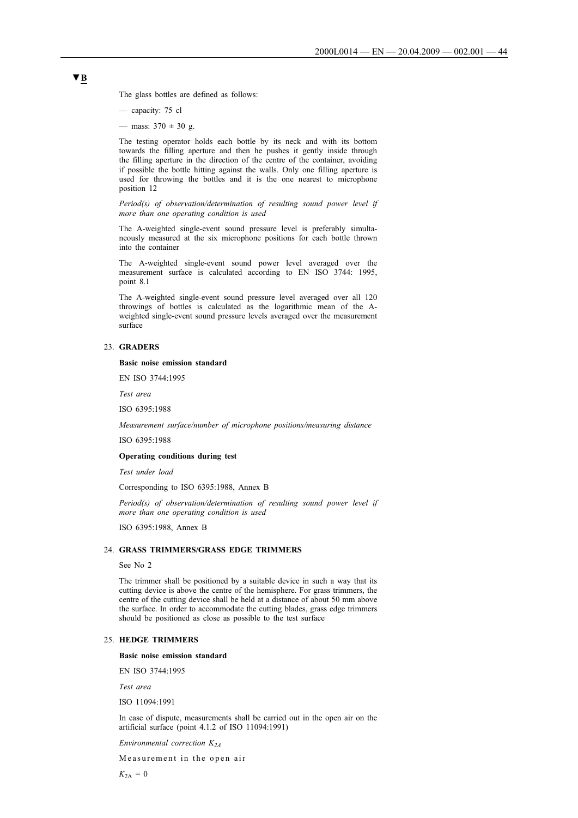The glass bottles are defined as follows:

— capacity: 75 cl

— mass:  $370 \pm 30$  g.

The testing operator holds each bottle by its neck and with its bottom towards the filling aperture and then he pushes it gently inside through the filling aperture in the direction of the centre of the container, avoiding if possible the bottle hitting against the walls. Only one filling aperture is used for throwing the bottles and it is the one nearest to microphone position 12

*Period(s) of observation/determination of resulting sound power level if more than one operating condition is used*

The A-weighted single-event sound pressure level is preferably simultaneously measured at the six microphone positions for each bottle thrown into the container

The A-weighted single-event sound power level averaged over the measurement surface is calculated according to EN ISO 3744: 1995, point 8.1

The A-weighted single-event sound pressure level averaged over all 120 throwings of bottles is calculated as the logarithmic mean of the Aweighted single-event sound pressure levels averaged over the measurement surface

# 23. **GRADERS**

#### **Basic noise emission standard**

EN ISO 3744:1995

*Test area*

ISO 6395:1988

*Measurement surface/number of microphone positions/measuring distance*

ISO 6395:1988

#### **Operating conditions during test**

*Test under load*

Corresponding to ISO 6395:1988, Annex B

*Period(s) of observation/determination of resulting sound power level if more than one operating condition is used*

ISO 6395:1988, Annex B

# 24. **GRASS TRIMMERS/GRASS EDGE TRIMMERS**

See No 2

The trimmer shall be positioned by a suitable device in such a way that its cutting device is above the centre of the hemisphere. For grass trimmers, the centre of the cutting device shall be held at a distance of about 50 mm above the surface. In order to accommodate the cutting blades, grass edge trimmers should be positioned as close as possible to the test surface

#### 25. **HEDGE TRIMMERS**

**Basic noise emission standard**

EN ISO 3744:1995

*Test area*

ISO 11094:1991

In case of dispute, measurements shall be carried out in the open air on the artificial surface (point 4.1.2 of ISO 11094:1991)

*Environmental correction K2A*

Measurement in the open air

 $K_{2A} = 0$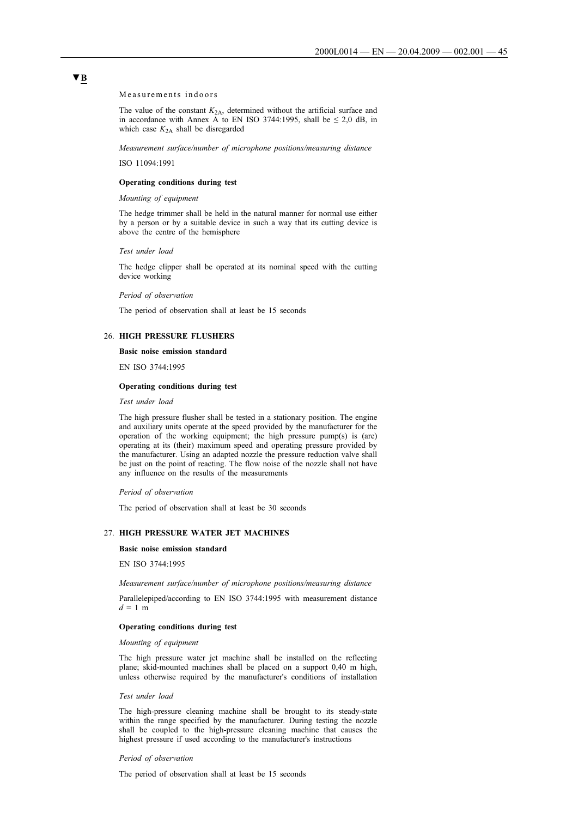Measurements indoors

The value of the constant  $K_{2A}$ , determined without the artificial surface and in accordance with Annex A to EN ISO 3744:1995, shall be  $\leq 2.0$  dB, in which case  $K_{2A}$  shall be disregarded

*Measurement surface/number of microphone positions/measuring distance*

ISO 11094:1991

#### **Operating conditions during test**

### *Mounting of equipment*

The hedge trimmer shall be held in the natural manner for normal use either by a person or by a suitable device in such a way that its cutting device is above the centre of the hemisphere

*Test under load*

The hedge clipper shall be operated at its nominal speed with the cutting device working

*Period of observation*

The period of observation shall at least be 15 seconds

# 26. **HIGH PRESSURE FLUSHERS**

#### **Basic noise emission standard**

EN ISO 3744:1995

#### **Operating conditions during test**

*Test under load*

The high pressure flusher shall be tested in a stationary position. The engine and auxiliary units operate at the speed provided by the manufacturer for the operation of the working equipment; the high pressure pump(s) is (are) operating at its (their) maximum speed and operating pressure provided by the manufacturer. Using an adapted nozzle the pressure reduction valve shall be just on the point of reacting. The flow noise of the nozzle shall not have any influence on the results of the measurements

#### *Period of observation*

The period of observation shall at least be 30 seconds

#### 27. **HIGH PRESSURE WATER JET MACHINES**

#### **Basic noise emission standard**

EN ISO 3744:1995

*Measurement surface/number of microphone positions/measuring distance*

Parallelepiped/according to EN ISO 3744:1995 with measurement distance  $d = 1$  m

#### **Operating conditions during test**

#### *Mounting of equipment*

The high pressure water jet machine shall be installed on the reflecting plane; skid-mounted machines shall be placed on a support 0,40 m high, unless otherwise required by the manufacturer's conditions of installation

#### *Test under load*

The high-pressure cleaning machine shall be brought to its steady-state within the range specified by the manufacturer. During testing the nozzle shall be coupled to the high-pressure cleaning machine that causes the highest pressure if used according to the manufacturer's instructions

#### *Period of observation*

The period of observation shall at least be 15 seconds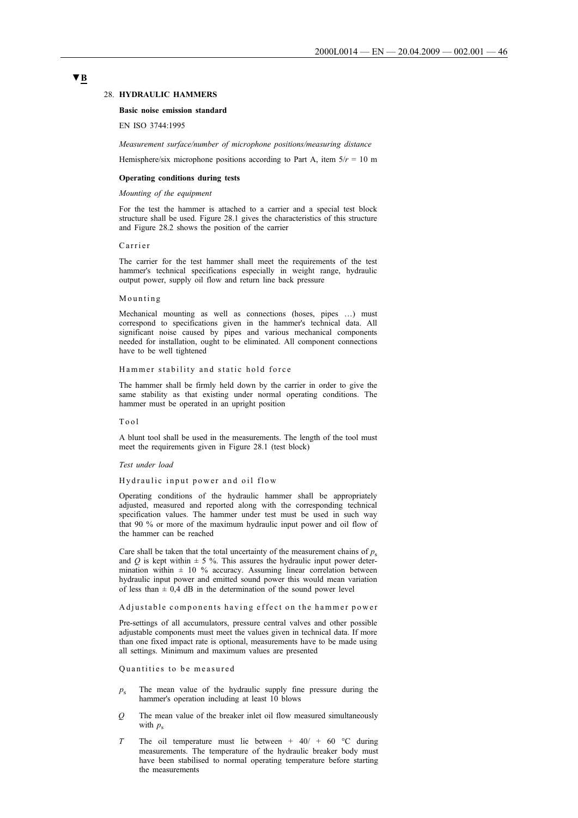# **▼B**

### 28. **HYDRAULIC HAMMERS**

#### **Basic noise emission standard**

EN ISO 3744:1995

*Measurement surface/number of microphone positions/measuring distance*

Hemisphere/six microphone positions according to Part A, item  $5/r = 10$  m

#### **Operating conditions during tests**

#### *Mounting of the equipment*

For the test the hammer is attached to a carrier and a special test block structure shall be used. Figure 28.1 gives the characteristics of this structure and Figure 28.2 shows the position of the carrier

#### Carrier

The carrier for the test hammer shall meet the requirements of the test hammer's technical specifications especially in weight range, hydraulic output power, supply oil flow and return line back pressure

#### Mounting

Mechanical mounting as well as connections (hoses, pipes …) must correspond to specifications given in the hammer's technical data. All significant noise caused by pipes and various mechanical components needed for installation, ought to be eliminated. All component connections have to be well tightened

#### Hammer stability and static hold force

The hammer shall be firmly held down by the carrier in order to give the same stability as that existing under normal operating conditions. The hammer must be operated in an upright position

#### Tool

A blunt tool shall be used in the measurements. The length of the tool must meet the requirements given in Figure 28.1 (test block)

#### *Test under load*

#### Hydraulic input power and oil flow

Operating conditions of the hydraulic hammer shall be appropriately adjusted, measured and reported along with the corresponding technical specification values. The hammer under test must be used in such way that 90 % or more of the maximum hydraulic input power and oil flow of the hammer can be reached

Care shall be taken that the total uncertainty of the measurement chains of  $p_s$ and  $Q$  is kept within  $\pm$  5 %. This assures the hydraulic input power determination within  $\pm$  10 % accuracy. Assuming linear correlation between hydraulic input power and emitted sound power this would mean variation of less than  $\pm$  0,4 dB in the determination of the sound power level

#### Adjustable components having effect on the hammer power

Pre-settings of all accumulators, pressure central valves and other possible adjustable components must meet the values given in technical data. If more than one fixed impact rate is optional, measurements have to be made using all settings. Minimum and maximum values are presented

#### Quantities to be measured

- $p_s$  The mean value of the hydraulic supply fine pressure during the hammer's operation including at least 10 blows
- *Q* The mean value of the breaker inlet oil flow measured simultaneously with  $p_s$
- *T* The oil temperature must lie between + 40/ + 60 °C during measurements. The temperature of the hydraulic breaker body must have been stabilised to normal operating temperature before starting the measurements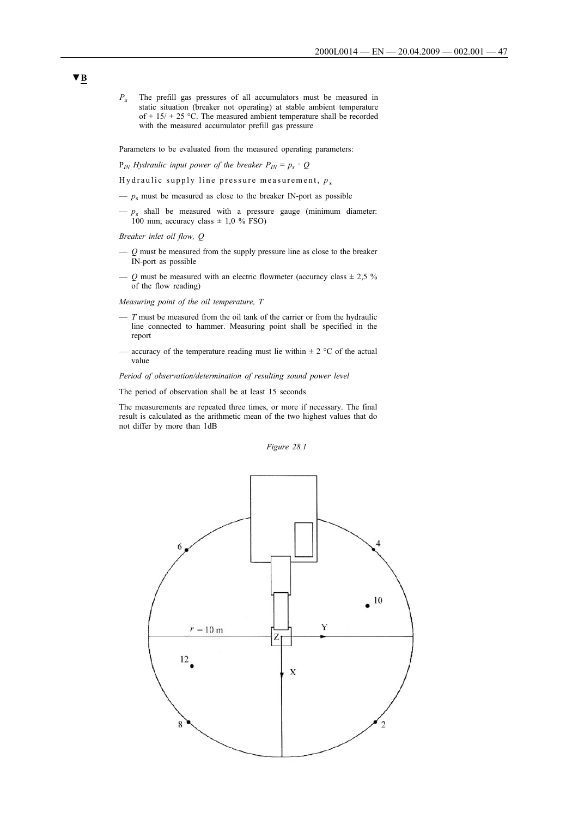*P*<sup>a</sup> The prefill gas pressures of all accumulators must be measured in static situation (breaker not operating) at stable ambient temperature of +  $15/ + 25$  °C. The measured ambient temperature shall be recorded with the measured accumulator prefill gas pressure

Parameters to be evaluated from the measured operating parameters:

 $P_{IN}$  *Hydraulic input power of the breaker*  $P_{IN} = p_s \cdot Q$ 

Hydraulic supply line pressure measurement,  $p_s$ 

- $-p_s$  must be measured as close to the breaker IN-port as possible
- $-p_s$  shall be measured with a pressure gauge (minimum diameter: 100 mm; accuracy class  $\pm$  1,0 % FSO)

*Breaker inlet oil flow, Q*

- *Q* must be measured from the supply pressure line as close to the breaker IN-port as possible
- $\sim Q$  must be measured with an electric flowmeter (accuracy class  $\pm 2.5$  % of the flow reading)

*Measuring point of the oil temperature, T*

- $-$  *T* must be measured from the oil tank of the carrier or from the hydraulic line connected to hammer. Measuring point shall be specified in the report
- accuracy of the temperature reading must lie within  $\pm 2$  °C of the actual value

*Period of observation/determination of resulting sound power level*

The period of observation shall be at least 15 seconds

The measurements are repeated three times, or more if necessary. The final result is calculated as the arithmetic mean of the two highest values that do not differ by more than 1dB

*Figure 28.1*

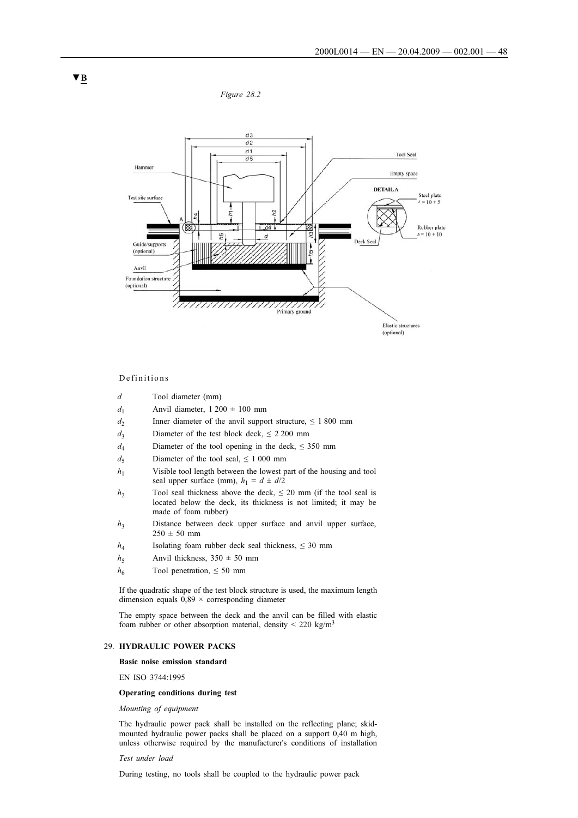*Figure 28.2*



# Definitions

- *d* Tool diameter (mm)
- $d_1$  Anvil diameter,  $1200 \pm 100$  mm
- *d*<sub>2</sub> Inner diameter of the anvil support structure,  $\leq 1800$  mm
- $d_2$  Diameter of the test block deck,  $\leq 2200$  mm
- *d*<sub>4</sub> Diameter of the tool opening in the deck,  $\leq$  350 mm
- *d*<sub>5</sub> Diameter of the tool seal,  $\leq 1000$  mm
- *h*<sub>1</sub> Visible tool length between the lowest part of the housing and tool seal upper surface (mm),  $h_1 = d \pm d/2$
- *h*<sub>2</sub> Tool seal thickness above the deck,  $\leq$  20 mm (if the tool seal is located below the deck, its thickness is not limited; it may be made of foam rubber)
- *h*<sub>3</sub> Distance between deck upper surface and anvil upper surface,  $250 \pm 50 \, \text{mm}$
- *h*<sub>4</sub> Isolating foam rubber deck seal thickness,  $\leq 30$  mm
- $h_5$  Anvil thickness,  $350 \pm 50$  mm
- $h_6$  Tool penetration,  $\leq 50$  mm

If the quadratic shape of the test block structure is used, the maximum length dimension equals  $0.89 \times$  corresponding diameter

The empty space between the deck and the anvil can be filled with elastic foam rubber or other absorption material, density  $\leq 220 \text{ kg/m}^3$ 

#### 29. **HYDRAULIC POWER PACKS**

#### **Basic noise emission standard**

EN ISO 3744:1995

#### **Operating conditions during test**

*Mounting of equipment*

The hydraulic power pack shall be installed on the reflecting plane; skidmounted hydraulic power packs shall be placed on a support 0,40 m high, unless otherwise required by the manufacturer's conditions of installation

# *Test under load*

During testing, no tools shall be coupled to the hydraulic power pack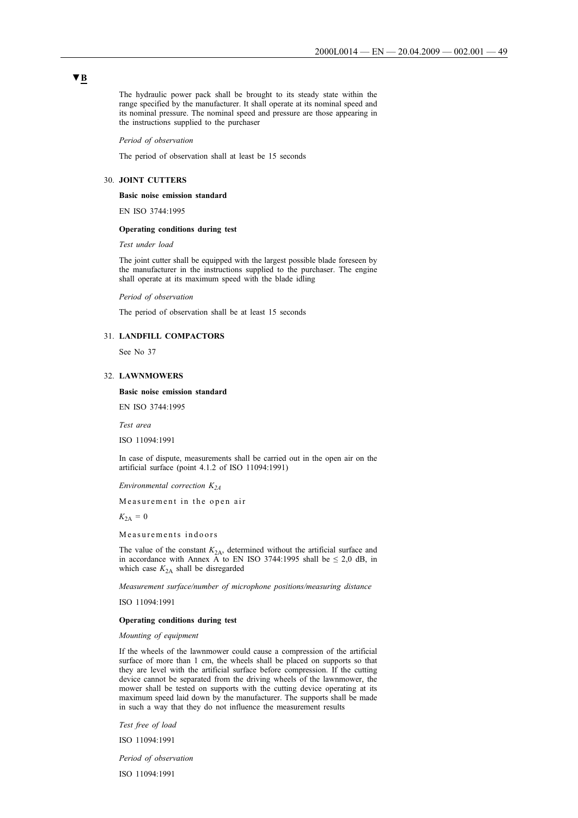The hydraulic power pack shall be brought to its steady state within the range specified by the manufacturer. It shall operate at its nominal speed and its nominal pressure. The nominal speed and pressure are those appearing in the instructions supplied to the purchaser

*Period of observation*

The period of observation shall at least be 15 seconds

#### 30. **JOINT CUTTERS**

**Basic noise emission standard**

EN ISO 3744:1995

### **Operating conditions during test**

*Test under load*

The joint cutter shall be equipped with the largest possible blade foreseen by the manufacturer in the instructions supplied to the purchaser. The engine shall operate at its maximum speed with the blade idling

*Period of observation*

The period of observation shall be at least 15 seconds

# 31. **LANDFILL COMPACTORS**

See No 37

#### 32. **LAWNMOWERS**

**Basic noise emission standard**

EN ISO 3744:1995

*Test area*

ISO 11094:1991

In case of dispute, measurements shall be carried out in the open air on the artificial surface (point 4.1.2 of ISO 11094:1991)

*Environmental correction K2A*

Measurement in the open air

 $K_{2A} = 0$ 

Measurements indoors

The value of the constant  $K_{2A}$ , determined without the artificial surface and in accordance with Annex A to EN ISO 3744:1995 shall be  $\leq 2.0$  dB, in which case  $K_{2A}$  shall be disregarded

*Measurement surface/number of microphone positions/measuring distance*

ISO 11094:1991

#### **Operating conditions during test**

*Mounting of equipment*

If the wheels of the lawnmower could cause a compression of the artificial surface of more than 1 cm, the wheels shall be placed on supports so that they are level with the artificial surface before compression. If the cutting device cannot be separated from the driving wheels of the lawnmower, the mower shall be tested on supports with the cutting device operating at its maximum speed laid down by the manufacturer. The supports shall be made in such a way that they do not influence the measurement results

*Test free of load*

ISO 11094:1991

*Period of observation*

ISO 11094:1991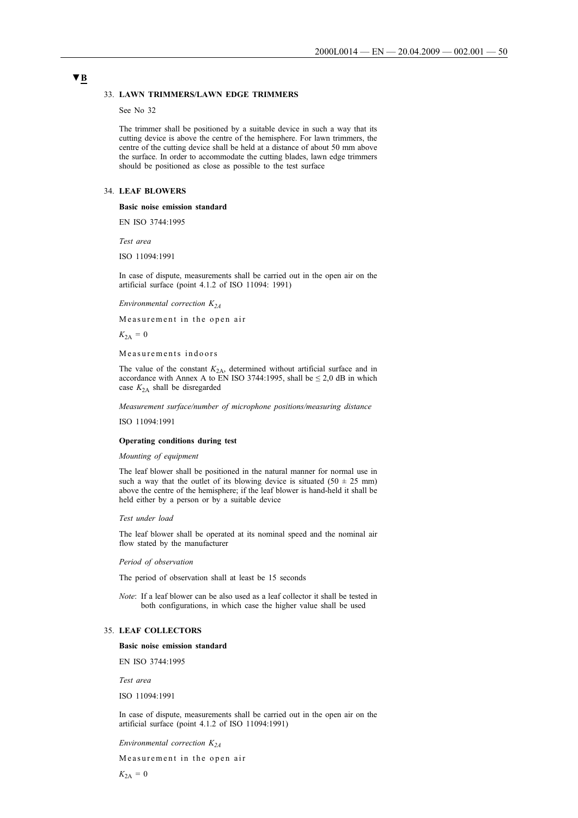#### 33. **LAWN TRIMMERS/LAWN EDGE TRIMMERS**

See No 32

The trimmer shall be positioned by a suitable device in such a way that its cutting device is above the centre of the hemisphere. For lawn trimmers, the centre of the cutting device shall be held at a distance of about 50 mm above the surface. In order to accommodate the cutting blades, lawn edge trimmers should be positioned as close as possible to the test surface

# 34. **LEAF BLOWERS**

### **Basic noise emission standard**

EN ISO 3744:1995

*Test area*

ISO 11094:1991

In case of dispute, measurements shall be carried out in the open air on the artificial surface (point 4.1.2 of ISO 11094: 1991)

*Environmental correction K<sub>24</sub>* 

Measurement in the open air

 $K_{2A} = 0$ 

Measurements indoors

The value of the constant  $K_{2A}$ , determined without artificial surface and in accordance with Annex A to EN ISO 3744:1995, shall be  $\leq 2.0$  dB in which case  $K_{2A}$  shall be disregarded

*Measurement surface/number of microphone positions/measuring distance*

ISO 11094:1991

#### **Operating conditions during test**

*Mounting of equipment*

The leaf blower shall be positioned in the natural manner for normal use in such a way that the outlet of its blowing device is situated  $(50 \pm 25 \text{ mm})$ above the centre of the hemisphere; if the leaf blower is hand-held it shall be held either by a person or by a suitable device

#### *Test under load*

The leaf blower shall be operated at its nominal speed and the nominal air flow stated by the manufacturer

*Period of observation*

The period of observation shall at least be 15 seconds

*Note*: If a leaf blower can be also used as a leaf collector it shall be tested in both configurations, in which case the higher value shall be used

#### 35. **LEAF COLLECTORS**

**Basic noise emission standard**

EN ISO 3744:1995

*Test area*

ISO 11094:1991

In case of dispute, measurements shall be carried out in the open air on the artificial surface (point 4.1.2 of ISO 11094:1991)

*Environmental correction K2A*

Measurement in the open air

 $K_{2A} = 0$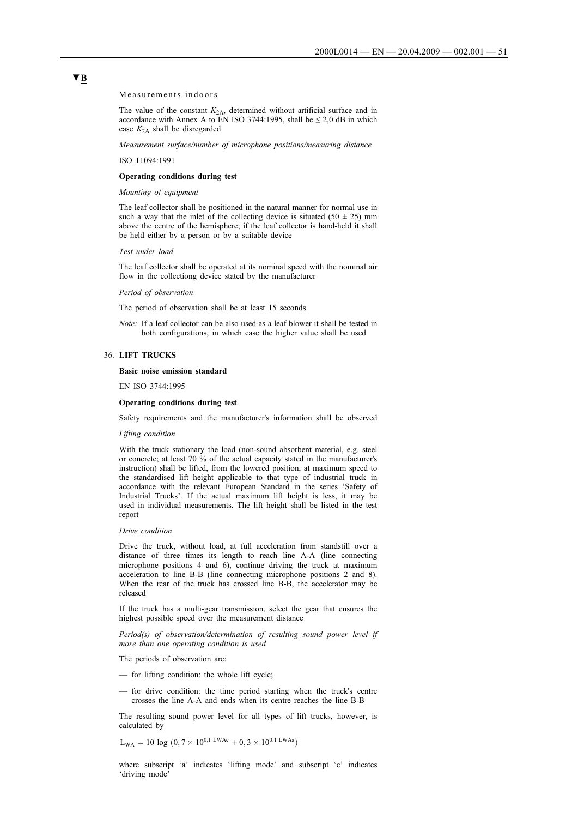Measurements indoors

The value of the constant  $K_{2A}$ , determined without artificial surface and in accordance with Annex A to EN ISO 3744:1995, shall be  $\leq 2.0$  dB in which case  $K_{2A}$  shall be disregarded

*Measurement surface/number of microphone positions/measuring distance*

ISO 11094:1991

#### **Operating conditions during test**

*Mounting of equipment*

The leaf collector shall be positioned in the natural manner for normal use in such a way that the inlet of the collecting device is situated  $(50 \pm 25)$  mm above the centre of the hemisphere; if the leaf collector is hand-held it shall be held either by a person or by a suitable device

*Test under load*

The leaf collector shall be operated at its nominal speed with the nominal air flow in the collectiong device stated by the manufacturer

*Period of observation*

The period of observation shall be at least 15 seconds

*Note:* If a leaf collector can be also used as a leaf blower it shall be tested in both configurations, in which case the higher value shall be used

#### 36. **LIFT TRUCKS**

#### **Basic noise emission standard**

EN ISO 3744:1995

#### **Operating conditions during test**

Safety requirements and the manufacturer's information shall be observed

#### *Lifting condition*

With the truck stationary the load (non-sound absorbent material, e.g. steel or concrete; at least 70 % of the actual capacity stated in the manufacturer's instruction) shall be lifted, from the lowered position, at maximum speed to the standardised lift height applicable to that type of industrial truck in accordance with the relevant European Standard in the series 'Safety of Industrial Trucks'. If the actual maximum lift height is less, it may be used in individual measurements. The lift height shall be listed in the test report

#### *Drive condition*

Drive the truck, without load, at full acceleration from standstill over a distance of three times its length to reach line A-A (line connecting microphone positions 4 and 6), continue driving the truck at maximum acceleration to line B-B (line connecting microphone positions 2 and 8). When the rear of the truck has crossed line B-B, the accelerator may be released

If the truck has a multi-gear transmission, select the gear that ensures the highest possible speed over the measurement distance

*Period(s) of observation/determination of resulting sound power level if more than one operating condition is used*

The periods of observation are:

- for lifting condition: the whole lift cycle;
- for drive condition: the time period starting when the truck's centre crosses the line A-A and ends when its centre reaches the line B-B

The resulting sound power level for all types of lift trucks, however, is calculated by

 $L_{WA} = 10 \log (0.7 \times 10^{0.1} \text{ LWAc} + 0.3 \times 10^{0.1} \text{ LWAs})$ 

where subscript 'a' indicates 'lifting mode' and subscript 'c' indicates 'driving mode'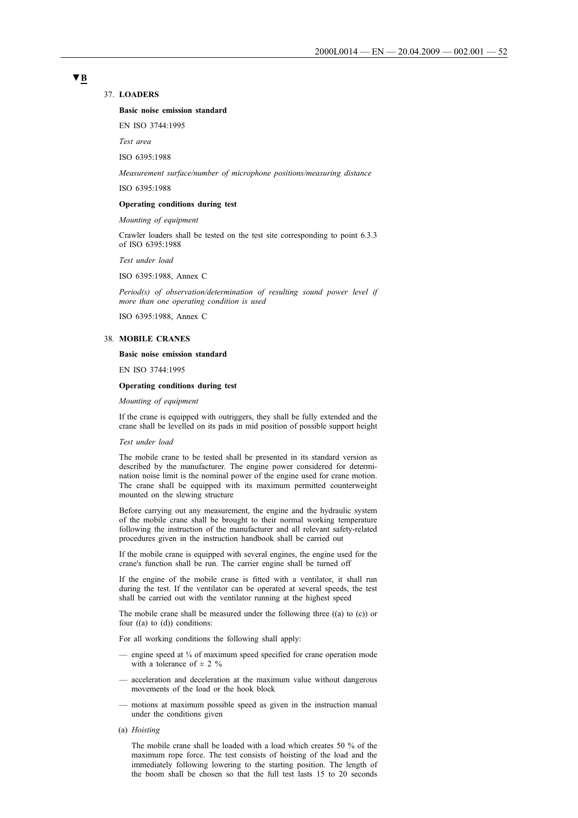#### 37. **LOADERS**

#### **Basic noise emission standard**

EN ISO 3744:1995

*Test area*

ISO 6395:1988

*Measurement surface/number of microphone positions/measuring distance*

ISO 6395:1988

#### **Operating conditions during test**

*Mounting of equipment*

Crawler loaders shall be tested on the test site corresponding to point 6.3.3 of ISO 6395:1988

*Test under load*

ISO 6395:1988, Annex C

*Period(s) of observation/determination of resulting sound power level if more than one operating condition is used*

ISO 6395:1988, Annex C

#### 38. **MOBILE CRANES**

#### **Basic noise emission standard**

EN ISO 3744:1995

#### **Operating conditions during test**

*Mounting of equipment*

If the crane is equipped with outriggers, they shall be fully extended and the crane shall be levelled on its pads in mid position of possible support height

### *Test under load*

The mobile crane to be tested shall be presented in its standard version as described by the manufacturer. The engine power considered for determination noise limit is the nominal power of the engine used for crane motion. The crane shall be equipped with its maximum permitted counterweight mounted on the slewing structure

Before carrying out any measurement, the engine and the hydraulic system of the mobile crane shall be brought to their normal working temperature following the instruction of the manufacturer and all relevant safety-related procedures given in the instruction handbook shall be carried out

If the mobile crane is equipped with several engines, the engine used for the crane's function shall be run. The carrier engine shall be turned off

If the engine of the mobile crane is fitted with a ventilator, it shall run during the test. If the ventilator can be operated at several speeds, the test shall be carried out with the ventilator running at the highest speed

The mobile crane shall be measured under the following three ((a) to (c)) or four  $((a)$  to  $(d))$  conditions:

For all working conditions the following shall apply:

- engine speed at  $\frac{3}{4}$  of maximum speed specified for crane operation mode with a tolerance of  $\pm$  2 %
- acceleration and deceleration at the maximum value without dangerous movements of the load or the hook block
- motions at maximum possible speed as given in the instruction manual under the conditions given
- (a) *Hoisting*

The mobile crane shall be loaded with a load which creates 50 % of the maximum rope force. The test consists of hoisting of the load and the immediately following lowering to the starting position. The length of the boom shall be chosen so that the full test lasts 15 to 20 seconds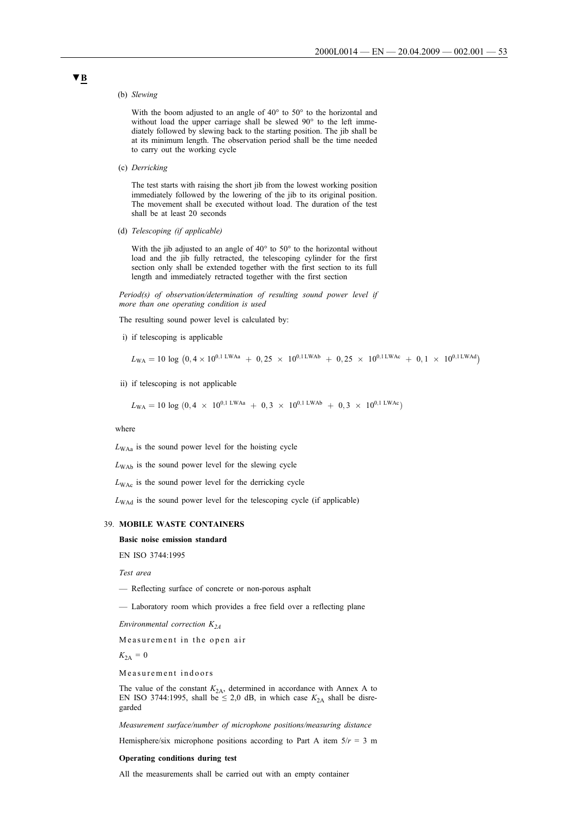#### (b) *Slewing*

With the boom adjusted to an angle of 40° to 50° to the horizontal and without load the upper carriage shall be slewed 90° to the left immediately followed by slewing back to the starting position. The jib shall be at its minimum length. The observation period shall be the time needed to carry out the working cycle

(c) *Derricking*

The test starts with raising the short jib from the lowest working position immediately followed by the lowering of the jib to its original position. The movement shall be executed without load. The duration of the test shall be at least 20 seconds

(d) *Telescoping (if applicable)*

With the jib adjusted to an angle of 40° to 50° to the horizontal without load and the jib fully retracted, the telescoping cylinder for the first section only shall be extended together with the first section to its full length and immediately retracted together with the first section

*Period(s) of observation/determination of resulting sound power level if more than one operating condition is used*

The resulting sound power level is calculated by:

i) if telescoping is applicable

$$
L_{\text{WA}} = 10 \log (0.4 \times 10^{0.1 \text{ LWAa}} + 0.25 \times 10^{0.1 \text{ LWAb}} + 0.25 \times 10^{0.1 \text{ LWAc}} + 0.1 \times 10^{0.1 \text{ LWAd}})
$$

ii) if telescoping is not applicable

 $L_{WA} = 10 \log (0.4 \times 10^{0.1 \text{ LWAa}} + 0.3 \times 10^{0.1 \text{ LWAb}} + 0.3 \times 10^{0.1 \text{ LWAc}})$ 

#### where

 $L_{WA}$  is the sound power level for the hoisting cycle

 $L_{\text{WAb}}$  is the sound power level for the slewing cycle

 $L_{\text{WAc}}$  is the sound power level for the derricking cycle

*L*<sub>WAd</sub> is the sound power level for the telescoping cycle (if applicable)

#### 39. **MOBILE WASTE CONTAINERS**

# **Basic noise emission standard**

EN ISO 3744:1995

*Test area*

- Reflecting surface of concrete or non-porous asphalt
- Laboratory room which provides a free field over a reflecting plane

*Environmental correction K<sub>24</sub>* 

Measurement in the open air

 $K_{2A} = 0$ 

Measurement indoors

The value of the constant  $K_{2A}$ , determined in accordance with Annex A to EN ISO 3744:1995, shall be  $\leq 2.0$  dB, in which case  $K_{2A}$  shall be disregarded

*Measurement surface/number of microphone positions/measuring distance*

Hemisphere/six microphone positions according to Part A item  $5/r = 3$  m

#### **Operating conditions during test**

All the measurements shall be carried out with an empty container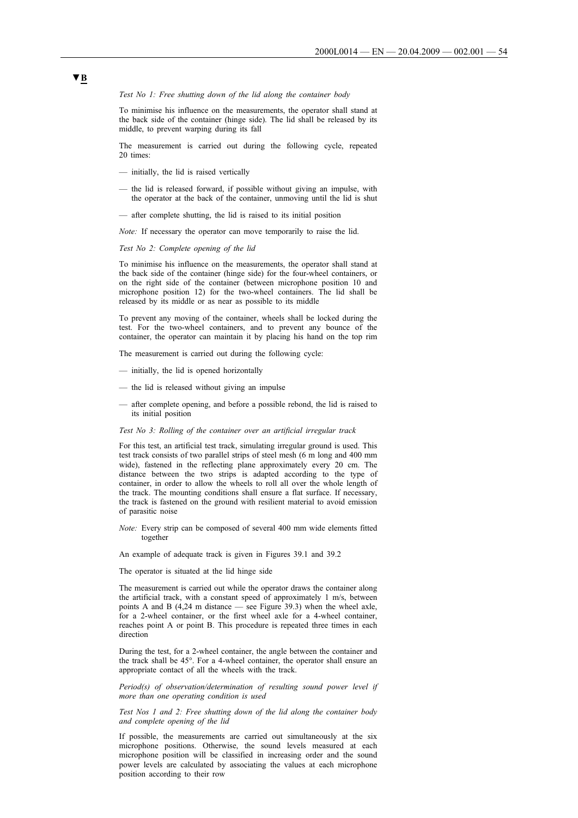#### *Test No 1: Free shutting down of the lid along the container body*

To minimise his influence on the measurements, the operator shall stand at the back side of the container (hinge side). The lid shall be released by its middle, to prevent warping during its fall

The measurement is carried out during the following cycle, repeated 20 times:

- initially, the lid is raised vertically
- the lid is released forward, if possible without giving an impulse, with the operator at the back of the container, unmoving until the lid is shut
- after complete shutting, the lid is raised to its initial position

*Note:* If necessary the operator can move temporarily to raise the lid.

*Test No 2: Complete opening of the lid*

To minimise his influence on the measurements, the operator shall stand at the back side of the container (hinge side) for the four-wheel containers, or on the right side of the container (between microphone position 10 and microphone position 12) for the two-wheel containers. The lid shall be released by its middle or as near as possible to its middle

To prevent any moving of the container, wheels shall be locked during the test. For the two-wheel containers, and to prevent any bounce of the container, the operator can maintain it by placing his hand on the top rim

The measurement is carried out during the following cycle:

- initially, the lid is opened horizontally
- the lid is released without giving an impulse
- after complete opening, and before a possible rebond, the lid is raised to its initial position

#### *Test No 3: Rolling of the container over an artificial irregular track*

For this test, an artificial test track, simulating irregular ground is used. This test track consists of two parallel strips of steel mesh (6 m long and 400 mm wide), fastened in the reflecting plane approximately every 20 cm. The distance between the two strips is adapted according to the type of container, in order to allow the wheels to roll all over the whole length of the track. The mounting conditions shall ensure a flat surface. If necessary, the track is fastened on the ground with resilient material to avoid emission of parasitic noise

*Note:* Every strip can be composed of several 400 mm wide elements fitted together

An example of adequate track is given in Figures 39.1 and 39.2

The operator is situated at the lid hinge side

The measurement is carried out while the operator draws the container along the artificial track, with a constant speed of approximately 1 m/s, between points A and B (4,24 m distance — see Figure 39.3) when the wheel axle, for a 2-wheel container, or the first wheel axle for a 4-wheel container, reaches point A or point B. This procedure is repeated three times in each direction

During the test, for a 2-wheel container, the angle between the container and the track shall be 45°. For a 4-wheel container, the operator shall ensure an appropriate contact of all the wheels with the track.

*Period(s) of observation/determination of resulting sound power level if more than one operating condition is used*

*Test Nos 1 and 2: Free shutting down of the lid along the container body and complete opening of the lid*

If possible, the measurements are carried out simultaneously at the six microphone positions. Otherwise, the sound levels measured at each microphone position will be classified in increasing order and the sound power levels are calculated by associating the values at each microphone position according to their row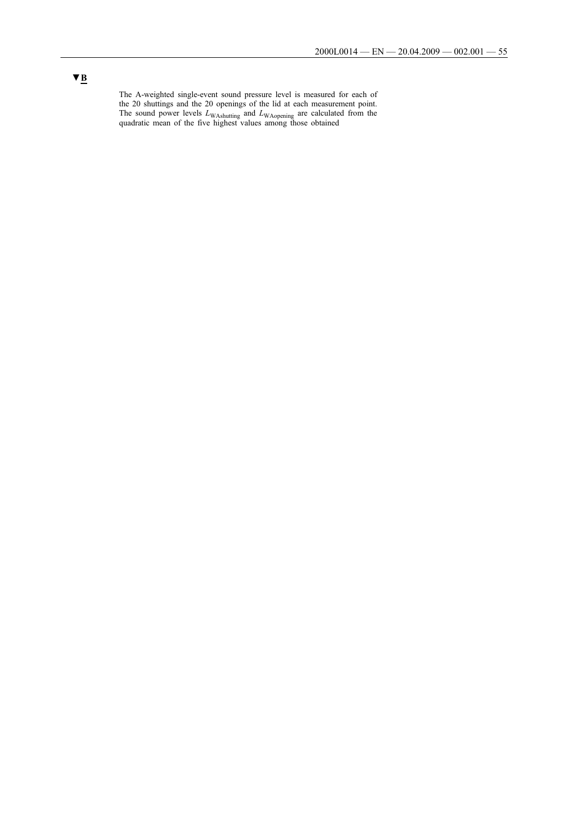The A-weighted single-event sound pressure level is measured for each of the 20 shuttings and the 20 openings of the lid at each measurement point. The sound power levels  $L_{\text{WAshutting}}$  and  $L_{\text{WApening}}$  are calculated from the quadratic mean of the five highest values among those obtained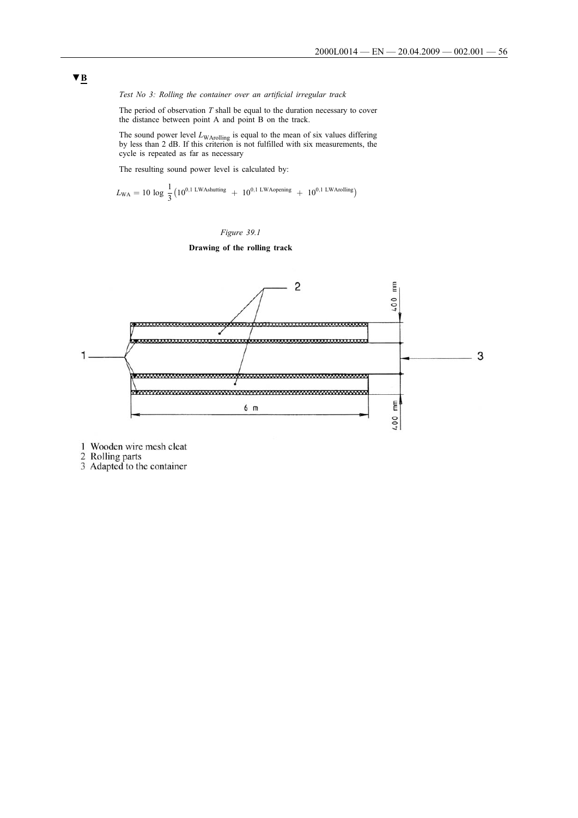*Test No 3: Rolling the container over an artificial irregular track*

The period of observation *T* shall be equal to the duration necessary to cover the distance between point A and point B on the track.

The sound power level  $L_{\text{WArolling}}$  is equal to the mean of six values differing by less than 2 dB. If this criterion is not fulfilled with six measurements, the cycle is repeated as far as necessary

The resulting sound power level is calculated by:

$$
L_{\rm WA} = 10 \, \log \, \frac{1}{3} \big( 10^{0,1 \, \rm LWAshutting} \ + \ 10^{0,1 \, \rm LWA opening} \ + \ 10^{0,1 \, \rm LWA rolling} \big)
$$



# **Drawing of the rolling track**



1 Wooden wire mesh cleat

2 Rolling parts<br>3 Adapted to the container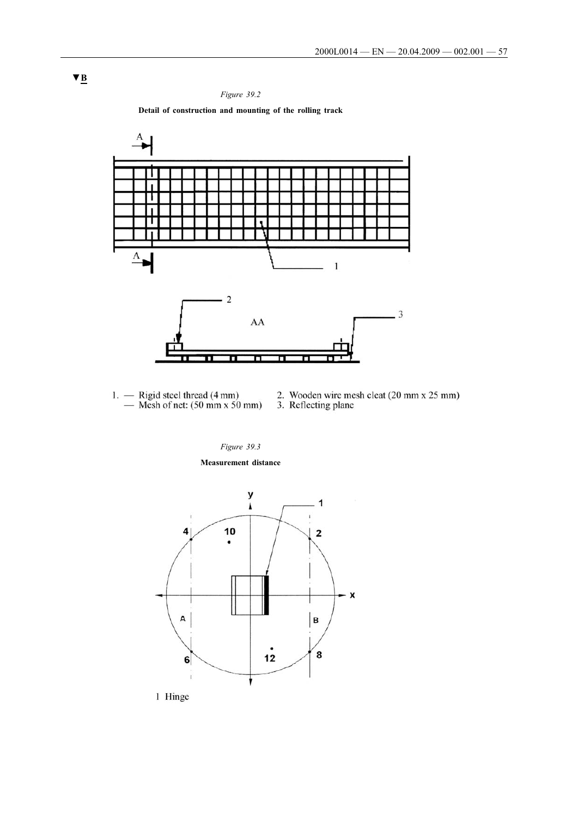

**Detail of construction and mounting of the rolling track**



- 1. Rigid steel thread  $(4 \text{ mm})$ <br>— Mesh of net:  $(50 \text{ mm} \times 50 \text{ mm})$
- 2. Wooden wire mesh cleat (20 mm x 25 mm)<br>3. Reflecting plane
- 

*Figure 39.3*

**Measurement distance**



1 Hinge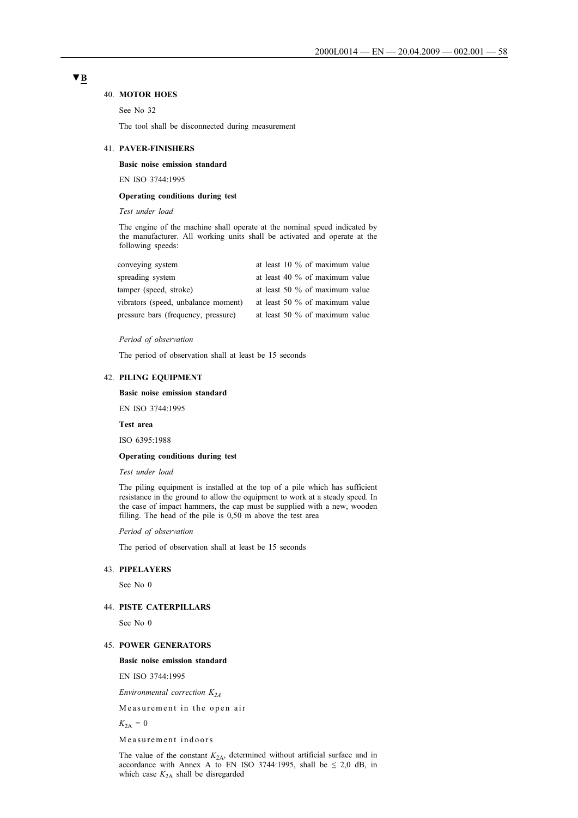#### 40. **MOTOR HOES**

See No 32

The tool shall be disconnected during measurement

#### 41. **PAVER-FINISHERS**

# **Basic noise emission standard**

EN ISO 3744:1995

### **Operating conditions during test**

*Test under load*

The engine of the machine shall operate at the nominal speed indicated by the manufacturer. All working units shall be activated and operate at the following speeds:

| conveying system                    | at least 10 % of maximum value    |
|-------------------------------------|-----------------------------------|
| spreading system                    | at least 40 % of maximum value    |
| tamper (speed, stroke)              | at least 50 % of maximum value    |
| vibrators (speed, unbalance moment) | at least 50 $\%$ of maximum value |
| pressure bars (frequency, pressure) | at least 50 % of maximum value    |

#### *Period of observation*

The period of observation shall at least be 15 seconds

# 42. **PILING EQUIPMENT**

# **Basic noise emission standard**

EN ISO 3744:1995

**Test area**

ISO 6395:1988

#### **Operating conditions during test**

*Test under load*

The piling equipment is installed at the top of a pile which has sufficient resistance in the ground to allow the equipment to work at a steady speed. In the case of impact hammers, the cap must be supplied with a new, wooden filling. The head of the pile is 0,50 m above the test area

*Period of observation*

The period of observation shall at least be 15 seconds

### 43. **PIPELAYERS**

See No 0

### 44. **PISTE CATERPILLARS**

See No 0

# 45. **POWER GENERATORS**

**Basic noise emission standard**

EN ISO 3744:1995

*Environmental correction K2A*

Measurement in the open air

 $K_{2A} = 0$ 

Measurement indoors

The value of the constant  $K_{2A}$ , determined without artificial surface and in accordance with Annex A to EN ISO 3744:1995, shall be  $\leq 2.0$  dB, in which case  $K_{2A}$  shall be disregarded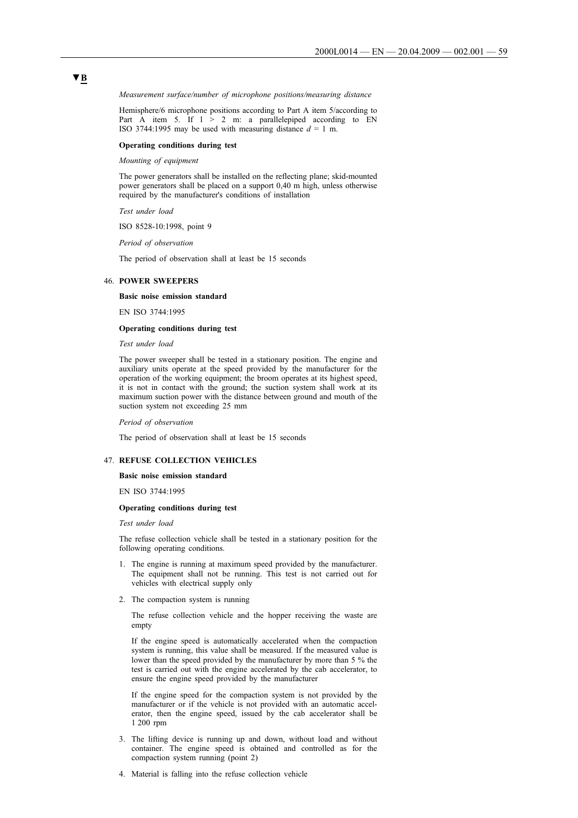#### *Measurement surface/number of microphone positions/measuring distance*

Hemisphere/6 microphone positions according to Part A item 5/according to Part A item 5. If  $1 > 2$  m: a parallelepiped according to EN ISO 3744:1995 may be used with measuring distance  $d = 1$  m.

#### **Operating conditions during test**

*Mounting of equipment*

The power generators shall be installed on the reflecting plane; skid-mounted power generators shall be placed on a support 0,40 m high, unless otherwise required by the manufacturer's conditions of installation

*Test under load*

ISO 8528-10:1998, point 9

*Period of observation*

The period of observation shall at least be 15 seconds

# 46. **POWER SWEEPERS**

#### **Basic noise emission standard**

EN ISO 3744:1995

#### **Operating conditions during test**

*Test under load*

The power sweeper shall be tested in a stationary position. The engine and auxiliary units operate at the speed provided by the manufacturer for the operation of the working equipment; the broom operates at its highest speed, it is not in contact with the ground; the suction system shall work at its maximum suction power with the distance between ground and mouth of the suction system not exceeding 25 mm

*Period of observation*

The period of observation shall at least be 15 seconds

#### 47. **REFUSE COLLECTION VEHICLES**

#### **Basic noise emission standard**

EN ISO 3744:1995

### **Operating conditions during test**

#### *Test under load*

The refuse collection vehicle shall be tested in a stationary position for the following operating conditions.

- 1. The engine is running at maximum speed provided by the manufacturer. The equipment shall not be running. This test is not carried out for vehicles with electrical supply only
- 2. The compaction system is running

The refuse collection vehicle and the hopper receiving the waste are empty

If the engine speed is automatically accelerated when the compaction system is running, this value shall be measured. If the measured value is lower than the speed provided by the manufacturer by more than 5 % the test is carried out with the engine accelerated by the cab accelerator, to ensure the engine speed provided by the manufacturer

If the engine speed for the compaction system is not provided by the manufacturer or if the vehicle is not provided with an automatic accelerator, then the engine speed, issued by the cab accelerator shall be 1 200 rpm

- 3. The lifting device is running up and down, without load and without container. The engine speed is obtained and controlled as for the compaction system running (point 2)
- 4. Material is falling into the refuse collection vehicle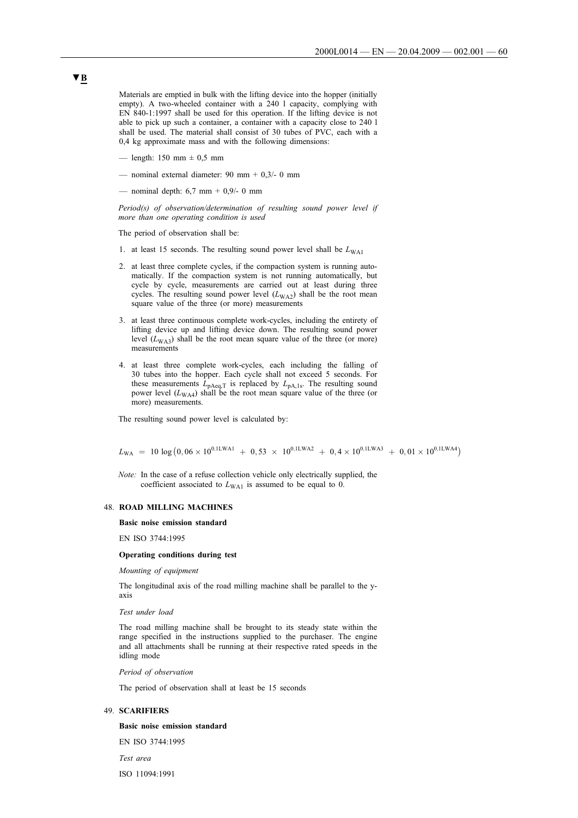Materials are emptied in bulk with the lifting device into the hopper (initially empty). A two-wheeled container with a 240 l capacity, complying with EN 840-1:1997 shall be used for this operation. If the lifting device is not able to pick up such a container, a container with a capacity close to 240 l shall be used. The material shall consist of 30 tubes of PVC, each with a 0,4 kg approximate mass and with the following dimensions:

- length:  $150 \text{ mm} \pm 0.5 \text{ mm}$
- nominal external diameter:  $90 \text{ mm} + 0.3/- 0 \text{ mm}$
- nominal depth: 6,7 mm + 0,9/- 0 mm

*Period(s) of observation/determination of resulting sound power level if more than one operating condition is used*

The period of observation shall be:

- 1. at least 15 seconds. The resulting sound power level shall be  $L_{WA1}$
- 2. at least three complete cycles, if the compaction system is running automatically. If the compaction system is not running automatically, but cycle by cycle, measurements are carried out at least during three cycles. The resulting sound power level  $(L_{WA2})$  shall be the root mean square value of the three (or more) measurements
- 3. at least three continuous complete work-cycles, including the entirety of lifting device up and lifting device down. The resulting sound power level  $(L_{WA3})$  shall be the root mean square value of the three (or more) measurements
- 4. at least three complete work-cycles, each including the falling of 30 tubes into the hopper. Each cycle shall not exceed 5 seconds. For these measurements  $L_{\text{pAeq},T}$  is replaced by  $L_{\text{pA},1s}$ . The resulting sound power level  $(L_{WA4})$  shall be the root mean square value of the three (or more) measurements.

The resulting sound power level is calculated by:

$$
L_{\rm WA} \ = \ 10 \, \log \left(0, 06 \times 10^{0, \rm ILWA1} \ + \ 0, 53 \ \times \ 10^{0, \rm ILWA2} \ + \ 0, 4 \times 10^{0, \rm ILWA3} \ + \ 0, 01 \times 10^{0, \rm ILWA4} \right)
$$

*Note:* In the case of a refuse collection vehicle only electrically supplied, the coefficient associated to  $L_{WA1}$  is assumed to be equal to 0.

#### 48. **ROAD MILLING MACHINES**

#### **Basic noise emission standard**

EN ISO 3744:1995

#### **Operating conditions during test**

*Mounting of equipment*

The longitudinal axis of the road milling machine shall be parallel to the yaxis

*Test under load*

The road milling machine shall be brought to its steady state within the range specified in the instructions supplied to the purchaser. The engine and all attachments shall be running at their respective rated speeds in the idling mode

*Period of observation*

The period of observation shall at least be 15 seconds

#### 49. **SCARIFIERS**

#### **Basic noise emission standard**

EN ISO 3744:1995

*Test area*

ISO 11094:1991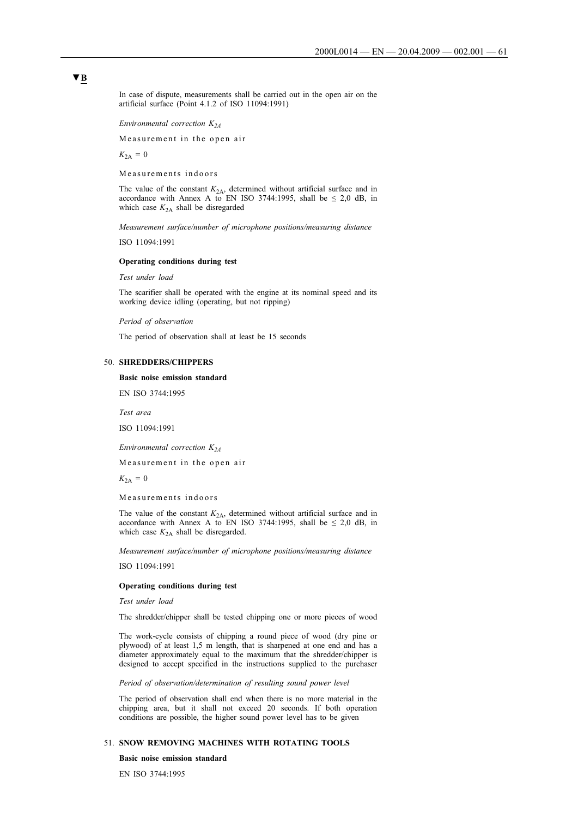In case of dispute, measurements shall be carried out in the open air on the artificial surface (Point 4.1.2 of ISO 11094:1991)

*Environmental correction K2A*

Measurement in the open air

 $K_{2A} = 0$ 

Measurements indoors

The value of the constant  $K_{2A}$ , determined without artificial surface and in accordance with Annex A to EN ISO 3744:1995, shall be  $\leq 2.0$  dB, in which case  $K_{2A}$  shall be disregarded

*Measurement surface/number of microphone positions/measuring distance*

ISO 11094:1991

#### **Operating conditions during test**

*Test under load*

The scarifier shall be operated with the engine at its nominal speed and its working device idling (operating, but not ripping)

*Period of observation*

The period of observation shall at least be 15 seconds

#### 50. **SHREDDERS/CHIPPERS**

**Basic noise emission standard**

EN ISO 3744:1995

*Test area*

ISO 11094:1991

*Environmental correction K2A*

Measurement in the open air

 $K_{2A} = 0$ 

Measurements indoors

The value of the constant  $K_{2A}$ , determined without artificial surface and in accordance with Annex A to EN ISO 3744:1995, shall be  $\leq 2.0$  dB, in which case  $K_{2A}$  shall be disregarded.

*Measurement surface/number of microphone positions/measuring distance*

ISO 11094:1991

#### **Operating conditions during test**

*Test under load*

The shredder/chipper shall be tested chipping one or more pieces of wood

The work-cycle consists of chipping a round piece of wood (dry pine or plywood) of at least 1,5 m length, that is sharpened at one end and has a diameter approximately equal to the maximum that the shredder/chipper is designed to accept specified in the instructions supplied to the purchaser

*Period of observation/determination of resulting sound power level*

The period of observation shall end when there is no more material in the chipping area, but it shall not exceed 20 seconds. If both operation conditions are possible, the higher sound power level has to be given

# 51. **SNOW REMOVING MACHINES WITH ROTATING TOOLS**

**Basic noise emission standard**

EN ISO 3744:1995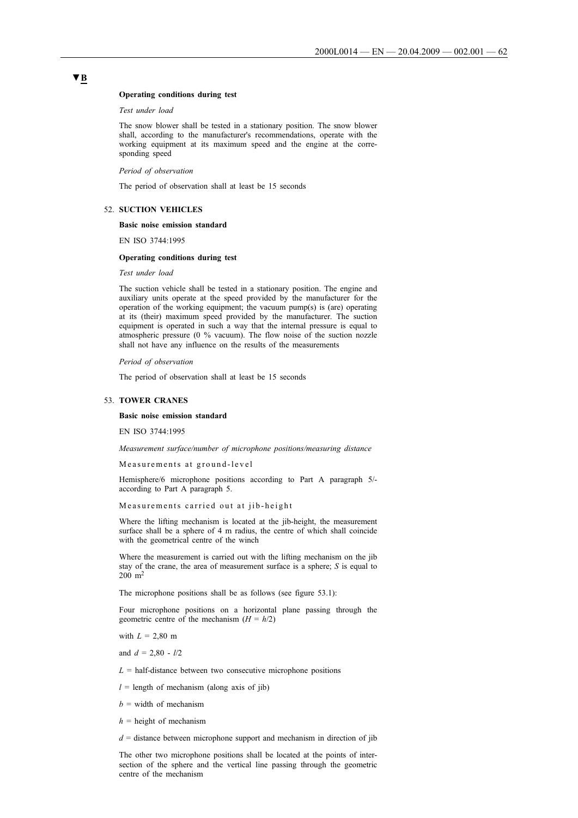#### **Operating conditions during test**

*Test under load*

The snow blower shall be tested in a stationary position. The snow blower shall, according to the manufacturer's recommendations, operate with the working equipment at its maximum speed and the engine at the corresponding speed

*Period of observation*

The period of observation shall at least be 15 seconds

#### 52. **SUCTION VEHICLES**

#### **Basic noise emission standard**

EN ISO 3744:1995

#### **Operating conditions during test**

*Test under load*

The suction vehicle shall be tested in a stationary position. The engine and auxiliary units operate at the speed provided by the manufacturer for the operation of the working equipment; the vacuum pump(s) is (are) operating at its (their) maximum speed provided by the manufacturer. The suction equipment is operated in such a way that the internal pressure is equal to atmospheric pressure (0 % vacuum). The flow noise of the suction nozzle shall not have any influence on the results of the measurements

*Period of observation*

The period of observation shall at least be 15 seconds

#### 53. **TOWER CRANES**

#### **Basic noise emission standard**

EN ISO 3744:1995

*Measurement surface/number of microphone positions/measuring distance*

Measurements at ground-level

Hemisphere/6 microphone positions according to Part A paragraph 5/ according to Part A paragraph 5.

Measurements carried out at jib-height

Where the lifting mechanism is located at the jib-height, the measurement surface shall be a sphere of 4 m radius, the centre of which shall coincide with the geometrical centre of the winch

Where the measurement is carried out with the lifting mechanism on the jib stay of the crane, the area of measurement surface is a sphere; *S* is equal to  $200 \; \mathrm{m}^2$ 

The microphone positions shall be as follows (see figure 53.1):

Four microphone positions on a horizontal plane passing through the geometric centre of the mechanism  $(H = h/2)$ 

with  $L = 2,80 \text{ m}$ 

and *d* = 2,80 - *l*/2

 $L =$  half-distance between two consecutive microphone positions

 $l =$  length of mechanism (along axis of jib)

 $b =$  width of mechanism

 $h =$  height of mechanism

 $d =$  distance between microphone support and mechanism in direction of jib

The other two microphone positions shall be located at the points of intersection of the sphere and the vertical line passing through the geometric centre of the mechanism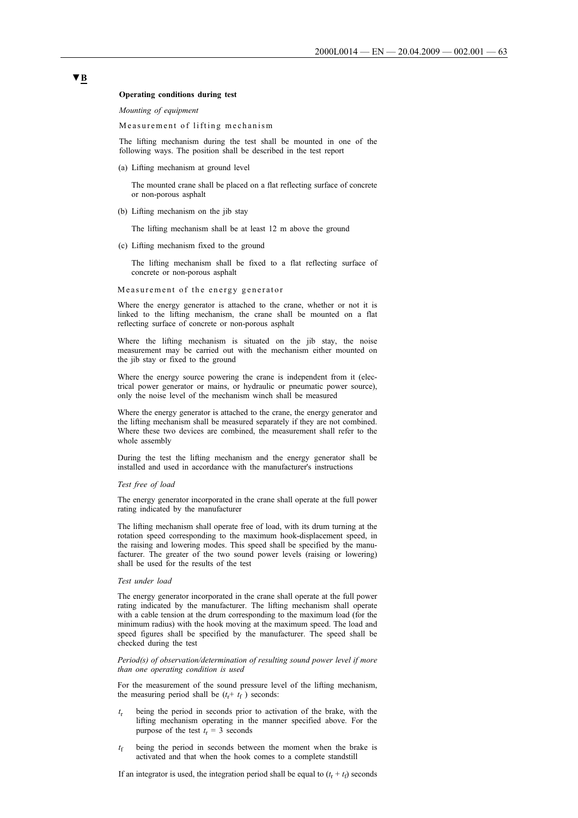#### **Operating conditions during test**

*Mounting of equipment*

Measurement of lifting mechanism

The lifting mechanism during the test shall be mounted in one of the following ways. The position shall be described in the test report

(a) Lifting mechanism at ground level

The mounted crane shall be placed on a flat reflecting surface of concrete or non-porous asphalt

(b) Lifting mechanism on the jib stay

The lifting mechanism shall be at least 12 m above the ground

(c) Lifting mechanism fixed to the ground

The lifting mechanism shall be fixed to a flat reflecting surface of concrete or non-porous asphalt

#### Measurement of the energy generator

Where the energy generator is attached to the crane, whether or not it is linked to the lifting mechanism, the crane shall be mounted on a flat reflecting surface of concrete or non-porous asphalt

Where the lifting mechanism is situated on the jib stay, the noise measurement may be carried out with the mechanism either mounted on the jib stay or fixed to the ground

Where the energy source powering the crane is independent from it (electrical power generator or mains, or hydraulic or pneumatic power source), only the noise level of the mechanism winch shall be measured

Where the energy generator is attached to the crane, the energy generator and the lifting mechanism shall be measured separately if they are not combined. Where these two devices are combined, the measurement shall refer to the whole assembly

During the test the lifting mechanism and the energy generator shall be installed and used in accordance with the manufacturer's instructions

#### *Test free of load*

The energy generator incorporated in the crane shall operate at the full power rating indicated by the manufacturer

The lifting mechanism shall operate free of load, with its drum turning at the rotation speed corresponding to the maximum hook-displacement speed, in the raising and lowering modes. This speed shall be specified by the manufacturer. The greater of the two sound power levels (raising or lowering) shall be used for the results of the test

#### *Test under load*

The energy generator incorporated in the crane shall operate at the full power rating indicated by the manufacturer. The lifting mechanism shall operate with a cable tension at the drum corresponding to the maximum load (for the minimum radius) with the hook moving at the maximum speed. The load and speed figures shall be specified by the manufacturer. The speed shall be checked during the test

*Period(s) of observation/determination of resulting sound power level if more than one operating condition is used*

For the measurement of the sound pressure level of the lifting mechanism, the measuring period shall be  $(t_r + t_f)$  seconds:

- *t*<sup>r</sup> being the period in seconds prior to activation of the brake, with the lifting mechanism operating in the manner specified above. For the purpose of the test  $t_r = 3$  seconds
- *t*<sub>f</sub> being the period in seconds between the moment when the brake is activated and that when the hook comes to a complete standstill

If an integrator is used, the integration period shall be equal to  $(t_r + t_f)$  seconds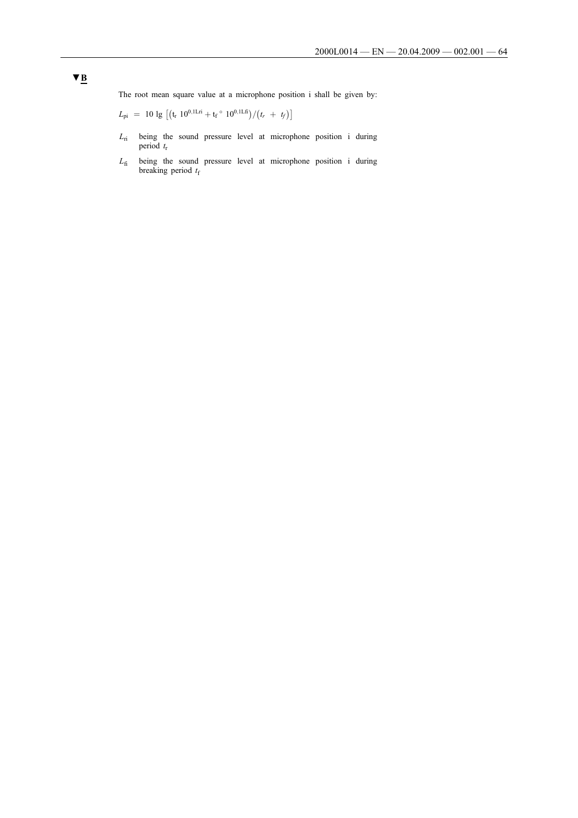The root mean square value at a microphone position i shall be given by:

 $L_{\text{pi}}$  = 10 lg  $[(t_r \ 10^{0,1 \text{Lri}} + t_f \degree \ 10^{0,1 \text{Lfi}})/(t_r + t_f)]$ 

- *L*ri being the sound pressure level at microphone position i during period  $t_r$
- *L*fi being the sound pressure level at microphone position i during breaking period  $t_f$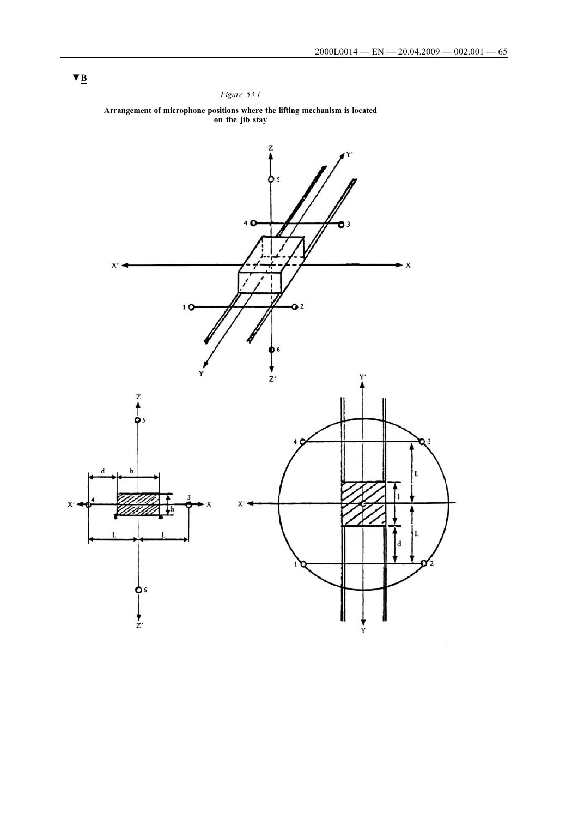# *Figure 53.1*



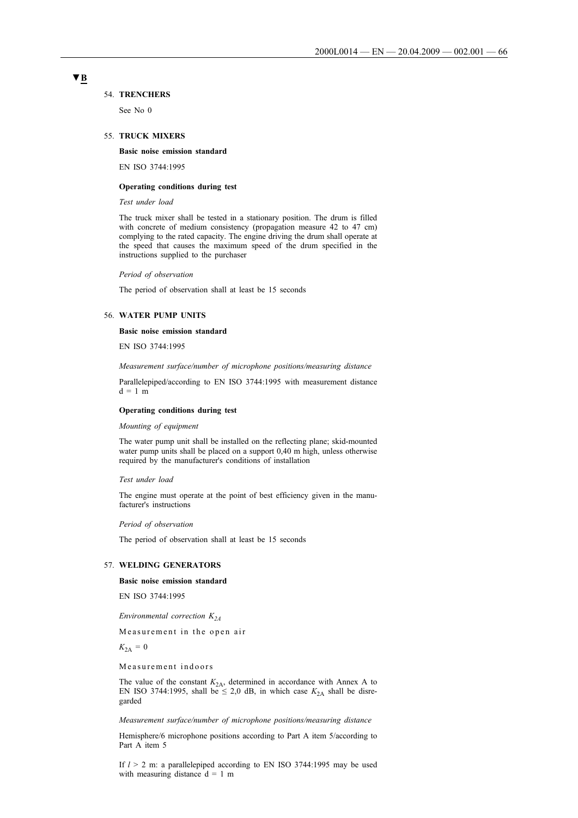#### 54. **TRENCHERS**

See No 0

#### 55. **TRUCK MIXERS**

#### **Basic noise emission standard**

EN ISO 3744:1995

#### **Operating conditions during test**

*Test under load*

The truck mixer shall be tested in a stationary position. The drum is filled with concrete of medium consistency (propagation measure 42 to 47 cm) complying to the rated capacity. The engine driving the drum shall operate at the speed that causes the maximum speed of the drum specified in the instructions supplied to the purchaser

*Period of observation*

The period of observation shall at least be 15 seconds

#### 56. **WATER PUMP UNITS**

### **Basic noise emission standard**

EN ISO 3744:1995

*Measurement surface/number of microphone positions/measuring distance*

Parallelepiped/according to EN ISO 3744:1995 with measurement distance  $d=1$  m

#### **Operating conditions during test**

#### *Mounting of equipment*

The water pump unit shall be installed on the reflecting plane; skid-mounted water pump units shall be placed on a support 0,40 m high, unless otherwise required by the manufacturer's conditions of installation

#### *Test under load*

The engine must operate at the point of best efficiency given in the manufacturer's instructions

#### *Period of observation*

The period of observation shall at least be 15 seconds

### 57. **WELDING GENERATORS**

#### **Basic noise emission standard**

EN ISO 3744:1995

*Environmental correction K2A*

Measurement in the open air

 $K_{2A} = 0$ 

Measurement indoors

The value of the constant  $K_{2A}$ , determined in accordance with Annex A to EN ISO 3744:1995, shall be  $\leq 2.0$  dB, in which case  $K_{2A}$  shall be disregarded

#### *Measurement surface/number of microphone positions/measuring distance*

Hemisphere/6 microphone positions according to Part A item 5/according to Part A item 5

If *l* > 2 m: a parallelepiped according to EN ISO 3744:1995 may be used with measuring distance  $d = 1$  m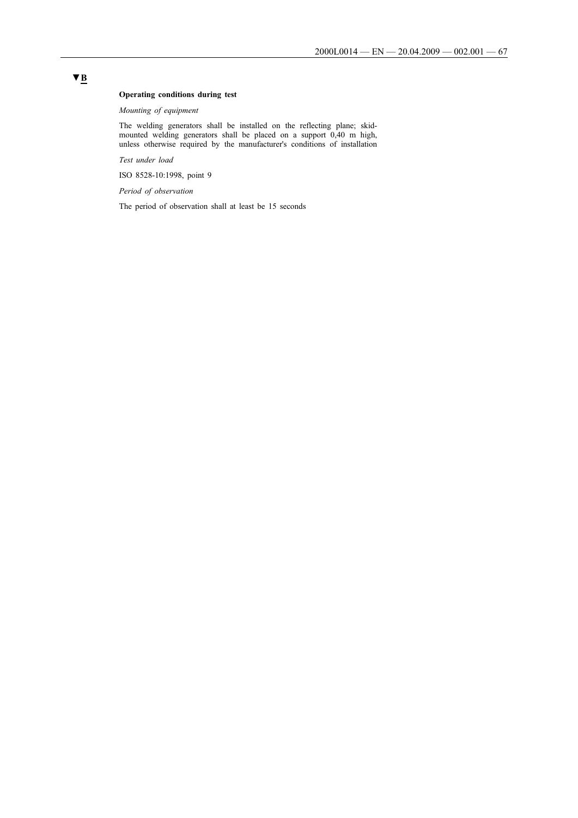# **Operating conditions during test**

*Mounting of equipment*

The welding generators shall be installed on the reflecting plane; skidmounted welding generators shall be placed on a support 0,40 m high, unless otherwise required by the manufacturer's conditions of installation

*Test under load*

ISO 8528-10:1998, point 9

*Period of observation*

The period of observation shall at least be 15 seconds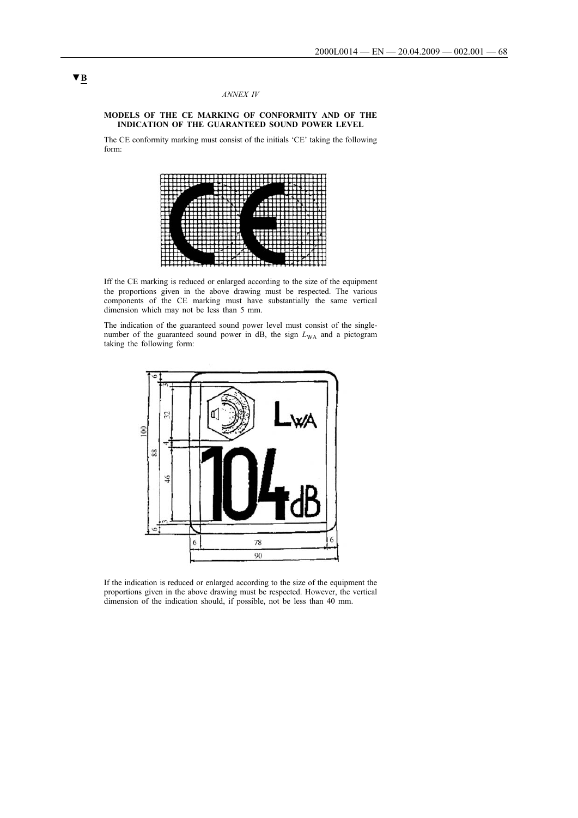#### *ANNEX IV*

### **MODELS OF THE CE MARKING OF CONFORMITY AND OF THE INDICATION OF THE GUARANTEED SOUND POWER LEVEL**

The CE conformity marking must consist of the initials 'CE' taking the following form:



Iff the CE marking is reduced or enlarged according to the size of the equipment the proportions given in the above drawing must be respected. The various components of the CE marking must have substantially the same vertical dimension which may not be less than 5 mm.

The indication of the guaranteed sound power level must consist of the singlenumber of the guaranteed sound power in dB, the sign  $L_{WA}$  and a pictogram taking the following form:



If the indication is reduced or enlarged according to the size of the equipment the proportions given in the above drawing must be respected. However, the vertical dimension of the indication should, if possible, not be less than 40 mm.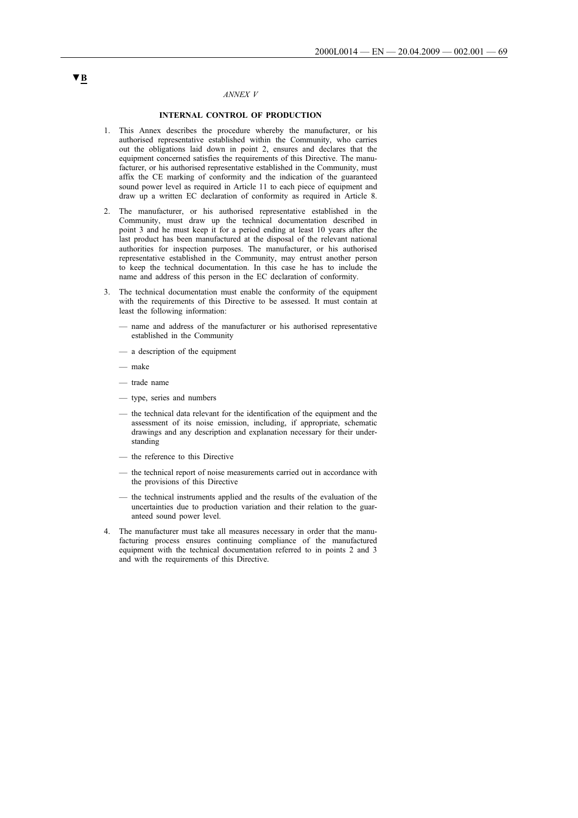# *ANNEX V*

# **INTERNAL CONTROL OF PRODUCTION**

- 1. This Annex describes the procedure whereby the manufacturer, or his authorised representative established within the Community, who carries out the obligations laid down in point 2, ensures and declares that the equipment concerned satisfies the requirements of this Directive. The manufacturer, or his authorised representative established in the Community, must affix the CE marking of conformity and the indication of the guaranteed sound power level as required in Article 11 to each piece of equipment and draw up a written EC declaration of conformity as required in Article 8.
- 2. The manufacturer, or his authorised representative established in the Community, must draw up the technical documentation described in point 3 and he must keep it for a period ending at least 10 years after the last product has been manufactured at the disposal of the relevant national authorities for inspection purposes. The manufacturer, or his authorised representative established in the Community, may entrust another person to keep the technical documentation. In this case he has to include the name and address of this person in the EC declaration of conformity.
- 3. The technical documentation must enable the conformity of the equipment with the requirements of this Directive to be assessed. It must contain at least the following information:
	- name and address of the manufacturer or his authorised representative established in the Community
	- a description of the equipment
	- make
	- trade name
	- type, series and numbers
	- the technical data relevant for the identification of the equipment and the assessment of its noise emission, including, if appropriate, schematic drawings and any description and explanation necessary for their understanding
	- the reference to this Directive
	- the technical report of noise measurements carried out in accordance with the provisions of this Directive
	- the technical instruments applied and the results of the evaluation of the uncertainties due to production variation and their relation to the guaranteed sound power level.
- 4. The manufacturer must take all measures necessary in order that the manufacturing process ensures continuing compliance of the manufactured equipment with the technical documentation referred to in points 2 and 3 and with the requirements of this Directive.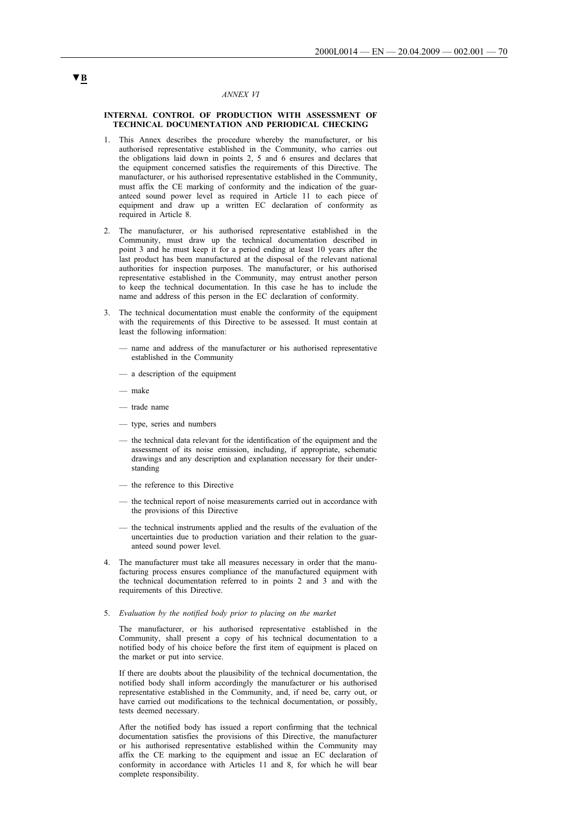#### *ANNEX VI*

#### **INTERNAL CONTROL OF PRODUCTION WITH ASSESSMENT OF TECHNICAL DOCUMENTATION AND PERIODICAL CHECKING**

- 1. This Annex describes the procedure whereby the manufacturer, or his authorised representative established in the Community, who carries out the obligations laid down in points 2, 5 and 6 ensures and declares that the equipment concerned satisfies the requirements of this Directive. The manufacturer, or his authorised representative established in the Community, must affix the CE marking of conformity and the indication of the guaranteed sound power level as required in Article 11 to each piece of equipment and draw up a written EC declaration of conformity as required in Article 8.
- 2. The manufacturer, or his authorised representative established in the Community, must draw up the technical documentation described in point 3 and he must keep it for a period ending at least 10 years after the last product has been manufactured at the disposal of the relevant national authorities for inspection purposes. The manufacturer, or his authorised representative established in the Community, may entrust another person to keep the technical documentation. In this case he has to include the name and address of this person in the EC declaration of conformity.
- 3. The technical documentation must enable the conformity of the equipment with the requirements of this Directive to be assessed. It must contain at least the following information:
	- name and address of the manufacturer or his authorised representative established in the Community
	- a description of the equipment
	- make
	- trade name
	- type, series and numbers
	- the technical data relevant for the identification of the equipment and the assessment of its noise emission, including, if appropriate, schematic drawings and any description and explanation necessary for their understanding
	- the reference to this Directive
	- the technical report of noise measurements carried out in accordance with the provisions of this Directive
	- the technical instruments applied and the results of the evaluation of the uncertainties due to production variation and their relation to the guaranteed sound power level.
- 4. The manufacturer must take all measures necessary in order that the manufacturing process ensures compliance of the manufactured equipment with the technical documentation referred to in points 2 and 3 and with the requirements of this Directive.
- 5. *Evaluation by the notified body prior to placing on the market*

The manufacturer, or his authorised representative established in the Community, shall present a copy of his technical documentation to a notified body of his choice before the first item of equipment is placed on the market or put into service.

If there are doubts about the plausibility of the technical documentation, the notified body shall inform accordingly the manufacturer or his authorised representative established in the Community, and, if need be, carry out, or have carried out modifications to the technical documentation, or possibly, tests deemed necessary.

After the notified body has issued a report confirming that the technical documentation satisfies the provisions of this Directive, the manufacturer or his authorised representative established within the Community may affix the CE marking to the equipment and issue an EC declaration of conformity in accordance with Articles 11 and 8, for which he will bear complete responsibility.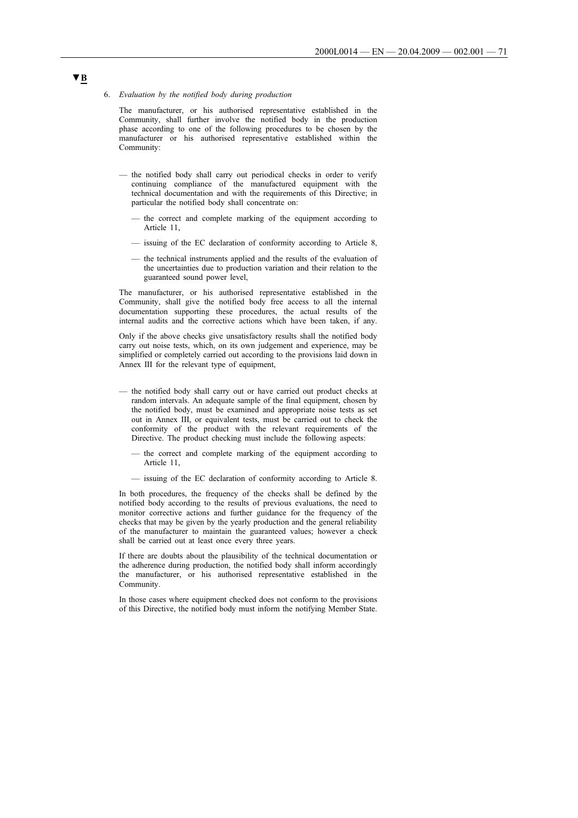#### 6. *Evaluation by the notified body during production*

The manufacturer, or his authorised representative established in the Community, shall further involve the notified body in the production phase according to one of the following procedures to be chosen by the manufacturer or his authorised representative established within the Community:

- the notified body shall carry out periodical checks in order to verify continuing compliance of the manufactured equipment with the technical documentation and with the requirements of this Directive; in particular the notified body shall concentrate on:
	- the correct and complete marking of the equipment according to Article 11,
	- issuing of the EC declaration of conformity according to Article 8,
	- the technical instruments applied and the results of the evaluation of the uncertainties due to production variation and their relation to the guaranteed sound power level,

The manufacturer, or his authorised representative established in the Community, shall give the notified body free access to all the internal documentation supporting these procedures, the actual results of the internal audits and the corrective actions which have been taken, if any.

Only if the above checks give unsatisfactory results shall the notified body carry out noise tests, which, on its own judgement and experience, may be simplified or completely carried out according to the provisions laid down in Annex III for the relevant type of equipment,

- the notified body shall carry out or have carried out product checks at random intervals. An adequate sample of the final equipment, chosen by the notified body, must be examined and appropriate noise tests as set out in Annex III, or equivalent tests, must be carried out to check the conformity of the product with the relevant requirements of the Directive. The product checking must include the following aspects:
	- the correct and complete marking of the equipment according to Article 11,
	- issuing of the EC declaration of conformity according to Article 8.

In both procedures, the frequency of the checks shall be defined by the notified body according to the results of previous evaluations, the need to monitor corrective actions and further guidance for the frequency of the checks that may be given by the yearly production and the general reliability of the manufacturer to maintain the guaranteed values; however a check shall be carried out at least once every three years.

If there are doubts about the plausibility of the technical documentation or the adherence during production, the notified body shall inform accordingly the manufacturer, or his authorised representative established in the Community.

In those cases where equipment checked does not conform to the provisions of this Directive, the notified body must inform the notifying Member State.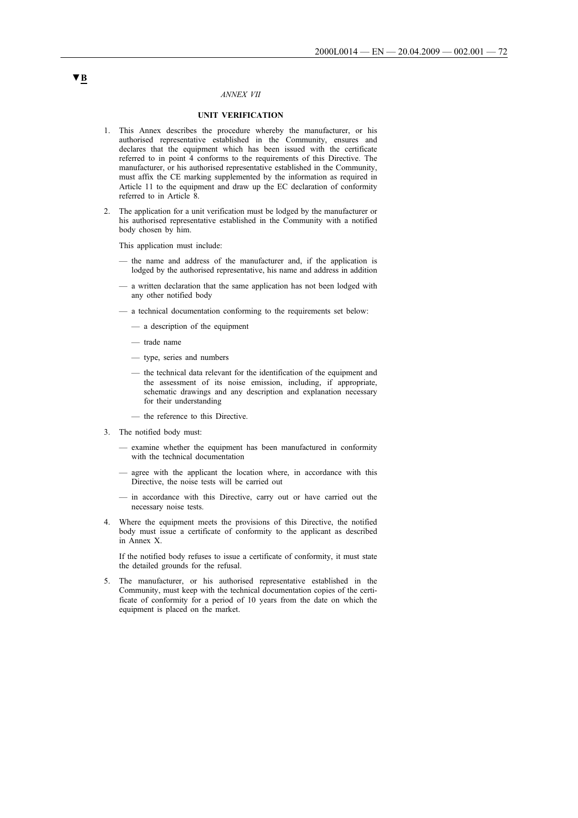### *ANNEX VII*

# **UNIT VERIFICATION**

- 1. This Annex describes the procedure whereby the manufacturer, or his authorised representative established in the Community, ensures and declares that the equipment which has been issued with the certificate referred to in point 4 conforms to the requirements of this Directive. The manufacturer, or his authorised representative established in the Community, must affix the CE marking supplemented by the information as required in Article 11 to the equipment and draw up the EC declaration of conformity referred to in Article 8.
- 2. The application for a unit verification must be lodged by the manufacturer or his authorised representative established in the Community with a notified body chosen by him.

This application must include:

- the name and address of the manufacturer and, if the application is lodged by the authorised representative, his name and address in addition
- a written declaration that the same application has not been lodged with any other notified body
- a technical documentation conforming to the requirements set below:
	- a description of the equipment
	- trade name
	- type, series and numbers
	- the technical data relevant for the identification of the equipment and the assessment of its noise emission, including, if appropriate, schematic drawings and any description and explanation necessary for their understanding
	- the reference to this Directive.
- 3. The notified body must:
	- examine whether the equipment has been manufactured in conformity with the technical documentation
	- agree with the applicant the location where, in accordance with this Directive, the noise tests will be carried out
	- in accordance with this Directive, carry out or have carried out the necessary noise tests.
- 4. Where the equipment meets the provisions of this Directive, the notified body must issue a certificate of conformity to the applicant as described in Annex X.

If the notified body refuses to issue a certificate of conformity, it must state the detailed grounds for the refusal.

5. The manufacturer, or his authorised representative established in the Community, must keep with the technical documentation copies of the certificate of conformity for a period of 10 years from the date on which the equipment is placed on the market.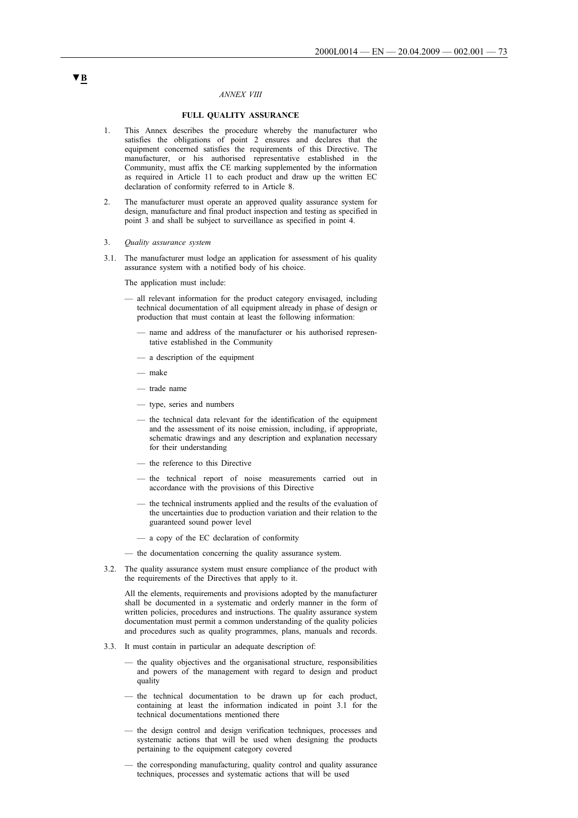#### *ANNEX VIII*

#### **FULL QUALITY ASSURANCE**

- 1. This Annex describes the procedure whereby the manufacturer who satisfies the obligations of point 2 ensures and declares that the equipment concerned satisfies the requirements of this Directive. The manufacturer, or his authorised representative established in the Community, must affix the CE marking supplemented by the information as required in Article 11 to each product and draw up the written EC declaration of conformity referred to in Article 8.
- 2. The manufacturer must operate an approved quality assurance system for design, manufacture and final product inspection and testing as specified in point 3 and shall be subject to surveillance as specified in point 4.
- 3. *Quality assurance system*
- 3.1. The manufacturer must lodge an application for assessment of his quality assurance system with a notified body of his choice.

The application must include:

- all relevant information for the product category envisaged, including technical documentation of all equipment already in phase of design or production that must contain at least the following information:
	- name and address of the manufacturer or his authorised representative established in the Community
	- a description of the equipment
	- make
	- trade name
	- type, series and numbers
	- the technical data relevant for the identification of the equipment and the assessment of its noise emission, including, if appropriate, schematic drawings and any description and explanation necessary for their understanding
	- the reference to this Directive
	- the technical report of noise measurements carried out in accordance with the provisions of this Directive
	- the technical instruments applied and the results of the evaluation of the uncertainties due to production variation and their relation to the guaranteed sound power level
	- a copy of the EC declaration of conformity
- the documentation concerning the quality assurance system.
- 3.2. The quality assurance system must ensure compliance of the product with the requirements of the Directives that apply to it.

All the elements, requirements and provisions adopted by the manufacturer shall be documented in a systematic and orderly manner in the form of written policies, procedures and instructions. The quality assurance system documentation must permit a common understanding of the quality policies and procedures such as quality programmes, plans, manuals and records.

- 3.3. It must contain in particular an adequate description of:
	- the quality objectives and the organisational structure, responsibilities and powers of the management with regard to design and product quality
	- the technical documentation to be drawn up for each product, containing at least the information indicated in point 3.1 for the technical documentations mentioned there
	- the design control and design verification techniques, processes and systematic actions that will be used when designing the products pertaining to the equipment category covered
	- the corresponding manufacturing, quality control and quality assurance techniques, processes and systematic actions that will be used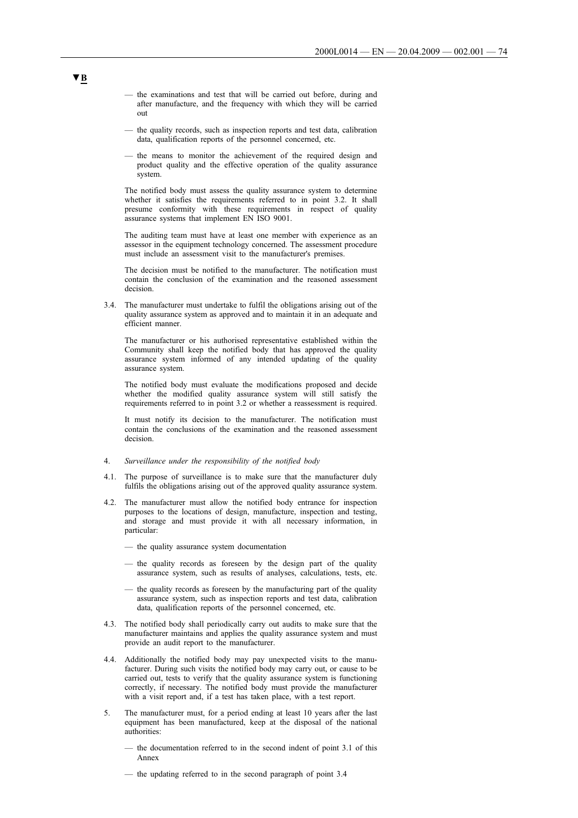- the examinations and test that will be carried out before, during and after manufacture, and the frequency with which they will be carried out
- the quality records, such as inspection reports and test data, calibration data, qualification reports of the personnel concerned, etc.
- the means to monitor the achievement of the required design and product quality and the effective operation of the quality assurance system.

The notified body must assess the quality assurance system to determine whether it satisfies the requirements referred to in point 3.2. It shall presume conformity with these requirements in respect of quality assurance systems that implement EN ISO 9001.

The auditing team must have at least one member with experience as an assessor in the equipment technology concerned. The assessment procedure must include an assessment visit to the manufacturer's premises.

The decision must be notified to the manufacturer. The notification must contain the conclusion of the examination and the reasoned assessment decision.

3.4. The manufacturer must undertake to fulfil the obligations arising out of the quality assurance system as approved and to maintain it in an adequate and efficient manner.

The manufacturer or his authorised representative established within the Community shall keep the notified body that has approved the quality assurance system informed of any intended updating of the quality assurance system.

The notified body must evaluate the modifications proposed and decide whether the modified quality assurance system will still satisfy the requirements referred to in point 3.2 or whether a reassessment is required.

It must notify its decision to the manufacturer. The notification must contain the conclusions of the examination and the reasoned assessment decision.

### 4. *Surveillance under the responsibility of the notified body*

- 4.1. The purpose of surveillance is to make sure that the manufacturer duly fulfils the obligations arising out of the approved quality assurance system.
- 4.2. The manufacturer must allow the notified body entrance for inspection purposes to the locations of design, manufacture, inspection and testing, and storage and must provide it with all necessary information, in particular:
	- the quality assurance system documentation
	- the quality records as foreseen by the design part of the quality assurance system, such as results of analyses, calculations, tests, etc.
	- the quality records as foreseen by the manufacturing part of the quality assurance system, such as inspection reports and test data, calibration data, qualification reports of the personnel concerned, etc.
- 4.3. The notified body shall periodically carry out audits to make sure that the manufacturer maintains and applies the quality assurance system and must provide an audit report to the manufacturer.
- 4.4. Additionally the notified body may pay unexpected visits to the manufacturer. During such visits the notified body may carry out, or cause to be carried out, tests to verify that the quality assurance system is functioning correctly, if necessary. The notified body must provide the manufacturer with a visit report and, if a test has taken place, with a test report.
- 5. The manufacturer must, for a period ending at least 10 years after the last equipment has been manufactured, keep at the disposal of the national authorities:
	- the documentation referred to in the second indent of point 3.1 of this Annex
	- the updating referred to in the second paragraph of point 3.4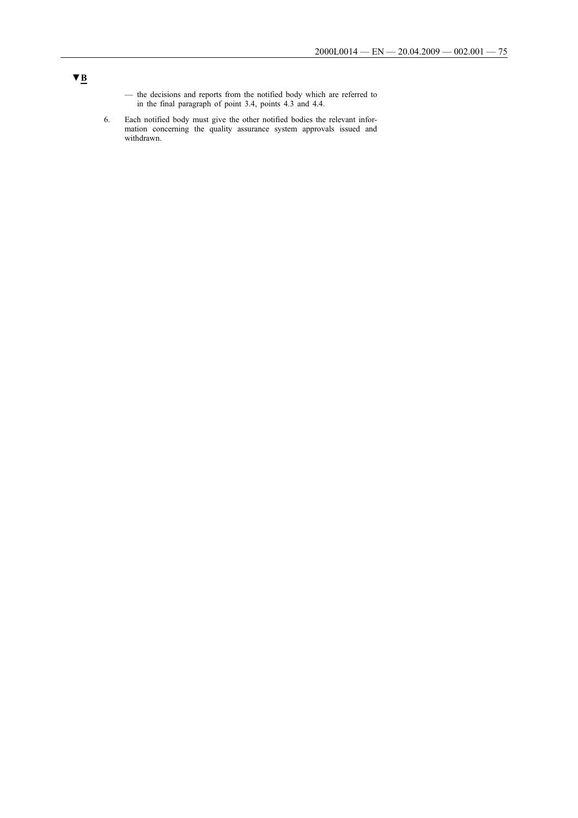- the decisions and reports from the notified body which are referred to in the final paragraph of point 3.4, points 4.3 and 4.4.
- 6. Each notified body must give the other notified bodies the relevant information concerning the quality assurance system approvals issued and withdrawn.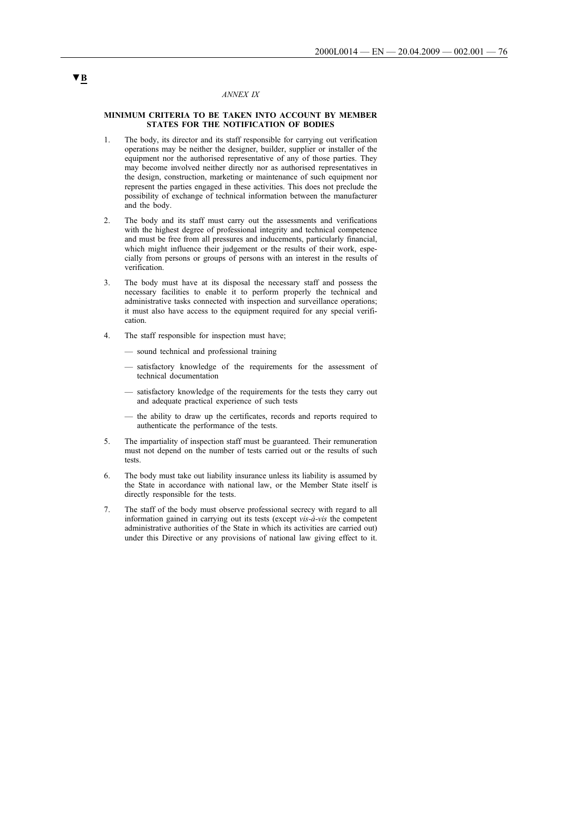#### *ANNEX IX*

#### **MINIMUM CRITERIA TO BE TAKEN INTO ACCOUNT BY MEMBER STATES FOR THE NOTIFICATION OF BODIES**

- 1. The body, its director and its staff responsible for carrying out verification operations may be neither the designer, builder, supplier or installer of the equipment nor the authorised representative of any of those parties. They may become involved neither directly nor as authorised representatives in the design, construction, marketing or maintenance of such equipment nor represent the parties engaged in these activities. This does not preclude the possibility of exchange of technical information between the manufacturer and the body.
- 2. The body and its staff must carry out the assessments and verifications with the highest degree of professional integrity and technical competence and must be free from all pressures and inducements, particularly financial, which might influence their judgement or the results of their work, especially from persons or groups of persons with an interest in the results of verification.
- 3. The body must have at its disposal the necessary staff and possess the necessary facilities to enable it to perform properly the technical and administrative tasks connected with inspection and surveillance operations; it must also have access to the equipment required for any special verification.
- 4. The staff responsible for inspection must have;
	- sound technical and professional training
	- satisfactory knowledge of the requirements for the assessment of technical documentation
	- satisfactory knowledge of the requirements for the tests they carry out and adequate practical experience of such tests
	- the ability to draw up the certificates, records and reports required to authenticate the performance of the tests.
- 5. The impartiality of inspection staff must be guaranteed. Their remuneration must not depend on the number of tests carried out or the results of such tests.
- 6. The body must take out liability insurance unless its liability is assumed by the State in accordance with national law, or the Member State itself is directly responsible for the tests.
- 7. The staff of the body must observe professional secrecy with regard to all information gained in carrying out its tests (except *vis-à-vis* the competent administrative authorities of the State in which its activities are carried out) under this Directive or any provisions of national law giving effect to it.